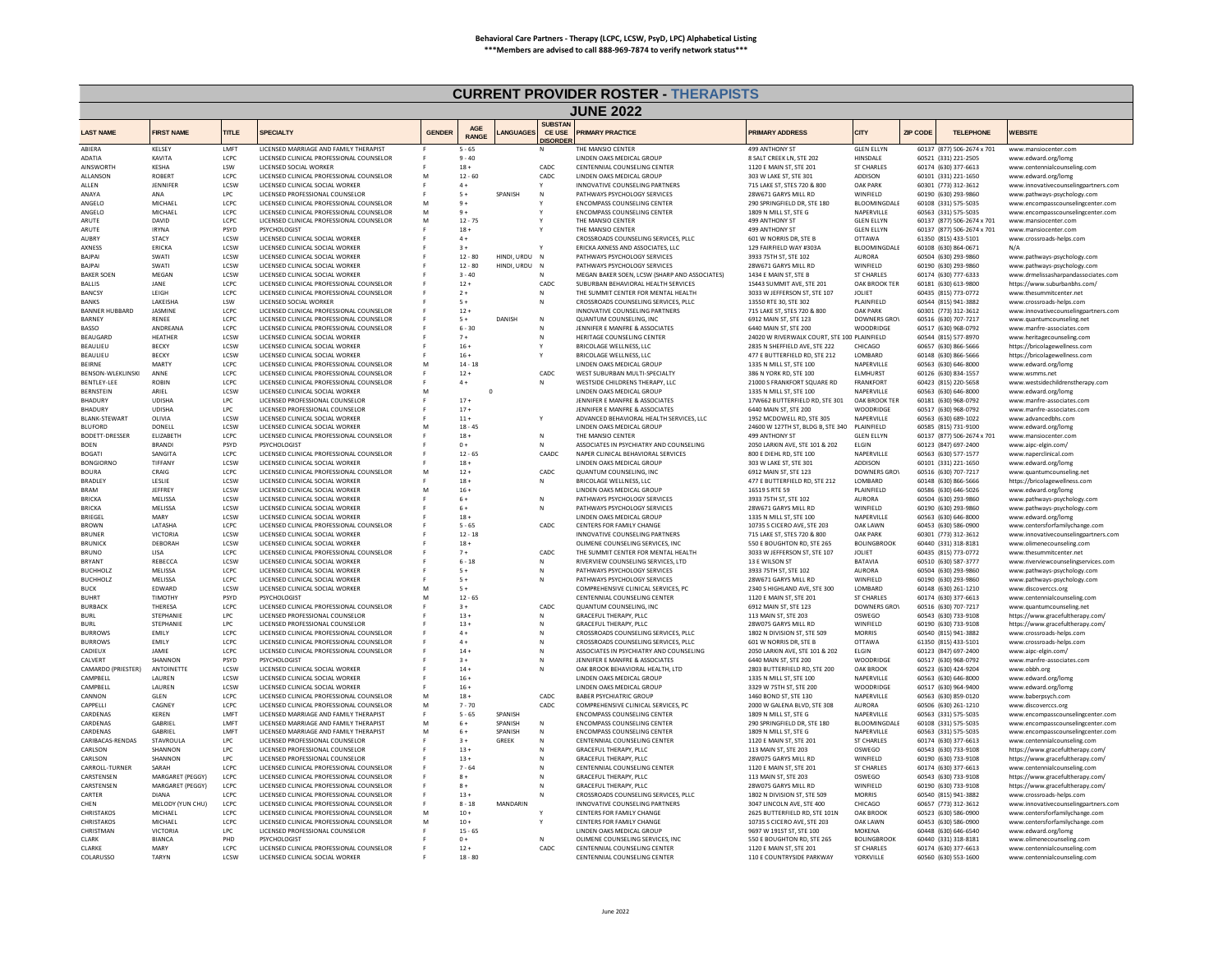|                                    |                                      |                     |                                                                                      |               |                       |                         |                                             | <b>CURRENT PROVIDER ROSTER - THERAPISTS</b>                                   |                                                            |                                    |                 |                                              |                                                                        |
|------------------------------------|--------------------------------------|---------------------|--------------------------------------------------------------------------------------|---------------|-----------------------|-------------------------|---------------------------------------------|-------------------------------------------------------------------------------|------------------------------------------------------------|------------------------------------|-----------------|----------------------------------------------|------------------------------------------------------------------------|
|                                    |                                      |                     |                                                                                      |               |                       |                         |                                             | <b>JUNE 2022</b>                                                              |                                                            |                                    |                 |                                              |                                                                        |
| <b>LAST NAME</b>                   | <b>FIRST NAME</b>                    | <b>TITLE</b>        | <b>SPECIALTY</b>                                                                     | <b>GENDER</b> | AGE<br><b>RANGE</b>   | ANGUAGES                | <b>SUBSTAN</b><br>CE USE<br><b>DISORDER</b> | <b>PRIMARY PRACTICE</b>                                                       | <b>PRIMARY ADDRESS</b>                                     | CITY                               | <b>ZIP CODE</b> | <b>TELEPHONE</b>                             | <b>WEBSITE</b>                                                         |
| ABIERA                             | <b>KELSEY</b>                        | LMFT                | LICENSED MARRIAGE AND FAMILY THERAPIST                                               |               | $5 - 65$              |                         |                                             | HE MANSIO CENTER                                                              | 499 ANTHONY ST                                             | <b>GLEN ELLYN</b>                  |                 | 60137 (877) 506-2674 x 701                   | www.mansiocenter.com                                                   |
| ADATIA<br><b>AINSWORTH</b>         | KAVITA<br><b>KESHA</b>               | LCPC<br>LSW         | LICENSED CLINICAL PROFESSIONAL COUNSELOR<br>LICENSED SOCIAL WORKER                   |               | $9 - 40$<br>$18 +$    |                         | CADC                                        | LINDEN OAKS MEDICAL GROUP<br>CENTENNIAL COUNSELING CENTER                     | 8 SALT CREEK LN, STE 202<br>1120 E MAIN ST, STE 201        | HINSDALE<br><b>ST CHARLES</b>      |                 | 60521 (331) 221-2505<br>60174 (630) 377-6613 | www.edward.org/lomg<br>www.centennialcounseling.com                    |
| ALLANSON                           | <b>ROBERT</b>                        | LCPC                | LICENSED CLINICAL PROFESSIONAL COUNSELOR                                             | M             | $12 - 60$             |                         | CADC                                        | LINDEN OAKS MEDICAL GROUP                                                     | 303 W LAKE ST, STE 301                                     | ADDISON                            |                 | 60101 (331) 221-1650                         | www.edward.org/lomg                                                    |
| ALLEN                              | <b>IFNNIFFR</b>                      | LCSW                | LICENSED CLINICAL SOCIAL WORKER                                                      |               | $4+$                  |                         |                                             | INNOVATIVE COUNSELING PARTNERS                                                | 715 LAKE ST, STES 720 & 800                                | <b>OAK PARK</b>                    |                 | 60301 (773) 312-3612                         | www.innovativecounselingpartners.com                                   |
| ANAYA                              | ANA                                  | LPC                 | LICENSED PROFESSIONAL COUNSELOR                                                      |               | $5+$                  | SPANISH                 | N                                           | PATHWAYS PSYCHOLOGY SERVICES                                                  | 28W671 GARYS MILL RD                                       | WINFIELD                           |                 | 60190 (630) 293-9860                         | www.pathways-psychology.com                                            |
| ANGELO<br>ANGELC                   | <b>MICHAEL</b><br>MICHAEL            | LCPC<br>LCPC        | LICENSED CLINICAL PROFESSIONAL COUNSELOR<br>LICENSED CLINICAL PROFESSIONAL COUNSELOR | M<br>M        | $9+$<br>$9+$          |                         |                                             | <b>ENCOMPASS COUNSELING CENTER</b><br><b>ENCOMPASS COUNSELING CENTER</b>      | 290 SPRINGFIELD DR. STE 180<br>1809 N MILL ST, STE G       | BLOOMINGDALE<br>NAPERVILLE         |                 | 60108 (331) 575-5035<br>60563 (331) 575-5035 | www.encompasscounselingcenter.com<br>www.encompasscounselingcenter.com |
| ARUTF                              | DAVID                                | LCPC                | LICENSED CLINICAL PROFESSIONAL COUNSELOR                                             | M             | $12 - 75$             |                         |                                             | THE MANSIO CENTER                                                             | 499 ANTHONY ST                                             | <b>GLEN ELLYN</b>                  |                 | 60137 (877) 506-2674 x 701                   | www.mansiocenter.com                                                   |
| ARUTE                              | <b>IRYNA</b>                         | PSYD                | PSYCHOLOGIST                                                                         |               | $18 +$                |                         |                                             | THE MANSIO CENTER                                                             | 499 ANTHONY ST                                             | <b>GLEN ELLYN</b>                  |                 | 60137 (877) 506-2674 x 701                   | www.mansiocenter.com                                                   |
| <b>AURRY</b>                       | <b>STACY</b><br>ERICKA               | <b>ICSW</b><br>LCSW | LICENSED CLINICAL SOCIAL WORKER                                                      |               | $4+$                  |                         |                                             | CROSSROADS COUNSELING SERVICES, PLLC                                          | 601 W NORRIS DR. STE B                                     | OTTAWA                             |                 | 61350 (815) 433-5101                         | www.crossroads-helps.com<br>N/A                                        |
| AXNESS<br><b>BAJPAI</b>            | SWATI                                | LCSW                | LICENSED CLINICAL SOCIAL WORKER<br>LICENSED CLINICAL SOCIAL WORKER                   |               | $3+$<br>$12 - 80$     | HINDI, URDU N           |                                             | ERICKA AXNESS AND ASSOCIATES, LLC<br>PATHWAYS PSYCHOLOGY SERVICES             | 129 FAIRFIELD WAY #303A<br>3933 75TH ST, STE 102           | BLOOMINGDALE<br>AURORA             |                 | 60108 (630) 864-0671<br>60504 (630) 293-9860 | www.pathways-psychology.com                                            |
| <b>BAJPAI</b>                      | SWATI                                | LCSW                | LICENSED CLINICAL SOCIAL WORKER                                                      |               | $12 - 80$             | HINDI, URDU             | N                                           | PATHWAYS PSYCHOLOGY SERVICES                                                  | 28W671 GARYS MILL RD                                       | WINFIELD                           |                 | 60190 (630) 293-9860                         | www.pathways-psychology.com                                            |
| <b>BAKER SOEN</b>                  | MEGAN                                | LCSW<br>LCPC        | LICENSED CLINICAL SOCIAL WORKER<br>LICENSED CLINICAL PROFESSIONAL COUNSELOR          |               | $3 - 40$              |                         |                                             | MEGAN BAKER SOEN, LCSW (SHARP AND ASSOCIATES)                                 | 1434 E MAIN ST, STE B                                      | ST CHARLES                         |                 | 60174 (630) 777-6333                         | www.drmelissasharpandassociates.com                                    |
| <b>BALLIS</b><br><b>BANCSY</b>     | <b>IANF</b><br>LEIGH                 | LCPC                | LICENSED CLINICAL PROFESSIONAL COUNSELOR                                             |               | $12 +$<br>$2+$        |                         | CADC                                        | SUBURBAN BEHAVIORAL HEALTH SERVICES<br>THE SUMMIT CENTER FOR MENTAL HEALTH    | 1S443 SUMMIT AVE, STE 201<br>3033 W JEFFERSON ST, STE 107  | OAK BROOK TER<br><b>JOLIET</b>     |                 | 60181 (630) 613-9800<br>60435 (815) 773-0772 | https://www.suburbanbhs.com/<br>www.thesummitcenter.net                |
| <b>BANKS</b>                       | <b>LAKEISHA</b>                      | <b>ISW</b>          | <b>LICENSED SOCIAL WORKER</b>                                                        |               | $5+$                  |                         | $\mathbf N$                                 | CROSSROADS COUNSELING SERVICES. PLLC                                          | 13550 RTF 30, STF 302                                      | PLAINFIFLD                         |                 | 60544 (815) 941-3882                         | www.crossroads-helps.com                                               |
| <b>BANNER HUBBARD</b>              | <b>JASMINE</b>                       | LCPC                | LICENSED CLINICAL PROFESSIONAL COUNSELOR                                             |               | $12 +$                |                         |                                             | INNOVATIVE COUNSELING PARTNERS                                                | 715 LAKE ST, STES 720 & 800                                | <b>OAK PARK</b>                    |                 | 60301 (773) 312-3612                         | www.innovativecounselingpartners.com                                   |
| <b>BARNEY</b><br><b>BASSO</b>      | <b>RENEE</b><br>ANDREANA             | LCPC<br>LCPC        | LICENSED CLINICAL PROFESSIONAL COUNSELOR<br>LICENSED CLINICAL PROFESSIONAL COUNSELOR |               | $5+$<br>$6 - 30$      | DANISH                  | N                                           | QUANTUM COUNSELING, INC.<br>JENNIFER E MANFRE & ASSOCIATES                    | 6912 MAIN ST, STE 123<br>6440 MAIN ST, STE 200             | <b>DOWNERS GROV</b><br>WOODRIDGE   |                 | 60516 (630) 707-7217<br>60517 (630) 968-0792 | www.quantumcounseling.net<br>www.manfre-associates.com                 |
| BEAUGARD                           | <b>HEATHER</b>                       | LCSW                | LICENSED CLINICAL SOCIAL WORKER                                                      |               | $7 +$                 |                         | N                                           | HERITAGE COUNSELING CENTER                                                    | 24020 W RIVERWALK COURT, STE 100 PLAINFIELD                |                                    |                 | 60544 (815) 577-8970                         | www.heritagecounseling.com                                             |
| <b>BEAULIEU</b>                    | <b>BECKY</b>                         | <b>ICSW</b>         | LICENSED CLINICAL SOCIAL WORKER                                                      |               | $16+$                 |                         |                                             | BRICOLAGE WELLNESS, LLC                                                       | 2835 N SHEFFIELD AVE. STE 222                              | CHICAGO                            |                 | 60657 (630) 866-5666                         | https://bricolagewellness.com                                          |
| <b>BEAULIEU</b>                    | <b>BECKY</b>                         | LCSW                | LICENSED CLINICAL SOCIAL WORKER                                                      |               | $16 +$                |                         |                                             | BRICOLAGE WELLNESS, LLC                                                       | 477 E BUTTERFIELD RD, STE 212                              | LOMBARD                            |                 | 60148 (630) 866-5666                         | https://bricolagewellness.com                                          |
| REIRNE<br>BENSON-WLEKLINSKI        | MARTY<br>ANNE                        | LCPC<br>LCPC        | LICENSED CLINICAL PROFESSIONAL COUNSELOR<br>LICENSED CLINICAL PROFESSIONAL COUNSELOR | M             | $14 - 18$<br>$12 +$   |                         | CADC                                        | LINDEN OAKS MEDICAL GROUP<br>WEST SUBURBAN MULTI-SPECIALTY                    | 1335 N MILL ST, STE 100<br>386 N YORK RD, STE 100          | NAPERVILLE<br><b>ELMHURST</b>      |                 | 60563 (630) 646-8000<br>60126 (630) 834-1557 | www.edward.org/lomg<br>www.wsmms.net                                   |
| <b>BENTLEY-LEE</b>                 | <b>ROBIN</b>                         | LCPC                | LICENSED CLINICAL PROFESSIONAL COUNSELOR                                             |               | $4+$                  |                         |                                             | WESTSIDE CHILDRENS THERAPY, LLC                                               | 21000 S FRANKFORT SOUARE RD                                | FRANKFORT                          |                 | 60423 (815) 220-5658                         | www.westsidechildrenstherapy.com                                       |
| BERNSTEIN                          | ARIEL                                | LCSW                | LICENSED CLINICAL SOCIAL WORKER                                                      | N             | $\,$ 0                |                         |                                             | LINDEN OAKS MEDICAL GROUP                                                     | 1335 N MILL ST, STE 100                                    | NAPERVILLE                         |                 | 60563 (630) 646-8000                         | www.edward.org/lomg                                                    |
| <b>BHADURY</b>                     | <b>UDISHA</b>                        | LPC                 | LICENSED PROFESSIONAL COUNSELOP                                                      |               | $17 +$                |                         |                                             | JENNIFER E MANFRE & ASSOCIATES                                                | 17W662 BUTTERFIELD RD, STE 301                             | OAK BROOK TER                      |                 | 60181 (630) 968-0792                         | www.manfre-associates.com                                              |
| BHADURY<br><b>BLANK-STEWART</b>    | <b>UDISHA</b><br>OLIVIA              | LPC<br>LCSW         | LICENSED PROFESSIONAL COUNSELOR<br>LICENSED CLINICAL SOCIAL WORKER                   |               | $17 +$<br>$11 +$      |                         | Y                                           | JENNIFER E MANFRE & ASSOCIATES<br>ADVANCED BEHAVIORAL HEALTH SERVICES, LLC    | 6440 MAIN ST, STE 200<br>1952 MCDOWELL RD, STE 305         | WOODRIDGE<br>NAPERVILLE            |                 | 60517 (630) 968-0792<br>60563 (630) 689-1022 | www.manfre-associates.com<br>www.advancedbhs.com                       |
| <b>BLUFORD</b>                     | DONELL                               | <b>ICSW</b>         | LICENSED CLINICAL SOCIAL WORKER                                                      | M             | $18 - 45$             |                         |                                             | LINDEN OAKS MEDICAL GROUP                                                     | 24600 W 127TH ST, BLDG B, STE 340 PLAINFIELD               |                                    |                 | 60585 (815) 731-9100                         | www.edward.org/lomg                                                    |
| <b>BODETT-DRESSER</b>              | FLIZABETH                            | LCPC                | LICENSED CLINICAL PROFESSIONAL COUNSELOR                                             |               | $18 +$                |                         | ${\sf N}$                                   | THE MANSIO CENTER                                                             | 499 ANTHONY ST                                             | <b>GLEN ELLYN</b>                  |                 | 60137 (877) 506-2674 x 701                   | www.mansiocenter.com                                                   |
| <b>BOFN</b><br><b>BOGATI</b>       | <b>BRANDI</b><br>SANGITA             | <b>PSYD</b><br>LCPC | PSYCHOLOGIST<br>LICENSED CLINICAL PROFESSIONAL COUNSELOR                             |               | $0+$<br>$12 - 65$     |                         | N<br>CAADC                                  | ASSOCIATES IN PSYCHIATRY AND COUNSELING<br>NAPER CLINICAL BEHAVIORAL SERVICES | 2050 LARKIN AVE, STE 101 & 202<br>800 E DIEHL RD, STE 100  | <b>FIGIN</b><br>NAPERVILLE         |                 | 60123 (847) 697-2400<br>60563 (630) 577-1577 | www.aipc-elgin.com/<br>www.naperclinical.com                           |
| <b>BONGIORNO</b>                   | TIFFANY                              | <b>LCSW</b>         | LICENSED CLINICAL SOCIAL WORKER                                                      |               | $18 +$                |                         |                                             | <b>LINDEN OAKS MEDICAL GROUP</b>                                              | 303 W LAKE ST. STE 301                                     | <b>ADDISON</b>                     |                 | 60101 (331) 221-1650                         | www.edward.org/lomg                                                    |
| <b>BOURA</b>                       | CRAIG                                | LCPC                | LICENSED CLINICAL PROFESSIONAL COUNSELOR                                             | M             | $12 +$                |                         | CADC                                        | QUANTUM COUNSELING, INC                                                       | 6912 MAIN ST, STE 123                                      | <b>DOWNERS GROV</b>                |                 | 60516 (630) 707-7217                         | www.quantumcounseling.net                                              |
| <b>BRADLEY</b>                     | LESLIE                               | LCSW                | LICENSED CLINICAL SOCIAL WORKER                                                      |               | $18 +$                |                         | N                                           | BRICOLAGE WELLNESS, LLC                                                       | 477 E BUTTERFIELD RD, STE 212                              | LOMBARD                            |                 | 60148 (630) 866-5666                         | https://bricolagewellness.com                                          |
| <b>BRAM</b><br><b>BRICKA</b>       | JEFFREY<br><b>MELISSA</b>            | LCSW<br>LCSW        | LICENSED CLINICAL SOCIAL WORKER<br>LICENSED CLINICAL SOCIAL WORKER                   | M             | $16 +$<br>$6+$        |                         | N                                           | LINDEN OAKS MEDICAL GROUP<br>PATHWAYS PSYCHOLOGY SERVICES                     | 16519 S RTE 59<br>3933 75TH ST, STE 102                    | PLAINFIELD<br><b>AURORA</b>        |                 | 60586 (630) 646-5026<br>60504 (630) 293-9860 | www.edward.org/lomg<br>www.pathways-psychology.com                     |
| <b>BRICKA</b>                      | MELISSA                              | <b>ICSW</b>         | LICENSED CLINICAL SOCIAL WORKER                                                      |               | $6+$                  |                         | N                                           | PATHWAYS PSYCHOLOGY SERVICES                                                  | 28W671 GARYS MILL RD                                       | WINFIELD                           |                 | 60190 (630) 293-9860                         | www.pathways-psychology.com                                            |
| <b>BRIEGEL</b>                     | MARY                                 | LCSW                | LICENSED CLINICAL SOCIAL WORKER                                                      |               | $18 -$                |                         |                                             | LINDEN OAKS MEDICAL GROUI                                                     | 1335 N MILL ST, STE 100                                    | NAPERVILLE                         |                 | 60563 (630) 646-8000                         | www.edward.org/lomg                                                    |
| <b>BROWN</b><br><b>BRUNER</b>      | <b>I ATASHA</b><br><b>VICTORIA</b>   | LCPC<br>LCSW        | LICENSED CLINICAL PROFESSIONAL COUNSELOR<br>LICENSED CLINICAL SOCIAL WORKER          |               | $5 - 65$<br>$12 - 18$ |                         | CADC                                        | CENTERS FOR FAMILY CHANGE<br>INNOVATIVE COUNSELING PARTNERS                   | 10735 S CICERO AVE, STE 203<br>715 LAKE ST, STES 720 & 800 | <b>OAK LAWN</b><br><b>OAK PARK</b> |                 | 60453 (630) 586-0900<br>60301 (773) 312-3612 | www.centersforfamilychange.com<br>www.innovativecounselingpartners.com |
| <b>BRUNICK</b>                     | DEBORAH                              | LCSW                | LICENSED CLINICAL SOCIAL WORKER                                                      |               | $18 +$                |                         |                                             | OLIMENE COUNSELING SERVICES. INC                                              | 550 E BOUGHTON RD. STE 265                                 | <b>BOLINGBROOK</b>                 |                 | 60440 (331) 318-8181                         | www.olimenecounseling.com                                              |
| <b>BRUNO</b>                       | LISA                                 | LCPC                | LICENSED CLINICAL PROFESSIONAL COUNSELOR                                             |               | $7+$                  |                         | CADC                                        | THE SUMMIT CENTER FOR MENTAL HEALTH                                           | 3033 W JEFFERSON ST, STE 107                               | <b>JOLIET</b>                      |                 | 60435 (815) 773-0772                         | www.thesummitcenter.net                                                |
| <b>BRYANT</b>                      | REBECCA                              | LCSW                | LICENSED CLINICAL SOCIAL WORKER                                                      |               | $6 - 18$              |                         | $\mathsf{N}$                                | RIVERVIEW COUNSELING SERVICES. LTD                                            | 13 E WILSON ST                                             | BATAVIA                            |                 | 60510 (630) 587-3777                         | www.riverviewcounselingservices.com                                    |
| <b>BUCHHOLZ</b><br><b>BUCHHOLZ</b> | <b>MELISSA</b><br>MELISSA            | LCPC<br>LCPC        | LICENSED CLINICAL SOCIAL WORKER<br>LICENSED CLINICAL SOCIAL WORKER                   |               | $5+$<br>$5+$          |                         | N                                           | PATHWAYS PSYCHOLOGY SERVICES<br>PATHWAYS PSYCHOLOGY SERVICES                  | 3933 75TH ST, STE 102<br>28W671 GARYS MILL RD              | <b>AURORA</b><br>WINFIELD          |                 | 60504 (630) 293-9860<br>60190 (630) 293-9860 | www.pathways-psychology.com<br>www.pathways-psychology.com             |
| <b>BUCK</b>                        | <b>FDWARD</b>                        | LCSW                | LICENSED CLINICAL SOCIAL WORKER                                                      | M             | $5+$                  |                         |                                             | COMPREHENSIVE CLINICAL SERVICES, PC                                           | 2340 S HIGHLAND AVE, STE 300                               | <b>I OMBARD</b>                    |                 | 60148 (630) 261-1210                         | www.discoverccs.org                                                    |
| <b>BUHRT</b>                       | TIMOTHY                              | PSYD                | <b>PSYCHOLOGIST</b>                                                                  |               | $12 - 65$             |                         |                                             | CENTENNIAL COUNSELING CENTER                                                  | 1120 E MAIN ST, STE 201                                    | <b>ST CHARLES</b>                  |                 | 60174 (630) 377-6613                         | www.centennialcounseling.com                                           |
| <b>BURBACK</b>                     | THERESA                              | LCPC                | LICENSED CLINICAL PROFESSIONAL COUNSELOR                                             |               | $3 +$                 |                         | CADC                                        | QUANTUM COUNSELING, INC                                                       | 6912 MAIN ST. STE 123                                      | <b>DOWNERS GROV</b>                |                 | 60516 (630) 707-7217                         | www.quantumcounseling.net                                              |
| <b>BURL</b><br><b>BURL</b>         | STEPHANIE<br><b>STEPHANIE</b>        | LPC<br>LPC          | LICENSED PROFESSIONAL COUNSELOR<br>LICENSED PROFESSIONAL COUNSELOR                   |               | $13 +$<br>$13 +$      |                         | $\mathbb{N}$                                | GRACEFUL THERAPY, PLLC<br><b>GRACEFUL THERAPY, PLLC</b>                       | 113 MAIN ST, STE 203<br>28W075 GARYS MILL RD               | OSWEGO<br>WINFIELD                 |                 | 60543 (630) 733-9108<br>60190 (630) 733-9108 | https://www.gracefultherapy.com/<br>https://www.gracefultherapy.com/   |
| <b>BURROWS</b>                     | EMILY                                | LCPC                | LICENSED CLINICAL PROFESSIONAL COUNSELOR                                             |               | $4 +$                 |                         | N                                           | CROSSROADS COUNSELING SERVICES. PLLC                                          | 1802 N DIVISION ST, STE 509                                | <b>MORRIS</b>                      |                 | 60540 (815) 941-3882                         | www.crossroads-helps.com                                               |
| <b>BURROWS</b>                     | EMILY                                | LCPC                | LICENSED CLINICAL PROFESSIONAL COUNSELOR                                             |               | $4+$                  |                         | N                                           | CROSSROADS COUNSELING SERVICES, PLLC                                          | 601 W NORRIS DR. STE B                                     | <b>OTTAWA</b>                      |                 | 61350 (815) 433-5101                         | www.crossroads-helps.com                                               |
| CADIEUX<br>CALVERT                 | <b>IAMIF</b><br>SHANNON              | LCPC<br>PSYD        | LICENSED CLINICAL PROFESSIONAL COUNSELOR<br><b>PSYCHOLOGIST</b>                      |               | $14 +$<br>$3+$        |                         | N<br>N                                      | ASSOCIATES IN PSYCHIATRY AND COUNSELING<br>JENNIFER E MANFRE & ASSOCIATES     | 2050 LARKIN AVE, STE 101 & 202<br>6440 MAIN ST, STE 200    | <b>FIGIN</b><br>WOODRIDGE          |                 | 60123 (847) 697-2400<br>60517 (630) 968-0792 | www.aipc-elgin.com/<br>www.manfre-associates.com                       |
| CAMARDO (PRIESTER)                 | ANTOINETTE                           | <b>ICSW</b>         | LICENSED CLINICAL SOCIAL WORKER                                                      |               | $14 +$                |                         | N                                           | OAK BROOK BEHAVIORAL HEALTH, LTD                                              | 2803 BUTTERFIELD RD, STE 200                               | <b>OAK BROOK</b>                   |                 | 60523 (630) 424-9204                         | www.obbh.org                                                           |
| CAMPBELL                           | LAUREN                               | LCSW                | LICENSED CLINICAL SOCIAL WORKER                                                      |               | $16 -$                |                         |                                             | LINDEN OAKS MEDICAL GROUP                                                     | 1335 N MILL ST, STE 100                                    | NAPERVILLE                         |                 | 60563 (630) 646-8000                         | www.edward.org/lomg                                                    |
| <b>CAMPRELL</b>                    | <b>I AUREN</b>                       | <b>ICSW</b>         | LICENSED CLINICAL SOCIAL WORKER                                                      |               | $16 +$                |                         |                                             | <b>LINDEN OAKS MEDICAL GROUP</b>                                              | 3329 W 75TH ST. STF 200                                    | <b>WOODRIDGE</b>                   |                 | 60517 (630) 964-9400                         | www.edward.org/lomg                                                    |
| CANNON<br>CAPPELLI                 | <b>GLEN</b><br>CAGNEY                | LCPC<br>LCPC        | LICENSED CLINICAL PROFESSIONAL COUNSELOR<br>LICENSED CLINICAL PROFESSIONAL COUNSELOR | M<br>M        | $18 +$<br>$7 - 70$    |                         | CADC<br>CADC                                | <b>BABER PSYCHIATRIC GROUP</b><br>COMPREHENSIVE CLINICAL SERVICES, PC         | 1460 BOND ST, STE 130<br>2000 W GALENA BLVD, STE 308       | NAPERVILLE<br><b>AURORA</b>        |                 | 60563 (630) 859-0120<br>60506 (630) 261-1210 | www.baberpsych.com<br>www.discoverccs.org                              |
| CARDENAS                           | <b>KFRFN</b>                         | <b>IMFT</b>         | LICENSED MARRIAGE AND FAMILY THERAPIST                                               |               | $5 - 65$              | SPANISH                 |                                             | <b>ENCOMPASS COUNSELING CENTER</b>                                            | 1809 N MILL ST, STE G                                      | NAPERVILLE                         |                 | 60563 (331) 575-5035                         | www.encompasscounselingcenter.com                                      |
| CARDENAS                           | GABRIEL                              | LMFT                | LICENSED MARRIAGE AND FAMILY THERAPIST                                               | M             | $6+$                  | SPANISH                 | N                                           | <b>ENCOMPASS COUNSELING CENTER</b>                                            | 290 SPRINGFIELD DR, STE 180                                | BLOOMINGDALE                       |                 | 60108 (331) 575-5035                         | www.encompasscounselingcenter.com                                      |
| CARDENAS<br>CARIBACAS-RENDAS       | GABRIEL<br>STAVROULA                 | <b>I MET</b><br>LPC | LICENSED MARRIAGE AND FAMILY THERAPIST<br>LICENSED PROFESSIONAL COUNSELOR            | M             | $6+$<br>$3+$          | SPANISH<br><b>GREEK</b> | N                                           | <b>ENCOMPASS COUNSELING CENTER</b><br>CENTENNIAL COUNSELING CENTER            | 1809 N MILL ST, STE G<br>1120 E MAIN ST, STE 201           | NAPERVILLE<br><b>ST CHARLES</b>    |                 | 60563 (331) 575-5035<br>60174 (630) 377-6613 | www.encompasscounselingcenter.com                                      |
| CARLSON                            | SHANNON                              | LPC                 | LICENSED PROFESSIONAL COUNSELOR                                                      |               | $13+$                 |                         | N                                           | <b>GRACEFUL THERAPY, PLLC</b>                                                 | 113 MAIN ST, STE 203                                       | OSWEGO                             |                 | 60543 (630) 733-9108                         | www.centennialcounseling.com<br>https://www.gracefultherapy.com/       |
| CARLSON                            | SHANNON                              | LPC                 | LICENSED PROFESSIONAL COUNSELOR                                                      |               | $13 +$                |                         |                                             | <b>GRACEFUL THERAPY, PLLC</b>                                                 | 28W075 GARYS MILL RD                                       | WINFIELD                           |                 | 60190 (630) 733-9108                         | https://www.gracefultherapy.com/                                       |
| CARROLL-TURNER                     | SARAH                                | LCPC                | LICENSED CLINICAL PROFESSIONAL COUNSELOR                                             |               | $7 - 64$              |                         |                                             | CENTENNIAL COUNSELING CENTER                                                  | 1120 E MAIN ST, STE 201                                    | <b>ST CHARLES</b>                  |                 | 60174 (630) 377-6613                         | www.centennialcounseling.com                                           |
| CARSTENSEN<br>CARSTENSEN           | MARGARET (PEGGY)<br>MARGARET (PEGGY) | LCPC<br>LCPC        | LICENSED CLINICAL PROFESSIONAL COUNSELOR<br>LICENSED CLINICAL PROFESSIONAL COUNSELOR | F.            | $8+$<br>$8+$          |                         |                                             | GRACEFUL THERAPY, PLLC<br><b>GRACEFUL THERAPY, PLLC</b>                       | 113 MAIN ST, STE 203<br>28W075 GARYS MILL RD               | OSWEGO<br>WINFIELD                 |                 | 60543 (630) 733-9108<br>60190 (630) 733-9108 | https://www.gracefultherapy.com/<br>https://www.gracefultherapy.com/   |
| CARTER                             | DIANA                                | LCPC                | LICENSED CLINICAL PROFESSIONAL COUNSELOR                                             |               | $13+$                 |                         |                                             | CROSSROADS COUNSELING SERVICES, PLLC                                          | 1802 N DIVISION ST, STE 509                                | <b>MORRIS</b>                      |                 | 60540 (815) 941-3882                         | www.crossroads-helps.com                                               |
| CHEN                               | MELODY (YUN CHU)                     | LCPC                | LICENSED CLINICAL PROFESSIONAL COUNSELOR                                             |               | $8 - 18$              | MANDARIN                |                                             | INNOVATIVE COUNSELING PARTNERS                                                | 3047 LINCOLN AVE, STE 400                                  | CHICAGO                            |                 | 60657 (773) 312-3612                         | www.innovativecounselinepartners.com                                   |
| <b>CHRISTAKOS</b>                  | <b>MICHAEL</b>                       | LCPC                | LICENSED CLINICAL PROFESSIONAL COUNSELOR                                             | M             | $10+$                 |                         |                                             | CENTERS FOR FAMILY CHANGE                                                     | 2625 BUTTERFIELD RD, STE 101N                              | <b>OAK BROOK</b>                   |                 | 60523 (630) 586-0900                         | www.centersforfamilychange.com                                         |
| CHRISTAKOS<br>CHRISTMAN            | MICHAEL<br><b>VICTORIA</b>           | LCPC<br>LPC.        | LICENSED CLINICAL PROFESSIONAL COUNSELOR<br>LICENSED PROFESSIONAL COUNSELOR          | M             | $10 +$<br>$15 - 65$   |                         |                                             | CENTERS FOR FAMILY CHANGE<br><b>LINDEN OAKS MEDICAL GROUP</b>                 | 10735 S CICERO AVE, STE 203<br>9697 W 191ST ST. STE 100    | OAK LAWN<br>MOKENA                 |                 | 60453 (630) 586-0900<br>60448 (630) 646-6540 | www.centersforfamilychange.com<br>www.edward.org/lomg                  |
| CLARK                              | <b>BIANCA</b>                        | PHD                 | <b>PSYCHOLOGIST</b>                                                                  |               | $0 +$                 |                         |                                             | OLIMENE COUNSELING SERVICES, INC                                              | 550 E BOUGHTON RD, STE 265                                 | <b>BOLINGBROOK</b>                 |                 | 60440 (331) 318-8181                         | www.olimenecounseling.com                                              |
| CLARKE                             | MARY                                 | LCPC                | LICENSED CLINICAL PROFESSIONAL COUNSELOR                                             |               | $12 +$                |                         | CADC                                        | CENTENNIAL COUNSELING CENTER                                                  | 1120 E MAIN ST, STE 201                                    | ST CHARLES                         |                 | 60174 (630) 377-6613                         | www.centennialcounseling.com                                           |
| COLARUSSO                          | <b>TARYN</b>                         | LCSW                | LICENSED CLINICAL SOCIAL WORKER                                                      |               | $18 - 80$             |                         |                                             | CENTENNIAL COUNSELING CENTER                                                  | 110 E COUNTRYSIDE PARKWAY                                  | YORKVILLE                          |                 | 60560 (630) 553-1600                         | www.centennialcounseling.com                                           |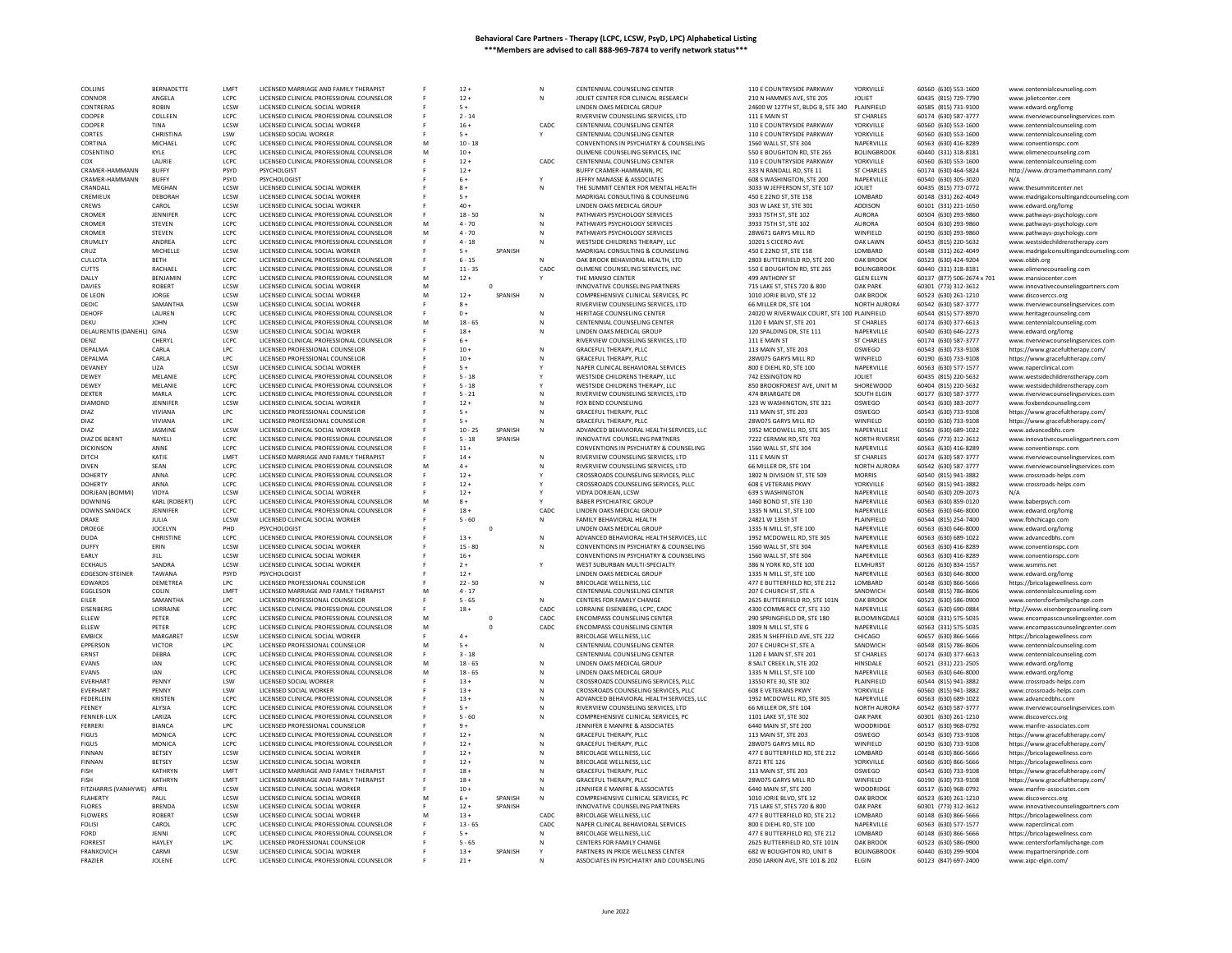| COLLINS                                   | BERNADETTE            | <b>I MFT</b>         | LICENSED MARRIAGE AND FAMILY THERAPIST                                      |   | $12 +$           |          | N      | CENTENNIAL COUNSELING CENTER                                                 | 110 E COUNTRYSIDE PARKWAY                                    | YORKVILLE                          | 60560 (630) 553-1600                         | www.centennialcounseling.com                                            |
|-------------------------------------------|-----------------------|----------------------|-----------------------------------------------------------------------------|---|------------------|----------|--------|------------------------------------------------------------------------------|--------------------------------------------------------------|------------------------------------|----------------------------------------------|-------------------------------------------------------------------------|
| CONNOR                                    | ANGELA                | LCPC                 | LICENSED CLINICAL PROFESSIONAL COUNSELOR                                    |   | $12 +$           |          |        | JOLIET CENTER FOR CLINICAL RESEARCH                                          | 210 N HAMMES AVE, STE 205                                    | JOLIET                             | 60435 (815) 729-7790                         | www.jolietcenter.com                                                    |
| CONTRERAS                                 | <b>ROBIN</b>          | <b>ICSW</b>          | LICENSED CLINICAL SOCIAL WORKER                                             |   | $5 +$            |          |        | LINDEN OAKS MEDICAL GROUP                                                    | 24600 W 127TH ST, BLDG B, STE 340                            | PLAINFIFLD                         | 60585 (815) 731-9100                         | www.edward.org/lomg                                                     |
| COOPER                                    | COLLEEN               | LCPC                 | LICENSED CLINICAL PROFESSIONAL COUNSELOR                                    |   | $2 - 14$         |          |        | RIVERVIEW COUNSELING SERVICES, LTD                                           | 111 E MAIN ST                                                | <b>ST CHARLES</b>                  | 60174 (630) 587-3777                         | www.riverviewcounselingservices.com                                     |
| COOPER                                    | TINA                  | LCSW                 | LICENSED CLINICAL SOCIAL WORKER                                             |   | $16 +$           |          | CADC   | CENTENNIAL COUNSELING CENTER                                                 | 110 E COUNTRYSIDE PARKWAY                                    | YORKVILLE                          | 60560 (630) 553-1600                         | www.centennialcounseling.com                                            |
| CORTES                                    | CHRISTINA             | LSW                  | LICENSED SOCIAL WORKER                                                      |   | $5+$             |          |        | CENTENNIAL COUNSELING CENTER                                                 | 110 E COUNTRYSIDE PARKWAY                                    | YORKVILLE                          | 60560 (630) 553-1600                         | www.centennialcounseling.con                                            |
| CORTINA                                   | MICHAEL               | LCPC                 | LICENSED CLINICAL PROFESSIONAL COUNSELOR                                    | M | $10 - 18$        |          |        | CONVENTIONS IN PSYCHIATRY & COUNSELING                                       | 1560 WALL ST, STE 304                                        | NAPERVILLE                         | 60563 (630) 416-8289                         | www.conventionspc.com                                                   |
| COSENTINO                                 | KYLE                  | LCPC                 | LICENSED CLINICAL PROFESSIONAL COUNSELOR                                    | M | $10 +$           |          |        | OLIMENE COUNSELING SERVICES. INC                                             | 550 E BOUGHTON RD. STE 265                                   | <b>BOLINGBROOK</b>                 | 60440 (331) 318-8181                         | www.olimenecounseling.com                                               |
| COX                                       | LAURIE                | LCPC                 | LICENSED CLINICAL PROFESSIONAL COUNSELOR                                    |   | $12 +$           |          | CADC   | CENTENNIAL COUNSELING CENTER                                                 | 110 E COUNTRYSIDE PARKWAY                                    | YORKVILLE                          | 60560 (630) 553-1600                         | www.centennialcounseling.com                                            |
| CRAMER-HAMMANN                            | <b>BUFFY</b>          | PSYD                 | PSYCHOLGIST                                                                 |   | $12 +$           |          |        | BUFFY CRAMER-HAMMANN, PC                                                     | 333 N RANDALL RD, STE 11                                     | <b>ST CHARLES</b>                  | 60174 (630) 464-5824                         | http://www.drcramerhammann.com,                                         |
| CRAMER-HAMMANN                            | <b>BUFFY</b>          | PSYD                 | PSYCHOLOGIST                                                                |   | $6+$             |          |        | JEFFRY MANASSE & ASSOCIATES                                                  | 608 S WASHINGTON, STE 200                                    | NAPERVILLE                         | 60540 (630) 305-3020                         |                                                                         |
| CRANDALL                                  | MEGHAN                | LCSW                 | LICENSED CLINICAL SOCIAL WORKER                                             |   | $8+$             |          | N      | THE SUMMIT CENTER FOR MENTAL HEALTH                                          | 3033 W JEFFERSON ST, STE 107                                 | <b>JOLIET</b>                      | 60435 (815) 773-0772                         | www.thesummitcenter.net                                                 |
| CREMIEUX                                  | DEBORAH               | LCSW                 | LICENSED CLINICAL SOCIAL WORKER                                             |   | $5+$             |          |        | MADRIGAL CONSULTING & COUNSELING                                             | 450 E 22ND ST, STE 158                                       | LOMBARD                            | 60148 (331) 262-4049                         | www.madrigalconsultingandcounseling.com                                 |
| CREWS                                     | CAROL                 | LCSW                 | LICENSED CLINICAL SOCIAL WORKER                                             |   | $40 +$           |          |        | LINDEN OAKS MEDICAL GROUP                                                    | 303 W LAKE ST, STE 301                                       | ADDISON                            | 60101 (331) 221-1650                         | www.edward.org/lomg                                                     |
| CROMER                                    | JENNIFER              | LCPC                 | LICENSED CLINICAL PROFESSIONAL COUNSELOR                                    |   | $18 - 50$        |          | N      | PATHWAYS PSYCHOLOGY SERVICES                                                 | 3933 75TH ST, STE 102                                        | AURORA                             | 60504 (630) 293-9860                         | www.pathways-psychology.com                                             |
| CROMER                                    | <b>STEVEN</b>         | LCPC                 | LICENSED CLINICAL PROFESSIONAL COUNSELOR                                    | M | $4 - 70$         |          | N      | PATHWAYS PSYCHOLOGY SERVICES                                                 | 3933 75TH ST. STE 102                                        | <b>AURORA</b>                      | 60504 (630) 293-9860                         | www.pathways-psychology.com                                             |
| CROMER                                    | STEVEN                | LCPC                 | LICENSED CLINICAL PROFESSIONAL COUNSELOR                                    | M | $4 - 70$         |          | N      | PATHWAYS PSYCHOLOGY SERVICES                                                 | 28W671 GARYS MILL RD                                         | WINFIELD                           | 60190 (630) 293-9860                         | www.pathways-psychology.con                                             |
| CRUMLEY                                   | ANDREA                | LCPC                 | LICENSED CLINICAL PROFESSIONAL COUNSELOR                                    |   | $4 - 18$         |          | Ν      | WESTSIDE CHILDRENS THERAPY, LLC                                              | 10201 S CICERO AVE                                           | OAK LAWN                           | 60453 (815) 220-5632                         | www.westsidechildrenstherapy.com                                        |
| CRUZ.                                     | MICHELLE              | LCSW                 | LICENSED CLINICAL SOCIAL WORKER                                             |   | $5+$             | SPANISH  |        | MADRIGAL CONSULTING & COUNSELING                                             | 450 E 22ND ST, STE 158                                       | <b>I OMBARD</b>                    | 60148 (331) 262-4049                         | www.madrigalconsultingandcounseling.com                                 |
| CULLOTA                                   | <b>BETH</b>           | LCPC                 | LICENSED CLINICAL PROFESSIONAL COUNSELOR                                    |   | $6 - 15$         |          | N      | OAK BROOK BEHAVIORAL HEALTH, LTD                                             | 2803 BUTTERFIELD RD, STE 200                                 | OAK BROOK                          | 60523 (630) 424-9204                         | www.obbh.org                                                            |
| CUTTS                                     | RACHAEL               | LCPC                 | LICENSED CLINICAL PROFESSIONAL COUNSELOR                                    |   | $11 - 35$        |          | CADC   | OLIMENE COUNSELING SERVICES. INC                                             | 550 E BOUGHTON RD, STE 265                                   | <b>BOLINGBROOK</b>                 | 60440 (331) 318-8181                         | www.olimenecounseling.com                                               |
| DALLY                                     | BENJAMIN              | LCPC                 | LICENSED CLINICAL PROFESSIONAL COUNSELOR                                    | M | $12 +$           |          |        | THE MANSIO CENTER                                                            | 499 ANTHONY ST                                               | <b>GLEN ELLYN</b>                  | 60137 (877) 506-2674 x 701                   | www.mansiocenter.com                                                    |
| <b>DAVIES</b>                             | <b>ROBERT</b>         | <b>LCSW</b>          | LICENSED CLINICAL SOCIAL WORKER                                             | M |                  | $\Omega$ |        | INNOVATIVE COUNSELING PARTNERS                                               | 715 LAKE ST. STES 720 & 800                                  | <b>OAK PARK</b>                    | 60301 (773) 312-3612                         | www.innovativecounselingpartners.com                                    |
| DE LEON                                   | JORGE                 | LCSW                 | LICENSED CLINICAL SOCIAL WORKER                                             | M | $12 +$           | SPANISH  | N      | COMPREHENSIVE CLINICAL SERVICES, PC                                          | 1010 JORIE BLVD, STE 12                                      | OAK BROOK                          | 60523 (630) 261-1210                         | www.discoverccs.org                                                     |
| DEDIC                                     | SAMANTHA              | LCSW                 | LICENSED CLINICAL SOCIAL WORKER                                             |   | $8+$             |          |        | RIVERVIEW COUNSELING SERVICES, LTD                                           | 66 MILLER DR, STE 104                                        | NORTH AURORA                       | 60542 (630) 587-3777                         | www.riverviewcounselingservices.com                                     |
| DEHOFF                                    | LAUREN                | LCPC                 | LICENSED CLINICAL PROFESSIONAL COUNSELOR                                    |   | $0 +$            |          | N      | HERITAGE COUNSELING CENTER                                                   | 24020 W RIVERWALK COURT, STE 100 PLAINFIELD                  |                                    | 60544 (815) 577-8970                         | www.heritagecounseling.com                                              |
| DEKU                                      | <b>JOHN</b>           | LCPC                 | LICENSED CLINICAL PROFESSIONAL COUNSELOR                                    | M | $18 - 65$        |          | N      | CENTENNIAL COUNSELING CENTER                                                 | 1120 E MAIN ST, STE 201                                      | <b>ST CHARLES</b>                  | 60174 (630) 377-6613                         | www.centennialcounseling.com                                            |
| DELAURENTIS (DANEHL) GINA                 |                       | <b>ICSW</b>          | LICENSED CLINICAL SOCIAL WORKER                                             |   | $18 +$           |          | Ν      | LINDEN OAKS MEDICAL GROUP                                                    | 120 SPALDING DR, STE 111                                     | NAPERVILLE                         | 60540 (630) 646-2273                         | www.edward.org/lomg                                                     |
| DENZ                                      | CHERYL                | LCPC                 | LICENSED CLINICAL PROFESSIONAL COUNSELOR                                    |   | $6+$             |          |        | RIVERVIEW COUNSELING SERVICES, LTD                                           | 111 E MAIN ST                                                | <b>ST CHARLES</b>                  | 60174 (630) 587-3777                         | www.riverviewcounselingservices.com                                     |
| DEPALMA                                   | CARLA                 | LPC                  | LICENSED PROFESSIONAL COUNSELOR                                             |   | $10 +$           |          | N      | GRACEFUL THERAPY, PLLC                                                       | 113 MAIN ST, STE 203                                         | OSWEGO                             | 60543 (630) 733-9108                         | https://www.gracefultherapy.com/                                        |
| DEPALMA                                   | CARLA                 | LPC                  | LICENSED PROFESSIONAL COUNSELOP                                             |   | $10 +$           |          |        | <b>GRACEFUL THERAPY, PLLC</b>                                                | 28W075 GARYS MILL RD                                         | WINFIELD                           | 60190 (630) 733-9108                         | https://www.gracefultherapy.com/                                        |
| DEVANEY                                   | LIZA                  | LCSW                 | LICENSED CLINICAL SOCIAL WORKER                                             |   | $5+$             |          |        | NAPER CLINICAL BEHAVIORAL SERVICES                                           | 800 E DIEHL RD, STE 100                                      | NAPERVILLE                         | 60563 (630) 577-1577                         | www.naperclinical.com                                                   |
| DEWEY                                     | MELANIE               | LCPC                 | LICENSED CLINICAL PROFESSIONAL COUNSELOR                                    |   | $5 - 18$         |          |        | WESTSIDE CHILDRENS THERAPY, LLC                                              | 742 ESSINGTON RD                                             | <b>JOLIET</b>                      | 60435 (815) 220-5632                         | www.westsidechildrenstherapy.com                                        |
| DEWEY                                     | MELANIE               | LCPC                 | LICENSED CLINICAL PROFESSIONAL COUNSELOR                                    |   | $5 - 18$         |          |        | WESTSIDE CHILDRENS THERAPY, LLC                                              | 850 BROOKFOREST AVE, UNIT M                                  | SHOREWOOD                          | 60404 (815) 220-5632                         | www.westsidechildrenstherapy.com                                        |
| DEXTER                                    | MARLA                 | LCPC                 | LICENSED CLINICAL PROFESSIONAL COUNSELOR                                    |   | $5 - 21$         |          | N      | RIVERVIEW COUNSELING SERVICES, LTD                                           | 474 BRIARGATE DR                                             | SOUTH ELGIN                        | 60177 (630) 587-3777                         | www.riverviewcounselingservices.com                                     |
| <b>DIAMOND</b>                            | JENNIFER              | LCSW                 | LICENSED CLINICAL SOCIAL WORKER                                             |   | $12 +$           |          |        | FOX BEND COUNSELING                                                          | 123 W WASHINGTON, STE 321                                    | OSWEGO                             | 60543 (630) 383-2077                         | www.foxbendcounseling.com                                               |
| DIA7                                      | VIVIANA               | LPC                  | LICENSED PROFESSIONAL COUNSELOR                                             |   | $5+$             |          | N      | <b>GRACEFUL THERAPY, PLLC</b>                                                | 113 MAIN ST, STE 203                                         | OSWEGO                             | 60543 (630) 733-9108                         | https://www.gracefultherapy.com/                                        |
| DIAZ                                      | VIVIANA               | LPC                  | LICENSED PROFESSIONAL COUNSELOP                                             |   |                  |          |        | GRACEFUL THERAPY, PLLC                                                       | 28W075 GARYS MILL RD                                         | WINFIELD                           | 60190 (630) 733-9108                         | https://www.gracefultherapy.com/                                        |
| DIAZ                                      | <b>JASMINE</b>        | LCSW                 | LICENSED CLINICAL SOCIAL WORKER                                             |   | $10 - 25$        | SPANISH  | N      | ADVANCED BEHAVIORAL HEALTH SERVICES, LLC                                     | 1952 MCDOWELL RD, STE 305                                    | NAPERVILLE                         | 60563 (630) 689-1022                         | www.advancedbhs.com                                                     |
| DIAZ DE BERNT                             | NAYELI                | LCPC                 | LICENSED CLINICAL PROFESSIONAL COUNSELOR                                    |   | $5 - 18$         | SPANISH  |        | INNOVATIVE COUNSELING PARTNERS                                               | 7222 CERMAK RD, STE 703                                      | <b>NORTH RIVERSID</b>              | 60546 (773) 312-3612                         | www.innovativecounselingpartners.com                                    |
| <b>DICKINSON</b>                          | ANNE                  | LCPC                 | LICENSED CLINICAL PROFESSIONAL COUNSELOR                                    |   | $11 +$           |          |        | CONVENTIONS IN PSYCHIATRY & COUNSELING                                       | 1560 WALL ST, STE 304                                        | NAPERVILLE                         | 60563 (630) 416-8289                         | www.conventionspc.com                                                   |
| DITCH                                     | KATIE                 | LMFT                 | LICENSED MARRIAGE AND FAMILY THERAPIST                                      |   | $14 +$           |          | N      | RIVERVIEW COUNSELING SERVICES, LTD                                           | 111 E MAIN ST                                                | ST CHARLES                         | 60174 (630) 587-3777                         | www.riverviewcounselingservices.com                                     |
| DIVEN                                     | SEAN                  | LCPC                 | LICENSED CLINICAL PROFESSIONAL COUNSELOR                                    | M | $4 +$            |          |        | RIVERVIEW COUNSELING SERVICES, LTD                                           | 66 MILLER DR, STE 104                                        | NORTH AURORA                       | 60542 (630) 587-3777                         | www.riverviewcounselingservices.com                                     |
| <b>DOHERTY</b>                            | ANNA                  | LCPC                 | LICENSED CLINICAL PROFESSIONAL COUNSELOR                                    |   | $12 +$           |          |        | CROSSROADS COUNSELING SERVICES, PLLC                                         | 1802 N DIVISION ST, STE 509                                  | <b>MORRIS</b>                      | 60540 (815) 941-3882                         | www.crossroads-helps.com                                                |
| <b>DOHERTY</b>                            | ANNA                  | LCPC                 | LICENSED CLINICAL PROFESSIONAL COUNSELOR                                    |   | $12 +$           |          |        | CROSSROADS COUNSELING SERVICES, PLLC                                         | <b>608 E VETERANS PKW</b>                                    | YORKVILLE                          | 60560 (815) 941-3882                         | www.crossroads-helps.com                                                |
| DORJEAN (BOMMI)                           | VIDYA                 | <b>ICSW</b>          | LICENSED CLINICAL SOCIAL WORKER                                             |   | $12+$            |          |        | VIDYA DORIFAN. I CSW                                                         | 639 S WASHINGTON                                             | NAPERVILLE                         | 60540 (630) 209-2073                         | N/A                                                                     |
| <b>DOWNING</b>                            | KARL (ROBERT)         | LCPC                 | LICENSED CLINICAL PROFESSIONAL COUNSELOR                                    | M |                  |          |        | <b>BABER PSYCHIATRIC GROUP</b>                                               | 1460 BOND ST, STE 130                                        | NAPERVILLE                         | 60563 (630) 859-0120                         | www.baberpsych.com                                                      |
| <b>DOWNS SANDACK</b>                      | JENNIFER              | LCPC                 | LICENSED CLINICAL PROFESSIONAL COUNSELOR                                    |   | $18 +$           |          | CADC   | LINDEN OAKS MEDICAL GROUP                                                    | 1335 N MILL ST, STE 100                                      | NAPERVILLE                         | 60563 (630) 646-8000                         | www.edward.org/lomg                                                     |
| DRAKE                                     | JULIA                 | LCSW                 | LICENSED CLINICAL SOCIAL WORKER                                             |   | $5 - 60$         |          | N      | FAMILY BEHAVIORAL HEALTH                                                     | 24821 W 135th ST                                             | PLAINFIELD                         | 60544 (815) 254-7400                         | www.fbhchicago.com                                                      |
| DROEGE                                    | <b>JOCELYN</b>        | PHD                  | PSYCHOLOGIST                                                                |   |                  |          |        | LINDEN OAKS MEDICAL GROUP                                                    | 1335 N MILL ST, STE 100                                      | NAPERVILLE                         | 60563 (630) 646-8000                         | www.edward.org/lomg                                                     |
| <b>DUDA</b>                               | CHRISTINE             | LCPC                 | LICENSED CLINICAL PROFESSIONAL COUNSELOR                                    |   | $13 +$           |          | N      | ADVANCED BEHAVIORAL HEALTH SERVICES, LLC                                     | 1952 MCDOWELL RD, STE 305                                    | NAPERVILLE                         | 60563 (630) 689-1022                         | www.advancedbhs.con                                                     |
| DUFFY                                     | ERIN                  | LCSW                 | LICENSED CLINICAL SOCIAL WORKER                                             |   | $15 - 80$        |          | N      | CONVENTIONS IN PSYCHIATRY & COUNSELING                                       | 1560 WALL ST, STE 304                                        | NAPERVILLE                         | 60563 (630) 416-8289                         | www.conventionspc.com                                                   |
| EARLY                                     | JILL                  | LCSW                 | LICENSED CLINICAL SOCIAL WORKER                                             |   | $16 +$           |          |        | CONVENTIONS IN PSYCHIATRY & COUNSELING                                       | 1560 WALL ST, STE 304                                        | NAPERVILLE                         | 60563 (630) 416-8289                         | www.conventionspc.com                                                   |
| <b>ECKHAUS</b>                            | <b>SANDRA</b>         | LCSW                 | LICENSED CLINICAL SOCIAL WORKER                                             |   | $2+$             |          |        | WEST SUBURBAN MULTI-SPECIALTY                                                | 386 N YORK RD, STE 100                                       | <b>ELMHURST</b>                    | 60126 (630) 834-1557                         | www.wsmms.net                                                           |
| <b>EDGESON-STEINER</b>                    | TAWANA                | PSYD                 | PSYCHOLOGIST                                                                |   | $12 +$           |          |        | LINDEN OAKS MEDICAL GROUP                                                    | 1335 N MILL ST, STE 100                                      | NAPERVILLE                         | 60563 (630) 646-8000                         | www.edward.org/lomg                                                     |
| <b>EDWARDS</b>                            | DEMETREA              | LPC                  | LICENSED PROFESSIONAL COUNSELOR                                             |   | $22 - 50$        |          | N      | BRICOLAGE WELLNESS, LLC                                                      | 477 E BUTTERFIELD RD, STE 212                                | LOMBARD                            | 60148 (630) 866-566                          |                                                                         |
| EGGLESON                                  | COLIN                 | LMFT                 | LICENSED MARRIAGE AND FAMILY THERAPIST                                      | M | $4 - 17$         |          |        | CENTENNIAL COUNSELING CENTER                                                 | 207 E CHURCH ST. STE A                                       | SANDWICH                           | 60548 (815) 786-8606                         | https://bricolagewellness.com<br>www.centennialcounseling.com           |
| EILER                                     | SAMANTHA              | LPC                  | LICENSED PROFESSIONAL COUNSELOR                                             |   | $5 - 65$         |          | N      | CENTERS FOR FAMILY CHANGE                                                    | 2625 BUTTERFIELD RD, STE 101N                                | OAK BROOK                          | 60523 (630) 586-0900                         | www.centersforfamilychange.com                                          |
| EISENBERG                                 | LORRAINE              | LCPC                 | LICENSED CLINICAL PROFESSIONAL COUNSELOR                                    |   | $18 +$           |          | CADC.  | LORRAINE EISENBERG, LCPC, CADC                                               | 4300 COMMERCE CT, STE 310                                    | NAPERVILLE                         | 60563 (630) 690-0884                         |                                                                         |
| ELLEW                                     | PETER                 | LCPC                 | LICENSED CLINICAL PROFESSIONAL COUNSELOR                                    | M |                  | $\Omega$ | CADC   | <b>ENCOMPASS COUNSELING CENTER</b>                                           | 290 SPRINGFIELD DR, STE 180                                  | BLOOMINGDALE                       | 60108 (331) 575-5035                         | http://www.eisenbergcounseling.com<br>www.encompasscounselingcenter.com |
| ELLEW                                     | PETER                 | LCPC                 | LICENSED CLINICAL PROFESSIONAL COUNSELOF                                    |   |                  |          | CADC   | <b>ENCOMPASS COUNSELING CENTER</b>                                           | 1809 N MILL ST, STE G                                        | NAPERVILLE                         | 60563 (331) 575-5035                         | www.encompasscounselingcenter.com                                       |
| <b>FMBICK</b>                             | <b>MARGARET</b>       | LCSW                 | LICENSED CLINICAL SOCIAL WORKER                                             |   | $4+$             |          |        | BRICOLAGE WELLNESS, LLC                                                      | 2835 N SHEFFIELD AVE, STE 222                                | CHICAGO                            | 60657 (630) 866-5666                         | https://bricolagewellness.com                                           |
| <b>EPPERSON</b>                           | VICTOR                | LPC                  | LICENSED PROFESSIONAL COUNSELOF                                             | M | $5+$             |          | N      | CENTENNIAL COUNSELING CENTER                                                 | 207 E CHURCH ST, STE A                                       | SANDWICH                           | 60548 (815) 786-8606                         | www.centennialcounseling.com                                            |
| <b>FRNST</b>                              | DEBRA                 | LCPC                 | LICENSED CLINICAL PROFESSIONAL COUNSELOR                                    |   | $3 - 18$         |          |        | CENTENNIAL COUNSELING CENTER                                                 | 1120 F MAIN ST. STE 201                                      | <b>ST CHARLES</b>                  | 60174 (630) 377-6613                         | www.centennialcounseling.com                                            |
| EVANS                                     | IAN                   | LCPC                 | LICENSED CLINICAL PROFESSIONAL COUNSELOR                                    | M | $18 - 65$        |          | N      | LINDEN OAKS MEDICAL GROUP                                                    | 8 SALT CREEK LN, STE 202                                     | HINSDALE                           | 60521 (331) 221-2505                         | www.edward.org/lomg                                                     |
| EVANS                                     | <b>JAN</b>            | LCPC                 | LICENSED CLINICAL PROFESSIONAL COUNSELOR                                    | M | $18 - 65$        |          | N      | LINDEN OAKS MEDICAL GROUP                                                    | 1335 N MILL ST, STE 100                                      | NAPERVILLE                         | 60563 (630) 646-8000                         | www.edward.org/lomg                                                     |
| <b>EVERHART</b>                           | PENNY                 | LSW                  | LICENSED SOCIAL WORKER                                                      |   | $13 +$           |          | N      | CROSSROADS COUNSELING SERVICES, PLLC                                         | 13550 RTE 30, STE 302                                        | PLAINFIELD                         | 60544 (815) 941-3882                         | www.crossroads-helps.con                                                |
| EVERHART                                  | PENNY                 | LSW                  | LICENSED SOCIAL WORKER                                                      |   | $13 +$           |          |        | CROSSROADS COUNSELING SERVICES, PLLC                                         | <b>608 E VETERANS PKWY</b>                                   | YORKVILLE                          | 60560 (815) 941-3882                         | www.crossroads-helps.com                                                |
| FEDERLEIN                                 | <b>KRISTEN</b>        | LCPC.                | LICENSED CLINICAL PROFESSIONAL COUNSELOR                                    |   | $13 +$           |          | N      | ADVANCED BEHAVIORAL HEALTH SERVICES, LLC                                     | 1952 MCDOWELL RD, STE 305                                    | NAPERVILLE                         | 60563 (630) 689-1022                         | www.advancedbhs.com                                                     |
| FEENEY                                    | ALYSIA                | LCPC                 | LICENSED CLINICAL PROFESSIONAL COUNSELOR                                    |   | $5+$             |          |        | RIVERVIEW COUNSELING SERVICES, LTD                                           | 66 MILLER DR. STE 104                                        | NORTH AURORA                       | 60542 (630) 587-3777                         | www.riverviewcounselingservices.com                                     |
| FFNNFR-IUX                                | I ARIZA               | LCPC                 | LICENSED CLINICAL PROFESSIONAL COUNSELOR                                    |   | $5 - 60$         |          | Ν      | COMPREHENSIVE CLINICAL SERVICES, PC                                          | 1101 LAKE ST. STE 302                                        | <b>OAK PARK</b>                    | 60301 (630) 261-1210                         |                                                                         |
| FERRERI                                   | <b>BIANCA</b>         | LPC                  | LICENSED PROFESSIONAL COUNSELOP                                             |   |                  |          |        | JENNIFER E MANFRE & ASSOCIATES                                               | 6440 MAIN ST, STE 200                                        | WOODRIDGE                          | 60517 (630) 968-0792                         | www.discoverccs.org<br>www.manfre-associates.com                        |
| <b>FIGUS</b>                              | <b>MONICA</b>         | LCPC                 | LICENSED CLINICAL PROFESSIONAL COUNSELOR                                    |   | $12 +$           |          | N      | <b>GRACEFUL THERAPY, PLLC</b>                                                | 113 MAIN ST, STE 203                                         | OSWEGO                             | 60543 (630) 733-9108                         | https://www.gracefultherapy.com/                                        |
| <b>FIGUS</b>                              | <b>MONICA</b>         | LCPC                 |                                                                             |   | $12 +$           |          | N      |                                                                              |                                                              |                                    |                                              |                                                                         |
| <b>FINNAN</b>                             | <b>BETSEY</b>         | LCSW                 | LICENSED CLINICAL PROFESSIONAL COUNSELOR<br>LICENSED CLINICAL SOCIAL WORKER |   | $12 +$           |          | N      | GRACEFUL THERAPY, PLLC<br><b>BRICOLAGE WELLNESS, LLC</b>                     | 28W075 GARYS MILL RD                                         | WINFIELD<br>LOMBARD                | 60190 (630) 733-9108<br>60148 (630) 866-5666 | https://www.gracefultherapy.com/                                        |
|                                           |                       |                      |                                                                             |   |                  |          |        |                                                                              | 477 E BUTTERFIELD RD, STE 212                                |                                    |                                              | https://bricolagewellness.com                                           |
| FINNAN<br><b>FISH</b>                     | BETSEY<br>KATHRYN     | LCSW<br>LMFT         | LICENSED CLINICAL SOCIAL WORKER<br>LICENSED MARRIAGE AND FAMILY THERAPIST   |   | $12 +$<br>$18 -$ |          | N<br>N | BRICOLAGE WELLNESS, LLC<br><b>GRACEFUL THERAPY, PLLC</b>                     | 8721 RTE 126<br>113 MAIN ST, STE 203                         | YORKVILLE<br>OSWEGO                | 60560 (630) 866-5666<br>60543 (630) 733-9108 | https://bricolagewellness.com                                           |
|                                           |                       |                      |                                                                             |   |                  |          |        |                                                                              |                                                              |                                    |                                              | https://www.gracefultherapy.com/                                        |
| <b>FISH</b><br>FITZHARRIS (VANHYWE) APRIL | KATHRYN               | <b>I MFT</b><br>LCSW | LICENSED MARRIAGE AND FAMILY THERAPIST<br>LICENSED CLINICAL SOCIAL WORKER   |   | $18 +$<br>$10 +$ |          | N      | GRACEFUL THERAPY, PLLC<br>JENNIFER E MANFRE & ASSOCIATES                     | 28W075 GARYS MILL RD<br>6440 MAIN ST, STE 200                | WINFIELD<br>WOODRIDGE              | 60190 (630) 733-9108<br>60517 (630) 968-0792 | https://www.gracefultherapy.com/<br>www.manfre-associates.com           |
|                                           |                       | LCSW                 |                                                                             |   |                  | SPANISH  |        |                                                                              |                                                              |                                    |                                              |                                                                         |
| <b>FLAHERTY</b>                           | PAUL                  |                      | LICENSED CLINICAL SOCIAL WORKER                                             | N | $6+$             |          | N      | COMPREHENSIVE CLINICAL SERVICES, PC                                          | 1010 JORIE BLVD, STE 12                                      | <b>OAK BROOK</b>                   | 60523 (630) 261-1210                         | www.discoverccs.org                                                     |
| <b>FLORES</b>                             | <b>BRENDA</b>         | LCSW<br>LCSW         | LICENSED CLINICAL SOCIAL WORKER                                             |   | $12 +$           | SPANISH  | CADC   | INNOVATIVE COUNSELING PARTNERS                                               | 715 LAKE ST, STES 720 & 800<br>477 E BUTTERFIELD RD. STE 212 | <b>OAK PARK</b>                    | 60301 (773) 312-3612                         | www.innovativecounselingpartners.com                                    |
| <b>FLOWERS</b>                            | <b>ROBERT</b>         |                      | LICENSED CLINICAL SOCIAL WORKER                                             |   | $13 +$           |          |        | BRICOLAGE WELLNESS, LLC                                                      |                                                              | LOMBARD                            | 60148 (630) 866-5666                         | https://bricolagewellness.com                                           |
| <b>FOLISI</b><br><b>FORD</b>              | CAROL<br><b>IFNNI</b> | LCPC                 | LICENSED CLINICAL PROFESSIONAL COUNSELOR                                    |   | $13 - 65$        |          | CADC   | NAPER CLINICAL BEHAVIORAL SERVICES                                           | 800 E DIEHL RD, STE 100                                      | NAPERVILLE<br><b>I OMBARD</b>      | 60563 (630) 577-1577                         | www.naperclinical.com                                                   |
|                                           |                       | LCPC                 | LICENSED CLINICAL PROFESSIONAL COUNSELOR                                    |   | $5+$             |          | N      | <b>BRICOLAGE WELLNESS, LLC</b>                                               | 477 E BUTTERFIELD RD. STE 212                                |                                    | 60148 (630) 866-5666                         | https://bricolagewellness.com                                           |
| <b>FORREST</b>                            | HAYLEY                | LPC.                 | LICENSED PROFESSIONAL COUNSELOR                                             |   | $5 - 65$         |          |        | CENTERS FOR FAMILY CHANGE                                                    | 2625 BUTTERFIELD RD. STE 101N                                | OAK BROOK                          | 60523 (630) 586-0900                         | www.centersforfamilychange.com                                          |
| <b>FRANKOVICH</b>                         | CARMI                 | LCSW                 | LICENSED CLINICAL SOCIAL WORKER<br>LICENSED CLINICAL PROFESSIONAL COUNSELOR |   | $13 +$<br>$21 +$ | SPANISH  |        | PARTNERS IN PRIDE WELLNESS CENTER<br>ASSOCIATES IN PSYCHIATRY AND COUNSELING | 682 W BOUGHTON RD, UNIT B<br>2050 LARKIN AVE, STE 101 & 202  | <b>BOLINGBROOK</b><br><b>FIGIN</b> | 60440 (630) 299-9004<br>60123 (847) 697-2400 | www.mypartnersinpride.com<br>www.aipc-elgin.com/                        |
| <b>FRAZIER</b>                            | <b>JOLENE</b>         | LCPC.                |                                                                             |   |                  |          |        |                                                                              |                                                              |                                    |                                              |                                                                         |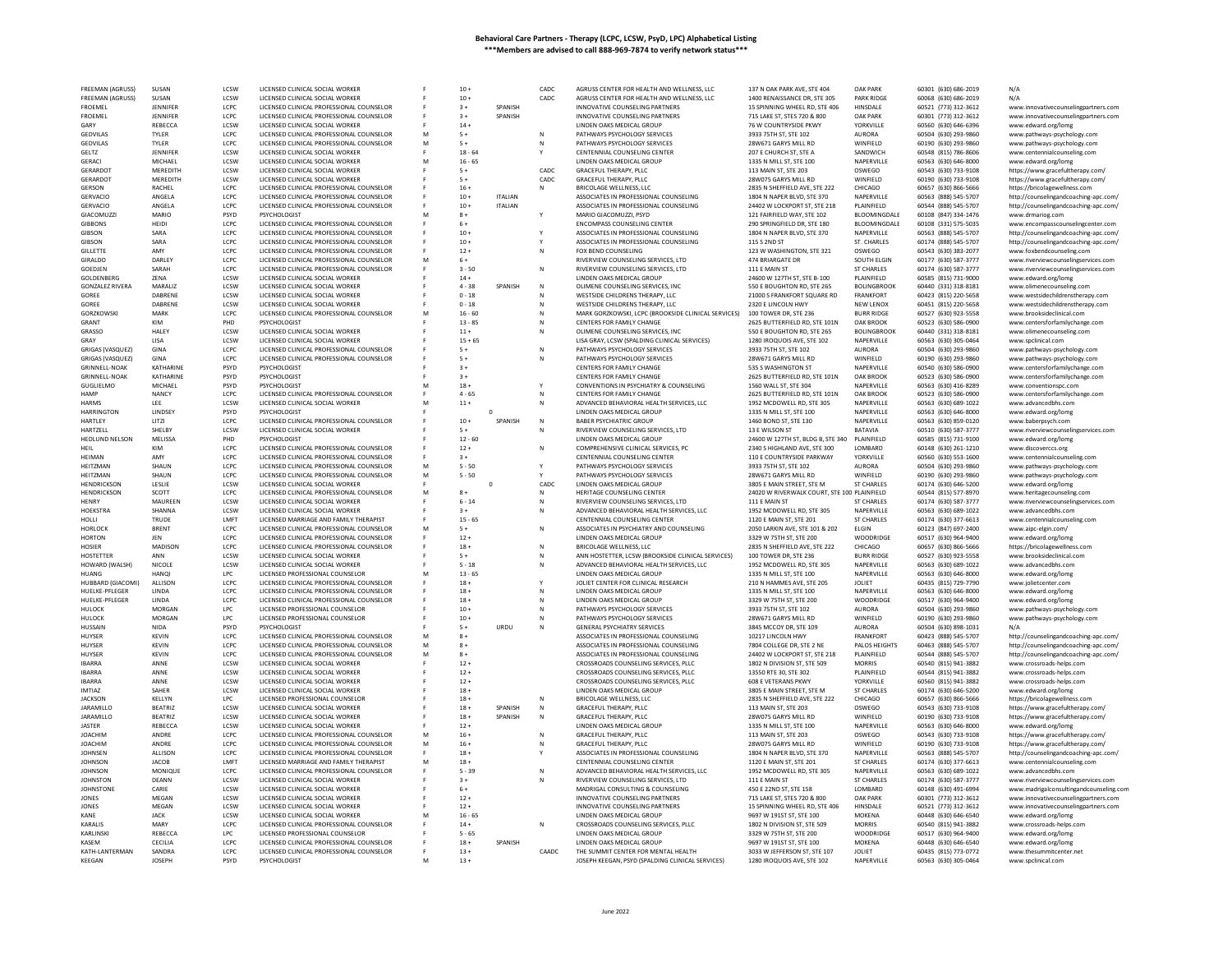| FREEMAN (AGRUSS)         | SUSAN                   | LCSW                | LICENSED CLINICAL SOCIAL WORKER                          |   | $10 +$          |                | CADC  | AGRUSS CENTER FOR HEALTH AND WELLNESS, LLC                                              | 137 N OAK PARK AVE, STE 404                                | <b>OAK PARK</b>             | 60301 (630) 686-2019                         | N/A                                                               |
|--------------------------|-------------------------|---------------------|----------------------------------------------------------|---|-----------------|----------------|-------|-----------------------------------------------------------------------------------------|------------------------------------------------------------|-----------------------------|----------------------------------------------|-------------------------------------------------------------------|
| <b>FREEMAN (AGRUSS)</b>  | SUSAN                   | LCSW                | LICENSED CLINICAL SOCIAL WORKER                          |   | $10 +$          |                | CADC  | AGRUSS CENTER FOR HEALTH AND WELLNESS. LLC                                              | 1400 RENAISSANCE DR. STE 305                               | <b>PARK RIDGE</b>           | 60068 (630) 686-2019                         | N/A                                                               |
| FROEMEL                  | JENNIFER                | LCPC.               | LICENSED CLINICAL PROFESSIONAL COUNSELOR                 |   | $3+$            | SPANISH        |       | INNOVATIVE COUNSELING PARTNERS                                                          | 15 SPINNING WHEEL RD, STE 406                              | HINSDALE                    | 60521 (773) 312-3612                         | www.innovativecounselingpartners.com                              |
| <b>FROEMEL</b>           | JENNIFER                | LCPC                | LICENSED CLINICAL PROFESSIONAL COUNSELOR                 |   | $3+$            | SPANISH        |       | INNOVATIVE COUNSELING PARTNERS                                                          | 715 LAKE ST, STES 720 & 800                                | <b>OAK PARK</b>             | 60301 (773) 312-3612                         | www.innovativecounselingpartners.com                              |
| GARY                     | REBECCA                 | LCSW                | LICENSED CLINICAL SOCIAL WORKER                          |   | $14 +$          |                |       | LINDEN OAKS MEDICAL GROUP                                                               | 76 W COUNTRYSIDE PKWY                                      | YORKVILLE                   | 60560 (630) 646-6396                         | www.edward.org/lomg                                               |
| <b>GEDVILAS</b>          | <b>TYLER</b>            | LCPC                | LICENSED CLINICAL PROFESSIONAL COUNSELOR                 | M | $5+$            |                |       | PATHWAYS PSYCHOLOGY SERVICES                                                            | 3933 75TH ST, STE 102                                      | <b>AURORA</b>               | 60504 (630) 293-9860                         | www.pathways-psychology.com                                       |
|                          | <b>TYLER</b>            | LCPC                | LICENSED CLINICAL PROFESSIONAL COUNSELOR                 | M | $5+$            |                | N     | PATHWAYS PSYCHOLOGY SERVICES                                                            | 28W671 GARYS MILL RD                                       | WINFIELD                    |                                              |                                                                   |
| <b>GEDVILAS</b>          |                         |                     |                                                          |   |                 |                |       |                                                                                         |                                                            |                             | 60190 (630) 293-9860                         | www.pathways-psychology.com                                       |
| GELTZ                    | JENNIFER                | LCSW<br>LCSW        | LICENSED CLINICAL SOCIAL WORKER                          | M | $18 - 64$       |                |       | CENTENNIAL COUNSELING CENTER                                                            | 207 E CHURCH ST, STE A                                     | SANDWICH                    | 60548 (815) 786-8606                         | www.centennialcounseling.com                                      |
| GERACI                   | MICHAEL                 |                     | LICENSED CLINICAL SOCIAL WORKER                          |   | $16 - 65$       |                |       | LINDEN OAKS MEDICAL GROUP                                                               | 1335 N MILL ST, STE 100                                    | NAPERVILLE                  | 60563 (630) 646-8000                         | www.edward.org/lomg                                               |
| <b>GERARDOT</b>          | MEREDITH                | LCSW                | LICENSED CLINICAL SOCIAL WORKER                          |   | $5+$            |                | CADC  | GRACEFUL THERAPY, PLLC                                                                  | 113 MAIN ST, STE 203                                       | OSWEGO                      | 60543 (630) 733-9108                         | https://www.gracefultherapy.com/                                  |
| <b>GERARDOT</b>          | MEREDITH                | LCSW                | LICENSED CLINICAL SOCIAL WORKER                          |   | $5+$            |                | CADC  | <b>GRACEFUL THERAPY, PLLC</b>                                                           | 28W075 GARYS MILL RD                                       | WINFIELD                    | 60190 (630) 733-9108                         | https://www.gracefultherapy.com/                                  |
| GERSON                   | RACHEL                  | LCPC                | LICENSED CLINICAL PROFESSIONAL COUNSELOR                 |   | $16 -$          |                | N     | BRICOLAGE WELLNESS, LLC                                                                 | 2835 N SHEFFIELD AVE, STE 222                              | CHICAGO                     | 60657 (630) 866-5666                         | https://bricolagewellness.com                                     |
| GERVACIO                 | ANGELA                  | LCPC                | LICENSED CLINICAL PROFESSIONAL COUNSELOR                 |   | $10 +$          | <b>ITALIAN</b> |       | ASSOCIATES IN PROFESSIONAL COUNSELING                                                   | 1804 N NAPER BLVD, STE 370                                 | NAPERVILLE                  | 60563 (888) 545-5707                         | http://counselingandcoaching-apc.com/                             |
| <b>GERVACIO</b>          | ANGELA                  | LCPC                | LICENSED CLINICAL PROFESSIONAL COUNSELOR                 |   | $10 +$          | <b>ITALIAN</b> |       | ASSOCIATES IN PROFESSIONAL COUNSELING                                                   | 24402 W LOCKPORT ST. STE 218                               | PLAINFIELD                  | 60544 (888) 545-5707                         | http://counselingandcoaching-apc.com/                             |
| GIACOMUZZI               | MARIO                   | PSYD                | PSYCHOLOGIST                                             |   | $8+$            |                |       | MARIO GIACOMUZZI, PSYD                                                                  | 121 FAIRFIELD WAY, STE 102                                 | BLOOMINGDALE                | 60108 (847) 334-1476                         | www.drmariog.com                                                  |
| <b>GIBBONS</b>           | HFIDI                   | LCPC                | LICENSED CLINICAL PROFESSIONAL COUNSELOR                 |   | $6+$            |                |       | <b>ENCOMPASS COUNSELING CENTER</b>                                                      | 290 SPRINGFIELD DR. STE 180                                | <b>BLOOMINGDALE</b>         | 60108 (331) 575-5035                         | www.encompasscounselingcenter.com                                 |
| <b>GIBSON</b>            | SARA                    | LCPC                | LICENSED CLINICAL PROFESSIONAL COUNSELOR                 |   | $10 +$          |                |       | ASSOCIATES IN PROFESSIONAL COUNSELING                                                   | 1804 N NAPER BLVD, STE 370                                 | NAPERVILLE                  | 60563 (888) 545-5707                         | http://counselingandcoaching-apc.com,                             |
| <b>GIBSON</b>            | SARA                    | LCPC                | LICENSED CLINICAL PROFESSIONAL COUNSELOR                 |   | $10 +$          |                |       | ASSOCIATES IN PROFESSIONAL COUNSELING                                                   | 115 S 2ND ST                                               | ST. CHARLES                 | 60174 (888) 545-5707                         | http://counselingandcoaching-apc.com/                             |
| <b>GILLETTE</b>          | AMY                     | LCPC                | LICENSED CLINICAL PROFESSIONAL COUNSELOR                 |   | $12 +$          |                | N     | FOX BEND COUNSELING                                                                     | 123 W WASHINGTON, STE 321                                  | OSWEGO                      | 60543 (630) 383-2077                         | www.foxbendcounseling.com                                         |
| GIRALDO                  | DARLEY                  | LCPC                | LICENSED CLINICAL PROFESSIONAL COUNSELOR                 | M | $6+$            |                |       | RIVERVIEW COUNSELING SERVICES, LTD                                                      | 474 BRIARGATE DR                                           | SOUTH ELGIN                 | 60177 (630) 587-3777                         | www.riverviewcounselingservices.com                               |
| GOEDJEN                  | SARAH                   | LCPC                | LICENSED CLINICAL PROFESSIONAL COUNSELOR                 |   | $3 - 50$        |                | N     | RIVERVIEW COUNSELING SERVICES, LTD                                                      | 111 E MAIN ST                                              | <b>ST CHARLES</b>           | 60174 (630) 587-3777                         | www.riverviewcounselingservices.com                               |
| GOLDENBERG               | ZENA                    | LCSW                | LICENSED CLINICAL SOCIAL WORKER                          |   | $14 +$          |                |       | LINDEN OAKS MEDICAL GROUP                                                               | 24600 W 127TH ST, STE B-100                                | PLAINFIELD                  | 60585 (815) 731-9000                         | www.edward.org/lomg                                               |
|                          |                         |                     |                                                          |   |                 |                | N     |                                                                                         |                                                            |                             |                                              |                                                                   |
| <b>GONZALEZ RIVERA</b>   | MARALIZ                 | LCSW                | LICENSED CLINICAL SOCIAL WORKER                          |   | $4 - 38$        | SPANISH        |       | OLIMENE COUNSELING SERVICES. INC                                                        | 550 E BOUGHTON RD. STE 265                                 | <b>BOLINGBROOK</b>          | 60440 (331) 318-8181                         | www.olimenecounseling.con                                         |
| GOREE                    | DABRENE                 | LCSW                | LICENSED CLINICAL SOCIAL WORKER                          |   | $0 - 18$        |                |       | WESTSIDE CHILDRENS THERAPY, LLC                                                         | 21000 S FRANKFORT SQUARE RD                                | FRANKFORT                   | 60423 (815) 220-5658                         | www.westsidechildrenstherapy.com                                  |
| GOREE                    | DABRENE                 | LCSW                | LICENSED CLINICAL SOCIAL WORKER                          |   | $0 - 18$        |                |       | WESTSIDE CHILDRENS THERAPY, LLC                                                         | 2320 E LINCOLN HWY                                         | NEW LENOX                   | 60451 (815) 220-5658                         | www.westsidechildrenstherapy.com                                  |
| <b>GORZKOWSKI</b>        | MARK                    | LCPC                | LICENSED CLINICAL PROFESSIONAL COUNSELOR                 |   | $16 - 60$       |                |       | MARK GORZKOWSKI, LCPC (BROOKSIDE CLINICAL SERVICES)                                     | 100 TOWER DR, STE 236                                      | <b>BURR RIDGE</b>           | 60527 (630) 923-5558                         | www.brooksideclinical.com                                         |
| GRANT                    | KIM                     | PHD                 | PSYCHOLOGIST                                             |   | $13 - 85$       |                |       | CENTERS FOR FAMILY CHANGE                                                               | 2625 BUTTERFIELD RD, STE 101N                              | OAK BROOK                   | 60523 (630) 586-0900                         | www.centersforfamilychange.com                                    |
| GRASSO                   | HALEY                   | LCSW                | LICENSED CLINICAL SOCIAL WORKER                          |   | $11 +$          |                |       | OLIMENE COUNSELING SERVICES, INC                                                        | 550 E BOUGHTON RD, STE 265                                 | <b>BOLINGBROOK</b>          | 60440 (331) 318-8181                         | www.olimenecounseling.cor                                         |
| GRAY                     | LISA                    | LCSW                | LICENSED CLINICAL SOCIAL WORKER                          |   | $15 + 65$       |                |       | LISA GRAY, LCSW (SPALDING CLINICAL SERVICES)                                            | 1280 IROQUOIS AVE, STE 102                                 | NAPERVILLE                  | 60563 (630) 305-0464                         | www.spclinical.com                                                |
| <b>GRIGAS (VASQUEZ)</b>  | GINA                    | LCPC                | LICENSED CLINICAL PROFESSIONAL COUNSELOR                 |   | $5+$            |                | N     | PATHWAYS PSYCHOLOGY SERVICES                                                            | 3933 75TH ST, STE 102                                      | <b>AURORA</b>               | 60504 (630) 293-9860                         | www.pathways-psychology.com                                       |
| <b>GRIGAS (VASQUEZ)</b>  | GINA                    | LCPC                | LICENSED CLINICAL PROFESSIONAL COUNSELOR                 |   | $5+$            |                |       | PATHWAYS PSYCHOLOGY SERVICES                                                            | 28W671 GARYS MILL RD                                       | WINFIELD                    | 60190 (630) 293-9860                         | www.pathways-psychology.com                                       |
| GRINNELL-NOAK            | KATHARINI               | <b>PSYD</b>         | PSYCHOLOGIST                                             |   | $3 +$           |                |       | CENTERS FOR FAMILY CHANGE                                                               | 535 S WASHINGTON ST                                        | NAPERVILLE                  | 60540 (630) 586-0900                         | www.centersforfamilychange.com                                    |
| <b>GRINNELL-NOAK</b>     | KATHARINI               | PSYD                | PSYCHOLOGIST                                             |   | $3+$            |                |       | CENTERS FOR FAMILY CHANGE                                                               | 2625 BUTTERFIELD RD, STE 101N                              | OAK BROOK                   | 60523 (630) 586-0900                         | www.centersforfamilychange.com                                    |
| GUGLIELMO                | MICHAEL                 | PSYD                | PSYCHOLOGIST                                             | M | $18 +$          |                |       | CONVENTIONS IN PSYCHIATRY & COUNSELING                                                  | 1560 WALL ST, STE 304                                      | NAPERVILLE                  | 60563 (630) 416-8289                         | www.conventionspc.com                                             |
| <b>HAMP</b>              | <b>NANCY</b>            | LCPC                | LICENSED CLINICAL PROFESSIONAL COUNSELOR                 |   | $4 - 65$        |                |       | CENTERS FOR FAMILY CHANGE                                                               | 2625 BUTTERFIELD RD, STE 101N                              | OAK BROOK                   | 60523 (630) 586-0900                         | www.centersforfamilychange.com                                    |
| <b>HARMS</b>             | LEE                     | LCSW                | LICENSED CLINICAL SOCIAL WORKER                          |   | $11 +$          |                |       | ADVANCED BEHAVIORAL HEALTH SERVICES, LLC                                                | 1952 MCDOWELL RD, STE 305                                  | NAPERVILLE                  | 60563 (630) 689-1022                         | www.advancedbhs.com                                               |
| <b>HARRINGTON</b>        | LINDSEY                 | PSYD                | PSYCHOLOGIST                                             |   |                 | $\Omega$       |       | LINDEN OAKS MEDICAL GROUP                                                               |                                                            | NAPERVILLE                  | 60563 (630) 646-8000                         |                                                                   |
| HARTLEY                  | LITZI                   | LCPC                | LICENSED CLINICAL PROFESSIONAL COUNSELOR                 |   | $10 +$          | SPANISH        | N     | <b>BABER PSYCHIATRIC GROUP</b>                                                          | 1335 N MILL ST, STE 100<br>1460 BOND ST, STE 130           | NAPERVILLE                  | 60563 (630) 859-0120                         | www.edward.org/lomg                                               |
|                          |                         |                     |                                                          |   |                 |                |       |                                                                                         |                                                            |                             |                                              | www.baberpsych.com                                                |
| HARTZELL                 | <b>SHELBY</b>           | LCSW                | LICENSED CLINICAL SOCIAL WORKER                          |   | $5+$            |                | Ν     | RIVERVIEW COUNSELING SERVICES, LTD                                                      | 13 E WILSON ST                                             | BATAVIA                     | 60510 (630) 587-3777                         | www.riverviewcounselingservices.com                               |
| <b>HEDLUND NELSON</b>    | MELISSA                 | PHD                 | PSYCHOLOGIST                                             |   | $12 - 60$       |                |       | LINDEN OAKS MEDICAL GROUP                                                               | 24600 W 127TH ST, BLDG B, STE 340                          | PLAINFIELD                  | 60585 (815) 731-9100                         | www.edward.org/lomg                                               |
| <b>HEIL</b>              | KIM                     | LCPC                | LICENSED CLINICAL PROFESSIONAL COUNSELOR                 |   | $12 +$          |                | N     | COMPREHENSIVE CLINICAL SERVICES, PC                                                     | 2340 S HIGHLAND AVE, STE 300                               | LOMBARD                     | 60148 (630) 261-1210                         | www.discoverccs.org                                               |
| HEIMAN                   | AMY                     | LCPC                | LICENSED CLINICAL PROFESSIONAL COUNSELOR                 |   | $3+$            |                |       | CENTENNIAL COUNSELING CENTER                                                            | 110 E COUNTRYSIDE PARKWAY                                  | YORKVILLE                   | 60560 (630) 553-1600                         | www.centennialcounseling.com                                      |
| HEITZMAN                 | SHAUN                   | LCPC                | LICENSED CLINICAL PROFESSIONAL COUNSELOR                 | M | $5 - 50$        |                |       | PATHWAYS PSYCHOLOGY SERVICES                                                            | 3933 75TH ST. STE 102                                      | <b>AURORA</b>               | 60504 (630) 293-9860                         | www.pathways-psychology.com                                       |
| HEITZMAN                 | SHAUN                   | LCPC                | LICENSED CLINICAL PROFESSIONAL COUNSELOR                 | M | $5 - 50$        |                |       | PATHWAYS PSYCHOLOGY SERVICES                                                            | 28W671 GARYS MILL RD                                       | WINFIELD                    | 60190 (630) 293-9860                         | www.pathways-psychology.com                                       |
| <b>HENDRICKSON</b>       | LESLIE                  | LCSW                | LICENSED CLINICAL SOCIAL WORKER                          |   |                 | $\Omega$       | CADC  | LINDEN OAKS MEDICAL GROUP                                                               | 3805 E MAIN STREET. STE M                                  | <b>ST CHARLES</b>           | 60174 (630) 646-5200                         | www.edward.org/lomg                                               |
| HENDRICKSON              | SCOTT                   | LCPC                | LICENSED CLINICAL PROFESSIONAL COUNSELOR                 | M | $8+$            |                | N     | HERITAGE COUNSELING CENTER                                                              | 24020 W RIVERWALK COURT, STE 100 PLAINFIELD                |                             | 60544 (815) 577-8970                         | www.heritagecounseling.com                                        |
|                          |                         |                     |                                                          |   |                 |                |       | RIVERVIEW COUNSELING SERVICES, LTD                                                      | 111 E MAIN ST                                              | <b>ST CHARLES</b>           | 60174 (630) 587-3777                         | www.riverviewcounselingservices.com                               |
| HENRY                    | MAUREEN                 | LCSW                | LICENSED CLINICAL SOCIAL WORKER                          |   | $6 - 14$        |                |       |                                                                                         |                                                            |                             |                                              |                                                                   |
| <b>HOFKSTRA</b>          | SHANNA                  | <b>LCSW</b>         | LICENSED CLINICAL SOCIAL WORKER                          |   | $3 +$           |                | N     | ADVANCED BEHAVIORAL HEALTH SERVICES, LLC                                                |                                                            | NAPERVILLE                  | 60563 (630) 689-1022                         | www.advancedbhs.com                                               |
|                          |                         |                     |                                                          |   |                 |                |       |                                                                                         | 1952 MCDOWELL RD, STE 305                                  |                             |                                              |                                                                   |
| HOLLI                    | TRUDE                   | LMFT                | LICENSED MARRIAGE AND FAMILY THERAPIST                   | M | $15 - 65$       |                |       | CENTENNIAL COUNSELING CENTER                                                            | 1120 E MAIN ST, STE 201                                    | <b>ST CHARLES</b>           | 60174 (630) 377-6613                         | www.centennialcounseling.com                                      |
| <b>HORLOCK</b>           | <b>BRENT</b>            | LCPC                | LICENSED CLINICAL PROFESSIONAL COUNSELOR                 |   | $5+$            |                |       | ASSOCIATES IN PSYCHIATRY AND COUNSELING                                                 | 2050 LARKIN AVE, STE 101 & 202                             | ELGIN                       | 60123 (847) 697-2400                         | www.aipc-elgin.com/                                               |
| <b>HORTON</b>            | JEN                     | LCPC                | LICENSED CLINICAL PROFESSIONAL COUNSELOR                 |   | $12 +$          |                |       | LINDEN OAKS MEDICAL GROUP                                                               | 3329 W 75TH ST, STE 200                                    | WOODRIDGE                   | 60517 (630) 964-9400                         | www.edward.org/lomg                                               |
| HOSIER                   | <b>MADISON</b>          | LCPC                | LICENSED CLINICAL PROFESSIONAL COUNSELOR                 |   | $18 +$          |                |       | BRICOLAGE WELLNESS, LLC                                                                 | 2835 N SHEFFIELD AVE, STE 222                              | CHICAGO                     | 60657 (630) 866-5666                         | https://bricolagewellness.com                                     |
| <b>HOSTETTER</b>         | ANN                     | LCSW                | LICENSED CLINICAL SOCIAL WORKER                          |   | $5+$            |                | N     | ANN HOSTETTER, LCSW (BROOKSIDE CLINICAL SERVICES)                                       | 100 TOWER DR. STE 236                                      | <b>BURR RIDGE</b>           | 60527 (630) 923-5558                         | www.brooksideclinical.com                                         |
| HOWARD (WALSH)           | NICOLE                  | LCSW                | LICENSED CLINICAL SOCIAL WORKER                          |   | $5 - 18$        |                |       | ADVANCED BEHAVIORAL HEALTH SERVICES, LLC                                                | 1952 MCDOWELL RD, STE 305                                  | NAPERVILLE                  | 60563 (630) 689-1022                         | www.advancedbhs.com                                               |
| <b>HUANG</b>             | HANOI                   | LPC.                | LICENSED PROFESSIONAL COUNSELOR                          | M | $13 - 65$       |                |       | <b>IINDEN OAKS MEDICAL GROUP</b>                                                        | 1335 N MILL ST, STE 100                                    | NAPERVILLE                  | 60563 (630) 646-8000                         | www.edward.org/lomg                                               |
| HUBBARD (GIACOMI)        | ALLISON                 | LCPC                | LICENSED CLINICAL PROFESSIONAL COUNSELOR                 |   | $18 -$          |                |       | JOLIET CENTER FOR CLINICAL RESEARCH                                                     | 210 N HAMMES AVE, STE 205                                  | JOLIET                      | 60435 (815) 729-7790                         | www.jolietcenter.com                                              |
| HUELKE-PFLEGER           | LINDA                   | LCPC                | LICENSED CLINICAL PROFESSIONAL COUNSELOR                 |   | $18 +$          |                |       | LINDEN OAKS MEDICAL GROUP                                                               | 1335 N MILL ST, STE 100                                    | NAPERVILLE                  | 60563 (630) 646-8000                         | www.edward.org/lomg                                               |
| HUELKE-PFLEGER           | LINDA                   | LCPC                | LICENSED CLINICAL PROFESSIONAL COUNSELOR                 |   | $18 -$          |                |       | LINDEN OAKS MEDICAL GROUP                                                               | 3329 W 75TH ST, STE 200                                    | WOODRIDGE                   | 60517 (630) 964-9400                         | www.edward.org/lomg                                               |
| HULOCK                   | <b>MORGAN</b>           | LPC                 | LICENSED PROFESSIONAL COUNSELOR                          |   | $10 +$          |                | N     | PATHWAYS PSYCHOLOGY SERVICES                                                            | 3933 75TH ST. STE 102                                      | <b>AURORA</b>               | 60504 (630) 293-9860                         | www.pathways-psychology.com                                       |
| HULOCK                   | <b>MORGAN</b>           | LPC                 | LICENSED PROFESSIONAL COUNSELOR                          |   | $10 +$          |                |       | PATHWAYS PSYCHOLOGY SERVICES                                                            | 28W671 GARYS MILL RD                                       | WINFIELD                    | 60190 (630) 293-9860                         | www.pathways-psychology.com                                       |
| HUSSAIN                  | <b>NIDA</b>             | PSYD                | PSYCHOLOGIST                                             |   | $5+$            | URDU           |       | <b>GENERAL PSYCHIATRY SERVICES</b>                                                      | 3845 MCCOY DR. STE 109                                     | <b>AURORA</b>               | 60504 (630) 898-1031                         |                                                                   |
| <b>HUYSER</b>            | <b>KEVIN</b>            | LCPC                | LICENSED CLINICAL PROFESSIONAL COUNSELOR                 | M | $8+$            |                |       | ASSOCIATES IN PROFESSIONAL COUNSELING                                                   | 10217 LINCOLN HWY                                          | FRANKFORT                   | 60423 (888) 545-5707                         | http://counselingandcoaching-apc.com/                             |
| HUYSER                   | <b>KEVIN</b>            | LCPC                | LICENSED CLINICAL PROFESSIONAL COUNSELOR                 | M | $8+$            |                |       | ASSOCIATES IN PROFESSIONAL COUNSELING                                                   | 7804 COLLEGE DR. STE 2 NE                                  | PALOS HEIGHTS               | 60463 (888) 545-5707                         | http://counselingandcoaching-apc.com/                             |
| HUYSER                   | <b>KFVIN</b>            | LCPC                | LICENSED CLINICAL PROFESSIONAL COUNSELOR                 | M | $R +$           |                |       | ASSOCIATES IN PROFESSIONAL COUNSELING                                                   | 24402 W LOCKPORT ST. STE 218                               | PLAINFIELD                  | 60544 (888) 545-5707                         |                                                                   |
| <b>IBARRA</b>            | ANNE                    | LCSW                | LICENSED CLINICAL SOCIAL WORKER                          |   | $12 +$          |                |       | CROSSROADS COUNSELING SERVICES, PLLC                                                    | 1802 N DIVISION ST, STE 509                                | <b>MORRIS</b>               | 60540 (815) 941-3882                         | http://counselingandcoaching-apc.com/<br>www.crossroads-helps.com |
| <b>IBARRA</b>            | ANNE                    | LCSW                | LICENSED CLINICAL SOCIAL WORKER                          |   | $12 +$          |                |       | CROSSROADS COUNSELING SERVICES, PLLC                                                    | 13550 RTE 30, STE 302                                      | PLAINFIELD                  | 60544 (815) 941-3882                         | www.crossroads-helps.com                                          |
|                          |                         |                     |                                                          |   |                 |                |       |                                                                                         |                                                            |                             |                                              |                                                                   |
| <b>IBARRA</b>            | ANNE                    | LCSW                | LICENSED CLINICAL SOCIAL WORKER                          |   | $12 +$          |                |       | CROSSROADS COUNSELING SERVICES, PLLC                                                    | <b>608 E VETERANS PKWY</b>                                 | YORKVILLE                   | 60560 (815) 941-3882                         | www.crossroads-helps.com                                          |
| IMTIA7                   | SAHFR                   | LCSW                | LICENSED CLINICAL SOCIAL WORKER                          |   | $18 -$          |                |       | LINDEN OAKS MEDICAL GROUP                                                               | 3805 E MAIN STREET, STE M                                  | ST CHARLES                  | 60174 (630) 646-5200                         | www.edward.org/lomg                                               |
| <b>IACKSON</b>           | KELLYN                  | LPC.                | LICENSED PROFESSIONAL COUNSELOP                          |   | $18 -$          |                | N     | BRICOLAGE WELLNESS, LLC                                                                 | 2835 N SHEFFIELD AVE, STE 222                              | CHICAGO                     | 60657 (630) 866-5666                         | https://bricolagewellness.com                                     |
| <b>JARAMILLO</b>         | <b>BEATRIZ</b>          | LCSW                | LICENSED CLINICAL SOCIAL WORKER                          |   | $18 +$          | SPANISH        | N     | GRACEFUL THERAPY, PLLC                                                                  | 113 MAIN ST, STE 203                                       | OSWEGO                      | 60543 (630) 733-9108                         | https://www.gracefultherapy.com/                                  |
| <b>JARAMILLO</b>         | <b>BEATRIZ</b>          | <b>ICSW</b>         | LICENSED CLINICAL SOCIAL WORKER                          |   | $18 +$          | SPANISH        | N     | GRACEFUL THERAPY, PLLC                                                                  | 28W075 GARYS MILL RD                                       | WINFIELD                    | 60190 (630) 733-9108                         | https://www.gracefultherapy.com/                                  |
| <b>IASTER</b>            | <b>REBECCA</b>          | LCSW                | LICENSED CLINICAL SOCIAL WORKER                          |   | $12 +$          |                |       | LINDEN OAKS MEDICAL GROUP                                                               | 1335 N MILL ST, STE 100                                    | NAPERVILLE                  | 60563 (630) 646-8000                         | www.edward.org/lomg                                               |
| <b>JOACHIM</b>           | ANDRE                   | LCPC                | LICENSED CLINICAL PROFESSIONAL COUNSELOR                 | M | $16 +$          |                | N     | GRACEFUL THERAPY, PLLC                                                                  | 113 MAIN ST, STE 203                                       | <b>OSWEGO</b>               | 60543 (630) 733-9108                         | https://www.gracefultherapy.com/                                  |
| <b>JOACHIM</b>           | ANDRE                   | LCPC                | LICENSED CLINICAL PROFESSIONAL COUNSELOR                 | M | $16 +$          |                |       | <b>GRACEFUL THERAPY, PLLC</b>                                                           | 28W075 GARYS MILL RD                                       | WINFIELD                    | 60190 (630) 733-9108                         | https://www.gracefultherapy.com/                                  |
| <b>JOHNSEN</b>           | ALLISON                 | LCPC                | LICENSED CLINICAL PROFESSIONAL COUNSELOR                 |   | $18 +$          |                |       | ASSOCIATES IN PROFESSIONAL COUNSELING                                                   | 1804 N NAPER BLVD, STE 370                                 | NAPERVILLE                  | 60563 (888) 545-5707                         | http://counselingandcoaching-apc.com/                             |
| <b>JOHNSON</b>           | <b>JACOB</b>            | LMFT                | LICENSED MARRIAGE AND FAMILY THERAPIST                   | M | $18 +$          |                |       | CENTENNIAL COUNSELING CENTER                                                            | 1120 E MAIN ST, STE 201                                    | ST CHARLES                  | 60174 (630) 377-6613                         | www.centennialcounseling.com                                      |
| <b>JOHNSON</b>           | MONIQUE                 | LCPC                | LICENSED CLINICAL PROFESSIONAL COUNSELOR                 |   | $5 - 39$        |                |       | ADVANCED BEHAVIORAL HEALTH SERVICES, LLC                                                | 1952 MCDOWELL RD, STE 305                                  | NAPERVILLE                  | 60563 (630) 689-1022                         | www.advancedbhs.con                                               |
| <b>JOHNSTON</b>          | DEANN                   | LCSW                | LICENSED CLINICAL SOCIAL WORKER                          |   | $3+$            |                |       | RIVERVIEW COUNSELING SERVICES, LTD                                                      | 111 E MAIN ST                                              | <b>ST CHARLES</b>           | 60174 (630) 587-3777                         | www.riverviewcounselingservices.com                               |
| <b>JOHNSTONE</b>         | CARIE                   | LCSW                | LICENSED CLINICAL SOCIAL WORKER                          |   | $6+$            |                |       | MADRIGAL CONSULTING & COUNSELING                                                        | 450 E 22ND ST, STE 158                                     | LOMBARD                     | 60148 (630) 491-6994                         | www.madrigalconsultingandcounseling.com                           |
| <b>JONES</b>             | MEGAN                   | LCSW                | LICENSED CLINICAL SOCIAL WORKER                          |   | $12 +$          |                |       | INNOVATIVE COUNSELING PARTNERS                                                          | 715 LAKE ST. STES 720 & 800                                | <b>OAK PARK</b>             | 60301 (773) 312-3612                         | www.innovativecounselingpartners.com                              |
| JONES                    | <b>MEGAN</b>            | LCSW                | LICENSED CLINICAL SOCIAL WORKER                          |   | $12 +$          |                |       | INNOVATIVE COUNSELING PARTNERS                                                          | 15 SPINNING WHEEL RD, STE 406                              | HINSDALE                    | 60521 (773) 312-3612                         | www.innovativecounselingpartners.com                              |
| KANE                     | <b>JACK</b>             | LCSW                | LICENSED CLINICAL SOCIAL WORKER                          |   | $16 - 65$       |                |       | LINDEN OAKS MEDICAL GROUP                                                               | 9697 W 191ST ST, STE 100                                   | MOKENA                      | 60448 (630) 646-6540                         |                                                                   |
| KARALIS                  | MARY                    | LCPC                |                                                          |   | $14 +$          |                | N     |                                                                                         |                                                            | <b>MORRIS</b>               |                                              | www.edward.org/lomg                                               |
|                          |                         |                     | LICENSED CLINICAL PROFESSIONAL COUNSELOR                 |   |                 |                |       | CROSSROADS COUNSELING SERVICES, PLLC                                                    | 1802 N DIVISION ST, STE 509                                |                             | 60540 (815) 941-3882                         | www.crossroads-helps.com                                          |
| <b>KARI INSKI</b>        | REBECCA                 | LPC.                | LICENSED PROFESSIONAL COUNSELOP                          |   | $5 - 65$        |                |       | LINDEN OAKS MEDICAL GROUP                                                               | 3329 W 75TH ST, STE 200                                    | WOODRIDGE                   | 60517 (630) 964-9400                         | www.edward.org/lomg                                               |
| KASEM                    | CECILIA                 | LCPC                | LICENSED CLINICAL PROFESSIONAL COUNSELOR                 |   | $18 +$          | <b>SPANISH</b> |       | LINDEN OAKS MEDICAL GROUP                                                               | 9697 W 191ST ST, STE 100                                   | MOKENA                      | 60448 (630) 646-6540                         | www.edward.org/lomg                                               |
| KATH-LANTERMAN<br>KFFGAN | SANDRA<br><b>IOSEPH</b> | LCPC<br><b>PSYD</b> | LICENSED CLINICAL PROFESSIONAL COUNSELOR<br>PSYCHOLOGIST |   | $13+$<br>$13 +$ |                | CAADC | THE SUMMIT CENTER FOR MENTAL HEALTH<br>JOSEPH KEEGAN, PSYD (SPALDING CLINICAL SERVICES) | 3033 W JEFFERSON ST, STE 107<br>1280 IROQUOIS AVE, STE 102 | <b>JOLIET</b><br>NAPERVILLE | 60435 (815) 773-0772<br>60563 (630) 305-0464 | www.thesummitcenter.net<br>www.spclinical.com                     |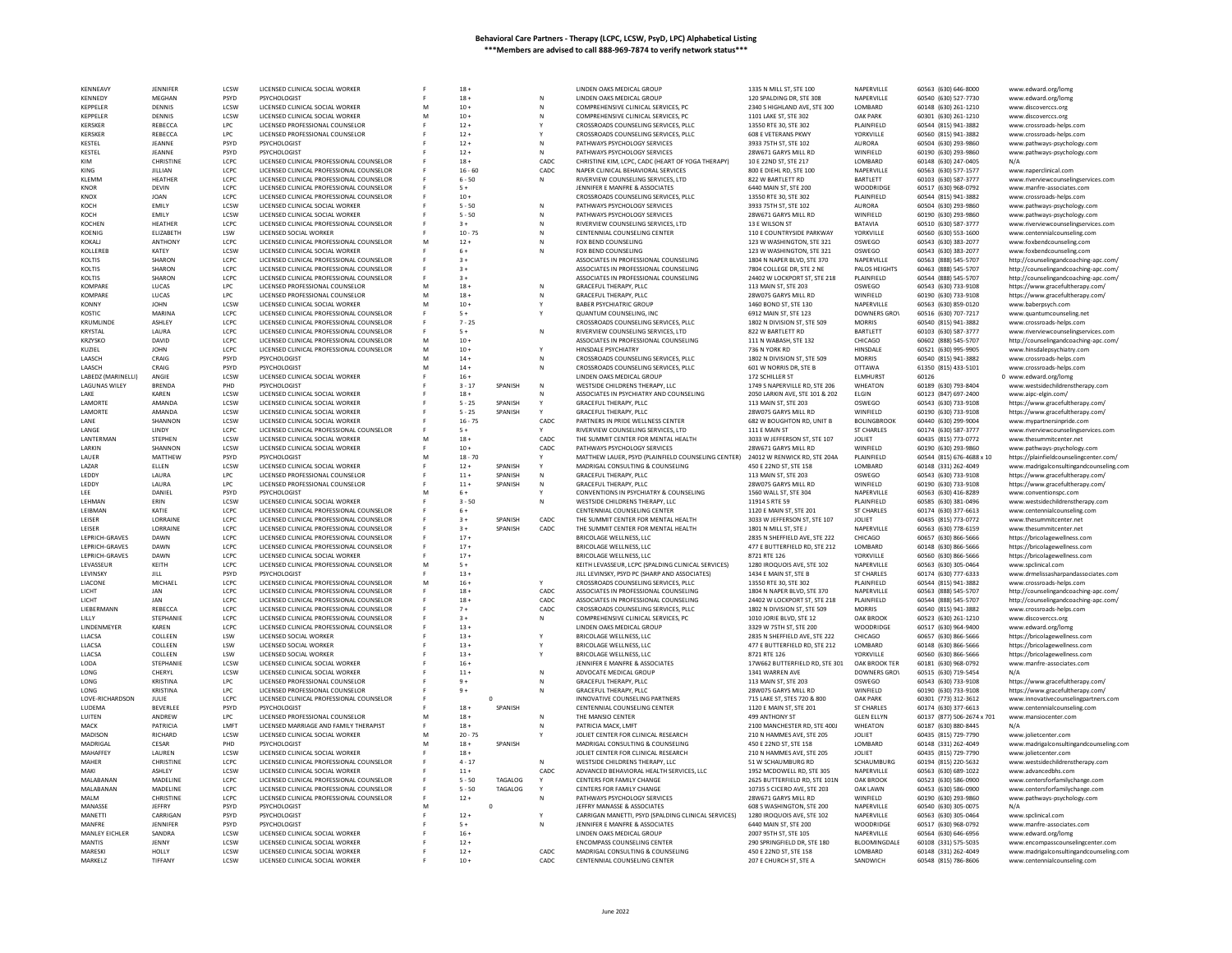| <b>KFNNFAVY</b>             | <b>IFNNIFFF</b>         | <b>LCSW</b>  | LICENSED CLINICAL SOCIAL WORKER                                             |   | $18 -$           |             |                | LINDEN OAKS MEDICAL GROUP                                                                           | 1335 N MILL ST, STE 100                                | NAPERVILLE           | 60563 (630) 646-8000                         | www.edward.org/lomg                                                            |
|-----------------------------|-------------------------|--------------|-----------------------------------------------------------------------------|---|------------------|-------------|----------------|-----------------------------------------------------------------------------------------------------|--------------------------------------------------------|----------------------|----------------------------------------------|--------------------------------------------------------------------------------|
| KENNEDY                     | MEGHAN                  | PSYD         | PSYCHOLOGIST                                                                |   | $18 +$           |             |                | LINDEN OAKS MEDICAL GROUP                                                                           | 120 SPALDING DR, STE 308                               | NAPERVILLE           | 60540 (630) 527-7730                         | www.edward.org/lomg                                                            |
| KEPPELER                    | DENNIS                  | LCSW         | LICENSED CLINICAL SOCIAL WORKER                                             |   | $10 +$           |             | N              | COMPREHENSIVE CLINICAL SERVICES, PC                                                                 | 2340 S HIGHLAND AVE, STE 300                           | LOMBARD              | 60148 (630) 261-1210                         | www.discoverccs.org                                                            |
| KEPPELER                    | DENNIS                  | LCSW         | LICENSED CLINICAL SOCIAL WORKER                                             | M | $10 +$           |             | N              | COMPREHENSIVE CLINICAL SERVICES. PC                                                                 | 1101 LAKE ST, STE 302                                  | <b>OAK PARK</b>      | 60301 (630) 261-1210                         | www.discoverccs.org                                                            |
| KERSKER                     | REBECCA                 | LPC          | LICENSED PROFESSIONAL COUNSELOP                                             |   | $12 +$           |             |                | CROSSROADS COUNSELING SERVICES, PLLC                                                                | 13550 RTE 30, STE 302                                  | PLAINFIELD           | 60544 (815) 941-3882                         | www.crossroads-helps.com                                                       |
| <b>KERSKER</b>              | REBECCA                 | LPC          | LICENSED PROFESSIONAL COUNSELOR                                             |   | $12 +$           |             | Y              | CROSSROADS COUNSELING SERVICES, PLLC                                                                | <b>608 E VETERANS PKWY</b>                             | YORKVILLE            | 60560 (815) 941-3882                         | www.crossroads-helps.com                                                       |
| KESTEL                      | JEANNE                  | PSYD         | <b>PSYCHOLOGIST</b>                                                         |   | $12 +$           |             | N              | PATHWAYS PSYCHOLOGY SERVICES                                                                        | 3933 75TH ST, STE 102                                  | AURORA               | 60504 (630) 293-9860                         | www.pathways-psychology.com                                                    |
| KESTEL                      | JEANNE                  | PSYD         | PSYCHOLOGIST                                                                |   | $12 +$           |             | N              | PATHWAYS PSYCHOLOGY SERVICES                                                                        | 28W671 GARYS MILL RD                                   | WINFIELD             | 60190 (630) 293-9860                         | www.pathways-psychology.com                                                    |
| KIM                         | CHRISTINE               | LCPC         | LICENSED CLINICAL PROFESSIONAL COUNSELOR                                    |   | $18 +$           |             | CADC.          | CHRISTINE KIM, LCPC, CADC (HEART OF YOGA THERAPY)                                                   | 10 E 22ND ST, STE 217                                  | LOMBARD              | 60148 (630) 247-0405                         | N/A                                                                            |
| KING                        | JILLIAN                 | LCPC         | LICENSED CLINICAL PROFESSIONAL COUNSELOR                                    |   | $16 - 60$        |             | CADC           | NAPER CLINICAL BEHAVIORAL SERVICES                                                                  | 800 E DIEHL RD, STE 100                                | NAPERVILLE           | 60563 (630) 577-1577                         | www.naperclinical.com                                                          |
| <b>KI FMM</b>               | <b>HFATHFF</b>          | LCPC         | LICENSED CLINICAL PROFESSIONAL COUNSELOR                                    |   | $6 - 50$         |             | N              | RIVERVIEW COUNSELING SERVICES, LTD                                                                  | 822 W BARTI FTT RD                                     | BARTLETT             | 60103 (630) 587-3777                         | www.riverviewcounselingservices.com                                            |
| KNOR                        | DEVIN                   | LCPC         | LICENSED CLINICAL PROFESSIONAL COUNSELOR                                    |   | $5+$             |             |                | JENNIFER E MANFRE & ASSOCIATES                                                                      | 6440 MAIN ST, STE 200                                  | WOODRIDGE            | 60517 (630) 968-0792                         | www.manfre-associates.com                                                      |
| KNOX                        | <b>JOAN</b>             | LCPC         | LICENSED CLINICAL PROFESSIONAL COUNSELOR                                    |   | $10 +$           |             |                | CROSSROADS COUNSELING SERVICES, PLLC                                                                | 13550 RTE 30, STE 302                                  | PLAINFIELD           | 60544 (815) 941-3882                         | www.crossroads-helps.com                                                       |
| KOCH                        | EMILY                   | <b>LCSW</b>  | LICENSED CLINICAL SOCIAL WORKER                                             |   | $5 - 50$         |             | Ν              | PATHWAYS PSYCHOLOGY SERVICES                                                                        | 3933 75TH ST, STE 102                                  | AURORA               | 60504 (630) 293-9860                         | www.pathways-psychology.com                                                    |
| KOCH                        | EMILY                   | LCSW         | LICENSED CLINICAL SOCIAL WORKER                                             |   | $5 - 50$         |             | N              | PATHWAYS PSYCHOLOGY SERVICES                                                                        | 28W671 GARYS MILL RD                                   | WINFIELD             | 60190 (630) 293-9860                         | www.pathways-psychology.com                                                    |
| KOCHEN                      | HEATHER                 | LCPC         | LICENSED CLINICAL PROFESSIONAL COUNSELOR                                    |   | $3+$             |             | N              | RIVERVIEW COUNSELING SERVICES, LTD                                                                  | 13 E WILSON ST                                         | <b>BATAVIA</b>       | 60510 (630) 587-3777                         | www.riverviewcounselingservices.com                                            |
| KOENIG<br>KOKALI            | ELIZABETH               | LSW<br>LCPC  | LICENSED CLINICAL PROFESSIONAL COUNSELOR                                    |   | $10 - 75$        |             | ${\sf N}$<br>N | CENTENNIAL COUNSELING CENTER<br>FOX BEND COUNSELING                                                 | 110 E COUNTRYSIDE PARKWAY<br>123 W WASHINGTON, STE 321 | YORKVILLE<br>OSWEGO  | 60560 (630) 553-1600                         | www.centennialcounseling.com                                                   |
| KOLLEREE                    | ANTHONY<br>KATEY        | LCSW         | LICENSED CLINICAL SOCIAL WORKER                                             |   | $12 +$<br>$6+$   |             | N              | FOX BEND COUNSELING                                                                                 | 123 W WASHINGTON, STE 321                              | OSWEGO               | 60543 (630) 383-2077<br>60543 (630) 383-2077 | www.foxbendcounseling.com                                                      |
| KOLTIS                      | SHARON                  | LCPC         | LICENSED CLINICAL PROFESSIONAL COUNSELOR                                    |   | $3+$             |             |                | ASSOCIATES IN PROFESSIONAL COUNSELING                                                               | 1804 N NAPER BLVD, STE 370                             | NAPERVILLE           | 60563 (888) 545-5707                         | www.foxbendcounseling.com                                                      |
| KOLTIS                      | SHARON                  | LCPC         | LICENSED CLINICAL PROFESSIONAL COUNSELOR                                    |   | $3+$             |             |                | ASSOCIATES IN PROFESSIONAL COUNSELING                                                               | 7804 COLLEGE DR, STE 2 NE                              | PALOS HEIGHTS        | 60463 (888) 545-5707                         | http://counselingandcoaching-apc.com/<br>http://counselingandcoaching-apc.com/ |
| KOLTIS                      | SHARON                  | LCPC         | LICENSED CLINICAL PROFESSIONAL COUNSELOR                                    |   | $3+$             |             |                | ASSOCIATES IN PROFESSIONAL COUNSELING                                                               | 24402 W LOCKPORT ST, STE 218                           | PLAINFIELD           | 60544 (888) 545-5707                         | http://counselingandcoaching-apc.com/                                          |
| KOMPARE                     | LUCAS                   | LPC.         | LICENSED PROFESSIONAL COUNSELOR                                             | M | $18 +$           |             | N              | GRACEFUL THERAPY, PLLC                                                                              | 113 MAIN ST, STE 203                                   | OSWEGO               | 60543 (630) 733-9108                         |                                                                                |
| KOMPARE                     | LUCAS                   | LPC          | LICENSED PROFESSIONAL COUNSELO                                              |   | $18 +$           |             | N              | <b>GRACEFUL THERAPY, PLLC</b>                                                                       | 28W075 GARYS MILL RD                                   | WINFIELD             | 60190 (630) 733-9108                         | https://www.gracefultherapy.com/<br>https://www.gracefultherapy.com/           |
| <b>KONNY</b>                | <b>JOHN</b>             | LCSW         | LICENSED CLINICAL SOCIAL WORKER                                             |   | $10 +$           |             | Y              | <b>BABER PSYCHIATRIC GROUP</b>                                                                      | 1460 BOND ST, STE 130                                  | NAPERVILLE           | 60563 (630) 859-0120                         | www.baberpsych.com                                                             |
| KOSTIC                      | <b>MARINA</b>           | LCPC         | LICENSED CLINICAL PROFESSIONAL COUNSELOR                                    |   | $5+$             |             |                | QUANTUM COUNSELING, INC                                                                             | 6912 MAIN ST, STE 123                                  | <b>DOWNERS GROV</b>  | 60516 (630) 707-7217                         | www.quantumcounseling.net                                                      |
| KRUMLINDE                   | ASHLEY                  | LCPC         | LICENSED CLINICAL PROFESSIONAL COUNSELOR                                    |   | $7 - 25$         |             |                | CROSSROADS COUNSELING SERVICES, PLLC                                                                | 1802 N DIVISION ST, STE 509                            | <b>MORRIS</b>        | 60540 (815) 941-3882                         | www.crossroads-helps.com                                                       |
| KRYSTAL                     | LAURA                   | LCPC         | LICENSED CLINICAL PROFESSIONAL COUNSELOR                                    |   | $5+$             |             | N              | RIVERVIEW COUNSELING SERVICES, LTD                                                                  | 822 W BARTLETT RD                                      | <b>BARTLETT</b>      | 60103 (630) 587-3777                         | www.riverviewcounselingservices.com                                            |
| <b>KRZYSKO</b>              | DAVID                   | LCPC         | LICENSED CLINICAL PROFESSIONAL COUNSELOR                                    | M | $10 +$           |             |                | ASSOCIATES IN PROFESSIONAL COUNSELING                                                               | 111 N WABASH, STE 132                                  | CHICAGO              | 60602 (888) 545-5707                         | http://counselingandcoaching-apc.com/                                          |
| KUZIEL                      | <b>IOHN</b>             | LCPC         | LICENSED CLINICAL PROFESSIONAL COUNSELOR                                    | M | $10+$            |             | Y              | HINSDALE PSYCHIATRY                                                                                 | 736 N YORK RD                                          | <b>HINSDALF</b>      | 60521 (630) 995-9905                         | www.hinsdalepsychiatry.com                                                     |
| LAASCH                      | CRAIG                   | PSYD         |                                                                             |   | $14 +$           |             | N              | CROSSROADS COUNSELING SERVICES. PLLC                                                                | 1802 N DIVISION ST. STE 509                            | <b>MORRIS</b>        | 60540 (815) 941-3882                         | www.crossroads-helps.com                                                       |
| LAASCH                      | CRAIG                   | PSYD         | PSYCHOLOGIST                                                                |   | $14 +$           |             | N              | CROSSROADS COUNSELING SERVICES, PLLC                                                                | 601 W NORRIS DR. STE B                                 | <b>OTTAWA</b>        | 61350 (815) 433-5101                         | www.crossroads-helps.com                                                       |
| LABEDZ (MARINELLI)          | ANGIE                   | LCSW         | LICENSED CLINICAL SOCIAL WORKER                                             |   | $16 +$           |             |                | LINDEN OAKS MEDICAL GROUP                                                                           | 172 SCHILLER ST                                        | <b>ELMHURST</b>      | 60126                                        | 0 www.edward.org/lomg                                                          |
| <b>LAGUNAS WILEY</b>        | <b>BRENDA</b>           | PHD          | PSYCHOLOGIST                                                                |   | $3 - 17$         | SPANISH     | N              | WESTSIDE CHILDRENS THERAPY, LLC                                                                     | 1749 S NAPERVILLE RD, STE 206                          | WHEATON              | 60189 (630) 793-8404                         | www.westsidechildrenstherapy.com                                               |
| I AKF                       | KAREN                   | LCSW         | LICENSED CLINICAL SOCIAL WORKER                                             |   | $18 +$           |             |                | ASSOCIATES IN PSYCHIATRY AND COUNSELING                                                             | 2050 LARKIN AVE, STE 101 & 202                         | ELGIN                | 60123 (847) 697-2400                         | www.aipc-elgin.com/                                                            |
| LAMORTE                     | AMANDA                  | LCSW         | LICENSED CLINICAL SOCIAL WORKER                                             |   | $5 - 25$         | SPANISH     |                | GRACEFUL THERAPY, PLLC                                                                              | 113 MAIN ST, STE 203                                   | OSWEGO               | 60543 (630) 733-9108                         | https://www.gracefultherapy.com/                                               |
| LAMORTE                     | AMANDA                  | <b>ICSW</b>  | LICENSED CLINICAL SOCIAL WORKER                                             |   | $5 - 25$         | SPANISH     | Y              | GRACEFUL THERAPY, PLLC                                                                              | 28W075 GARYS MILL RD                                   | WINFIFI <sub>D</sub> | 60190 (630) 733-9108                         | https://www.gracefultherapy.com/                                               |
| LANE                        | SHANNON                 | LCSW         | LICENSED CLINICAL SOCIAL WORKER                                             |   | $16 - 75$        |             | CADC           | PARTNERS IN PRIDE WELLNESS CENTER                                                                   | 682 W BOUGHTON RD, UNIT B                              | <b>BOLINGBROOK</b>   | 60440 (630) 299-9004                         | www.mypartnersinpride.co                                                       |
| LANGE                       | LINDY                   | LCPC         | LICENSED CLINICAL PROFESSIONAL COUNSELOR                                    |   | $5+$             |             |                | RIVERVIEW COUNSELING SERVICES, LTD                                                                  | 111 E MAIN ST                                          | <b>ST CHARLES</b>    | 60174 (630) 587-3777                         | www.riverviewcounselingservices.com                                            |
| LANTERMAN                   | STEPHEN                 | LCSW         | LICENSED CLINICAL SOCIAL WORKER                                             |   | $18 +$           |             | CADC           | THE SUMMIT CENTER FOR MENTAL HEALTH                                                                 | 3033 W JEFFERSON ST, STE 107                           | JOLIET               | 60435 (815) 773-0772                         | www.thesummitcenter.net                                                        |
| LARKIN                      | SHANNON                 | LCSW         | LICENSED CLINICAL SOCIAL WORKER                                             |   | $10 +$           |             | CADC           | PATHWAYS PSYCHOLOGY SERVICES                                                                        | 28W671 GARYS MILL RD                                   | WINFIELD             | 60190 (630) 293-9860                         | www.pathways-psychology.com                                                    |
| LAUER                       | MATTHEW                 | PSYD         | PSYCHOLOGIST                                                                | M | $18 - 70$        |             |                | MATTHEW LAUER, PSYD (PLAINFIELD COUNSELING CENTER)                                                  | 24012 W RENWICK RD, STE 204A                           | PLAINFIELD           | 60544 (815) 676-4688 x 10                    | https://plainfieldcounselingcenter.com/                                        |
| LAZAR                       | ELLEN                   | LCSW         | LICENSED CLINICAL SOCIAL WORKER                                             |   | $12 +$           | SPANISH     |                | MADRIGAL CONSULTING & COUNSELING                                                                    | 450 E 22ND ST, STE 158                                 | LOMBARD              | 60148 (331) 262-4049                         | www.madrigalconsultingandcounseling.com                                        |
| LEDDY                       | LAURA                   | LPC          | LICENSED PROFESSIONAL COUNSELOR                                             |   | $11 +$           | SPANISH     | N              | GRACEFUL THERAPY, PLLC                                                                              | 113 MAIN ST, STE 203                                   | OSWEGO               | 60543 (630) 733-9108                         | https://www.gracefultherapy.com/                                               |
| LEDDY                       | LAURA                   | LPC          | LICENSED PROFESSIONAL COUNSELOR                                             |   | $11\, +$         | SPANISH     | N              | GRACEFUL THERAPY, PLLC                                                                              | 28W075 GARYS MILL RD                                   | WINFIELD             | 60190 (630) 733-9108                         | https://www.gracefultherapy.com/                                               |
| LEE                         | DANIEL                  | PSYD         | PSYCHOLOGIST                                                                |   | $6+$             |             |                | CONVENTIONS IN PSYCHIATRY & COUNSELING                                                              | 1560 WALL ST, STE 304                                  | NAPERVILLE           | 60563 (630) 416-8289                         | www.conventionspc.com                                                          |
| LEHMAN                      | FRIN                    | LCSW         | LICENSED CLINICAL SOCIAL WORKER                                             |   | $3 - 50$         |             | N              | WESTSIDE CHILDRENS THERAPY, LLC                                                                     | 11914 S RTE 59                                         | PLAINFIELD           | 60585 (630) 381-0496                         | www.westsidechildrenstherapy.com                                               |
| LEIBMAN                     | KATIE                   | LCPC         | LICENSED CLINICAL PROFESSIONAL COUNSELOR                                    |   | $6+$             |             |                | CENTENNIAL COUNSELING CENTER                                                                        | 1120 E MAIN ST, STE 201                                | <b>ST CHARLES</b>    | 60174 (630) 377-6613                         | www.centennialcounseling.com                                                   |
| LEISER                      | LORRAINE                | LCPC         | LICENSED CLINICAL PROFESSIONAL COUNSELOR                                    |   | $3+$             | SPANISH     | CADC           | THE SUMMIT CENTER FOR MENTAL HEALTH                                                                 | 3033 W JEFFERSON ST. STE 107                           | JOLIET               | 60435 (815) 773-0772                         | www.thesummitcenter.net                                                        |
| LEISER                      | LORRAINE                | LCPC         | LICENSED CLINICAL PROFESSIONAL COUNSELOR                                    |   | $3+$             | SPANISH     | CADC           | THE SUMMIT CENTER FOR MENTAL HEALTH                                                                 | 1801 N MILL ST, STE                                    | NAPERVILLE           | 60563 (630) 778-6159                         | www.thesummitcenter.net                                                        |
| LEPRICH-GRAVES              | DAWN<br>DAWN            | LCPC         | LICENSED CLINICAL PROFESSIONAL COUNSELOR                                    |   | $17+$            |             |                | BRICOLAGE WELLNESS, LLC                                                                             | 2835 N SHEFFIELD AVE, STE 222                          | CHICAGO              | 60657 (630) 866-5666                         | https://bricolagewellness.com                                                  |
| LEPRICH-GRAVES              | DAWN                    | LCPC<br>LCPC | LICENSED CLINICAL PROFESSIONAL COUNSELOR<br>LICENSED CLINICAL SOCIAL WORKER |   | $17+$            |             |                | BRICOLAGE WELLNESS, LLC<br><b>BRICOLAGE WELLNESS, LLC</b>                                           | 477 E BUTTERFIELD RD, STE 212<br>8721 RTF 126          | LOMBARD<br>YORKVILLE | 60148 (630) 866-5666                         | https://bricolagewellness.con                                                  |
| LEPRICH-GRAVES<br>LEVASSEUF | KEITH                   | LCPC         |                                                                             | M | $17 +$<br>$5+$   |             |                |                                                                                                     |                                                        | NAPERVILLE           | 60560 (630) 866-5666                         | https://bricolagewellness.com                                                  |
| LEVINSKY                    | JILL                    | PSYD         | LICENSED CLINICAL PROFESSIONAL COUNSELOR                                    |   | $13 +$           |             |                | KEITH LEVASSEUR, LCPC (SPALDING CLINICAL SERVICES)<br>JILL LEVINSKY, PSYD PC (SHARP AND ASSOCIATES) | 1280 IROQUOIS AVE, STE 102<br>1434 E MAIN ST, STE B    | <b>ST CHARLES</b>    | 60563 (630) 305-0464<br>60174 (630) 777-6333 | www.spclinical.com<br>www.drmelissasharpandassociates.com                      |
| <b>LIACONE</b>              | <b>MICHAEL</b>          | LCPC         | LICENSED CLINICAL PROFESSIONAL COUNSELOR                                    | M | $16 +$           |             |                | CROSSROADS COUNSELING SERVICES. PLLC.                                                               | 13550 RTF 30, STF 302                                  | PLAINFIFLD           | 60544 (815) 941-3882                         | www.crossroads-helps.com                                                       |
| LICHT                       | JAN                     | LCPC         | LICENSED CLINICAL PROFESSIONAL COUNSELOR                                    |   | $18 +$           |             | CADC           | ASSOCIATES IN PROFESSIONAL COUNSELING                                                               | 1804 N NAPER BLVD, STE 370                             | NAPERVILLE           | 60563 (888) 545-5707                         | http://counselingandcoaching-apc.com/                                          |
| LICHT                       | JAN                     | LCPC         | LICENSED CLINICAL PROFESSIONAL COUNSELOR                                    |   | $18 +$           |             | CADC           | ASSOCIATES IN PROFESSIONAL COUNSELING                                                               | 24402 W LOCKPORT ST, STE 218                           | PLAINFIELD           | 60544 (888) 545-5707                         | http://counselingandcoaching-apc.com/                                          |
| LIEBERMANN                  | REBECCA                 | LCPC         | LICENSED CLINICAL PROFESSIONAL COUNSELOR                                    |   | $7+$             |             | CADC           | CROSSROADS COUNSELING SERVICES, PLLC                                                                | 1802 N DIVISION ST, STE 509                            | <b>MORRIS</b>        | 60540 (815) 941-3882                         | www.crossroads-helps.con                                                       |
| LILLY                       | STEPHANI                | LCPC         | LICENSED CLINICAL PROFESSIONAL COUNSELOR                                    |   | $3+$             |             | N              | COMPREHENSIVE CLINICAL SERVICES, PC                                                                 | 1010 JORIE BLVD, STE 12                                | OAK BROOK            | 60523 (630) 261-1210                         | www.discoverccs.org                                                            |
| LINDENMEYER                 | KAREN                   | LCPC         | LICENSED CLINICAL PROFESSIONAL COUNSELOR                                    |   | $13+$            |             |                | LINDEN OAKS MEDICAL GROUP                                                                           | 3329 W 75TH ST, STE 200                                | WOODRIDGE            | 60517 (630) 964-9400                         | www.edward.org/lomg                                                            |
| LLACSA                      | COLLEEN                 | LSW          | LICENSED SOCIAL WORKER                                                      |   | $13 +$           |             |                | <b>BRICOLAGE WELLNESS, LLC</b>                                                                      | 2835 N SHEFFIELD AVE, STE 222                          | CHICAGO              | 60657 (630) 866-5666                         | https://bricolagewellness.com                                                  |
| LLACSA                      | COLLEEN                 | LSW          | LICENSED SOCIAL WORKER                                                      |   | $13 +$           |             |                | BRICOLAGE WELLNESS, LLC                                                                             | 477 E BUTTERFIELD RD. STE 212                          | LOMBARD              | 60148 (630) 866-5666                         | https://bricolagewellness.com                                                  |
| LLACSA                      | COLLEEN                 | LSW          | LICENSED SOCIAL WORKER                                                      |   | $13 +$           |             |                | BRICOLAGE WELLNESS, LLC                                                                             | 8721 RTE 126                                           | YORKVILLE            | 60560 (630) 866-5666                         | https://bricolagewellness.com                                                  |
| LODA                        | STEPHANII               | LCSW         | LICENSED CLINICAL SOCIAL WORKER                                             |   | $16 +$           |             |                | JENNIFER E MANFRE & ASSOCIATES                                                                      | 17W662 BUTTERFIELD RD, STE 301                         | OAK BROOK TER        | 60181 (630) 968-0792                         | www.manfre-associates.com                                                      |
| <b>LONG</b>                 | CHERYL                  | <b>ICSW</b>  | LICENSED CLINICAL SOCIAL WORKER                                             |   | $11 +$           |             | N              | ADVOCATE MEDICAL GROUP                                                                              | 1341 WARREN AVE                                        | DOWNERS GROV         | 60515 (630) 719-5454                         | N/A                                                                            |
| LONG                        | <b>KRISTINA</b>         | LPC          | LICENSED PROFESSIONAL COUNSELOP                                             |   | $9+$             |             | N              | <b>GRACEFUL THERAPY, PLLC</b>                                                                       | 113 MAIN ST, STE 203                                   | OSWEGO               | 60543 (630) 733-9108                         | https://www.gracefultherapy.com/                                               |
| LONG                        | <b>KRISTINA</b>         | LPC          | LICENSED PROFESSIONAL COUNSELOR                                             |   | $9+$             |             | N              | GRACEFUL THERAPY, PLLC                                                                              | 28W075 GARYS MILL RD                                   | WINFIELD             | 60190 (630) 733-9108                         | https://www.gracefultherapy.com/                                               |
| LOVE-RICHARDSON             | JULIE                   | LCPC         | LICENSED CLINICAL PROFESSIONAL COUNSELOR                                    |   |                  | $\circ$     |                | INNOVATIVE COUNSELING PARTNERS                                                                      | 715 LAKE ST, STES 720 & 800                            | <b>OAK PARK</b>      | 60301 (773) 312-3612                         | www.innovativecounselingpartners.com                                           |
| LUDEMA                      | BEVERLEE                | PSYD         | PSYCHOLOGIST                                                                |   | $18 +$           | SPANISH     |                | CENTENNIAL COUNSELING CENTER                                                                        | 1120 E MAIN ST, STE 201                                | <b>ST CHARLES</b>    | 60174 (630) 377-6613                         | www.centennialcounseling.com                                                   |
| LUITEN                      | ANDREW                  | LPC          | LICENSED PROFESSIONAL COUNSELOR                                             | M | $18 +$           |             | Ν              | THE MANSIO CENTER                                                                                   | 499 ANTHONY ST                                         | <b>GLEN ELLYN</b>    | 60137 (877) 506-2674 x 701                   | www.mansiocenter.com                                                           |
| MACK                        | PATRICIA                | LMFT         | LICENSED MARRIAGE AND FAMILY THERAPIST                                      |   | $18 +$           |             | N              | PATRICIA MACK, LMFT                                                                                 | 2100 MANCHESTER RD. STE 400J                           | WHEATON              | 60187 (630) 880-8445                         |                                                                                |
| MADISON                     |                         |              |                                                                             |   | $20 - 75$        |             |                | JOLIET CENTER FOR CLINICAL RESEARCH                                                                 | 210 N HAMMES AVE, STE 205                              | <b>JOLIET</b>        | 60435 (815) 729-7790                         | www.iolietcenter.com                                                           |
| MADRIGAI                    | RICHARD                 | <b>ICSW</b>  | LICENSED CLINICAL SOCIAL WORKER                                             |   |                  |             |                |                                                                                                     |                                                        |                      |                                              |                                                                                |
|                             | CESAR                   | PHD          | PSYCHOLOGIST                                                                |   | $18 +$           | SPANISH     |                | MADRIGAL CONSULTING & COUNSELING                                                                    | 450 E 22ND ST, STE 158                                 | LOMBARD              | 60148 (331) 262-4049                         | www.madrigalconsultingandcounseling.com                                        |
| MAHAFFFY                    | <b>I AUREN</b>          | <b>ICSW</b>  | LICENSED CLINICAL SOCIAL WORKER                                             |   | $18 +$           |             |                | JOLIET CENTER FOR CLINICAL RESEARCH                                                                 | 210 N HAMMES AVE. STE 205                              | <b>IOLIFT</b>        | 60435 (815) 729-7790                         | www.jolietcenter.com                                                           |
| <b>MAHER</b>                | CHRISTINE               | LCPC         | LICENSED CLINICAL PROFESSIONAL COUNSELOR                                    |   | $4 - 17$         |             | N              | WESTSIDE CHILDRENS THERAPY, LLC                                                                     | 51 W SCHAUMBURG RD                                     | SCHAUMBURG           | 60194 (815) 220-5632                         | www.westsidechildrenstherapy.com                                               |
| MAKI                        | ASHLEY                  | LCSW         | LICENSED CLINICAL SOCIAL WORKER                                             |   | $11 +$           |             | CADC           | ADVANCED BEHAVIORAL HEALTH SERVICES, LLC                                                            | 1952 MCDOWELL RD, STE 305                              | NAPERVILLE           | 60563 (630) 689-1022                         | www.advancedbhs.com                                                            |
| MAI ARANAN                  | MADELINE                | LCPC         | LICENSED CLINICAL PROFESSIONAL COUNSELOR                                    |   | $5 - 50$         | TAGALOG     |                | CENTERS FOR FAMILY CHANGE                                                                           | 2625 BUTTERFIELD RD, STE 101N                          | OAK BROOK            | 60523 (630) 586-0900                         | www.centersforfamilychange.com                                                 |
| MALABANAN                   | MADELINE                | LCPC         | LICENSED CLINICAL PROFESSIONAL COUNSELOP                                    |   | $5 - 50$         | TAGALOG     | Y              | CENTERS FOR FAMILY CHANG                                                                            | 10735 S CICERO AVE, STE 203                            | <b>OAK LAWN</b>      | 60453 (630) 586-0900                         | www.centersforfamilychange.com                                                 |
| MALM                        | CHRISTINE               | LCPC         | LICENSED CLINICAL PROFESSIONAL COUNSELOR                                    |   | $12 +$           |             | N              | PATHWAYS PSYCHOLOGY SERVICES                                                                        | 28W671 GARYS MILL RD                                   | WINFIELD             | 60190 (630) 293-9860                         | www.pathways-psychology.com                                                    |
| MANASSE                     | JEFFRY                  | PSYD         | <b>PSYCHOLOGIST</b>                                                         |   |                  | $\mathbf 0$ |                | JEFFRY MANASSE & ASSOCIATES                                                                         | 608 S WASHINGTON, STE 200                              | NAPERVILLE           | 60540 (630) 305-0075                         |                                                                                |
| MANETTI                     | CARRIGAN                | PSYD         | <b>PSYCHOLOGIST</b>                                                         |   | $12 +$           |             |                | CARRIGAN MANETTI, PSYD (SPALDING CLINICAL SERVICES)                                                 | 1280 IROQUOIS AVE, STE 102                             | NAPERVILLE           | 60563 (630) 305-0464                         | www.spclinical.com                                                             |
| MANFRF                      | JENNIFER                | PSYD         | PSYCHOLOGIST                                                                |   | $5+$             |             | N              | JENNIFER E MANFRE & ASSOCIATES                                                                      | 6440 MAIN ST, STE 200                                  | WOODRIDGE            | 60517 (630) 968-0792                         | www.manfre-associates.com                                                      |
| MANLEY EICHLER              | SANDRA                  | LCSW         | LICENSED CLINICAL SOCIAL WORKER                                             |   | $16 +$           |             |                | LINDEN OAKS MEDICAL GROUP                                                                           | 2007 95TH ST, STE 105                                  | NAPERVILLE           | 60564 (630) 646-6956                         | www.edward.org/lomg                                                            |
| <b>MANTIS</b>               | <b>IFNNY</b>            | <b>ICSW</b>  | LICENSED CLINICAL SOCIAL WORKER                                             |   | $12 +$           |             |                | <b>ENCOMPASS COUNSELING CENTER</b>                                                                  | 290 SPRINGFIELD DR. STE 180                            | <b>BI OOMINGDALE</b> | 60108 (331) 575-5035                         | www.encompasscounselingcenter.com                                              |
| MARESKI<br>MARKELZ          | HOLLY<br><b>TIFFANY</b> | LCSW<br>LCSW | LICENSED CLINICAL SOCIAL WORKER<br>LICENSED CLINICAL SOCIAL WORKER          |   | $12 +$<br>$10 +$ |             | CADC<br>CADC   | MADRIGAL CONSULTING & COUNSELING<br>CENTENNIAL COUNSELING CENTER                                    | 450 E 22ND ST, STE 158<br>207 E CHURCH ST. STE A       | LOMBARD<br>SANDWICH  | 60148 (331) 262-4049<br>60548 (815) 786-8606 | www.madrigalconsultingandcounseling.com<br>www.centennialcounseling.com        |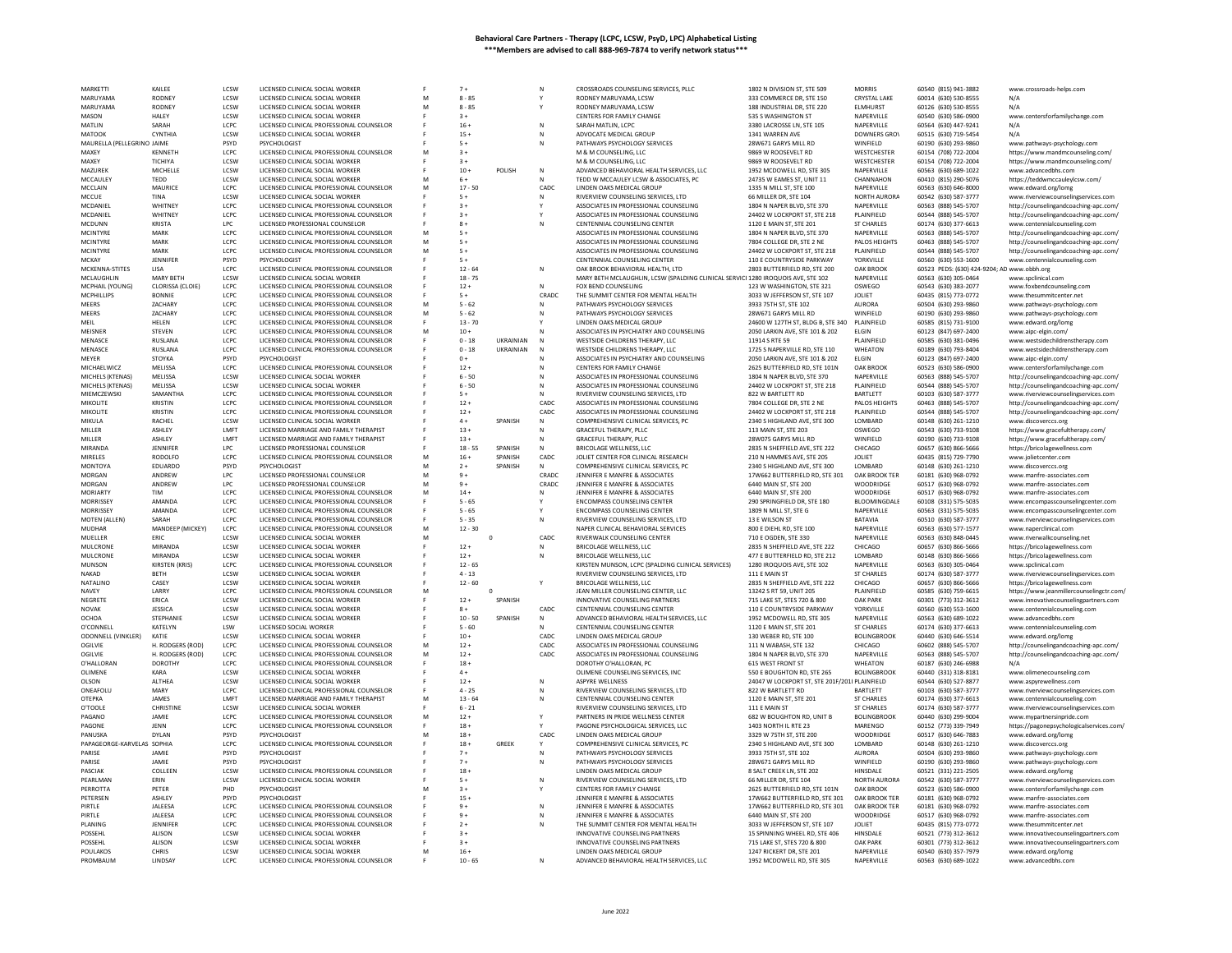| MARKETTI                             | KAILEE                            | LCSW                | LICENSED CLINICAL SOCIAL WORKER                                                      |   | $7+$               |                  |                   | CROSSROADS COUNSELING SERVICES, PLLC                                            | 1802 N DIVISION ST. STE 509                                    | <b>MORRIS</b>                   | 60540 (815) 941-3882                         | www.crossroads-helps.com                                                       |
|--------------------------------------|-----------------------------------|---------------------|--------------------------------------------------------------------------------------|---|--------------------|------------------|-------------------|---------------------------------------------------------------------------------|----------------------------------------------------------------|---------------------------------|----------------------------------------------|--------------------------------------------------------------------------------|
| MARUYAMA                             | <b>RODNE</b>                      | LCSW                | LICENSED CLINICAL SOCIAL WORKER                                                      |   | $8 - 85$           |                  |                   | RODNEY MARUYAMA, LCSW                                                           | 333 COMMERCE DR. STE 150                                       | <b>CRYSTAL LAKE</b>             | 60014 (630) 530-8555                         | N/A                                                                            |
| MARUYAMA                             | <b>RODNEY</b>                     | LCSW                | LICENSED CLINICAL SOCIAL WORKER                                                      | M | $8 - 85$           |                  |                   | RODNEY MARUYAMA, LCSW                                                           | 188 INDUSTRIAL DR. STE 220                                     | <b>ELMHURST</b>                 | 60126 (630) 530-8555                         | N/A                                                                            |
| MASON                                | HALEY                             | LCSW                | LICENSED CLINICAL SOCIAL WORKER                                                      |   | $3+$               |                  |                   | CENTERS FOR FAMILY CHANGE                                                       | 535 S WASHINGTON ST                                            | NAPERVILLE                      | 60540 (630) 586-0900                         | www.centersforfamilychange.com                                                 |
| MATLIN<br>MATOOK                     | SARAH<br><b>CYNTHIA</b>           | LCPC<br>LCSW        | LICENSED CLINICAL PROFESSIONAL COUNSELOR<br>LICENSED CLINICAL SOCIAL WORKER          |   | $16 -$<br>$15 +$   |                  | N<br>$\mathbb{N}$ | SARAH MATLIN, LCPC                                                              | 3380 LACROSSE LN. STE 105<br>1341 WARREN AVE                   | NAPERVILLE                      | 60564 (630) 447-9241                         | N/A<br>N/A                                                                     |
| MAURELLA (PELLEGRINO JAIME           |                                   | PSYD                | PSYCHOLOGIST                                                                         |   | $5+$               |                  | N                 | ADVOCATE MEDICAL GROUP<br>PATHWAYS PSYCHOLOGY SERVICES                          | 28W671 GARYS MILL RD                                           | <b>DOWNERS GROV</b><br>WINFIELD | 60515 (630) 719-5454<br>60190 (630) 293-9860 | www.pathways-psychology.com                                                    |
| MAXFY                                | KFNNFTH                           | LCPC.               | LICENSED CLINICAL PROFESSIONAL COUNSELOR                                             | M | $3 +$              |                  |                   | M & M COUNSELING. LLC                                                           | 9869 W ROOSEVELT RD                                            | WESTCHESTER                     | 60154 (708) 722-2004                         | https://www.mandmcounseling.com/                                               |
| MAXEY                                | TICHIYA                           | LCSW                | LICENSED CLINICAL SOCIAL WORKER                                                      |   | $3+$               |                  |                   | M & M COUNSELING, LLC                                                           | 9869 W ROOSEVELT RD                                            | WESTCHESTER                     | 60154 (708) 722-2004                         | https://www.mandmcounseling.com                                                |
| MAZUREK                              | MICHELLE                          | LCSW                | LICENSED CLINICAL SOCIAL WORKER                                                      |   | $10 +$             | POLISH           | N                 | ADVANCED BEHAVIORAL HEALTH SERVICES. LLC                                        | 1952 MCDOWELL RD, STE 305                                      | NAPERVILLE                      | 60563 (630) 689-1022                         | www.advancedbhs.com                                                            |
| MCCAULEY                             | TEDD                              | LCSW                | LICENSED CLINICAL SOCIAL WORKER                                                      |   | $6+$               |                  | N                 | TEDD W MCCAULEY LCSW & ASSOCIATES, PC                                           | 24735 W EAMES ST, UNIT 11                                      | CHANNAHON                       | 60410 (815) 290-5076                         | https://teddwmccauleylcsw.com/                                                 |
| MCCLAIN                              | MAURICE                           | LCPC                | LICENSED CLINICAL PROFESSIONAL COUNSELOR                                             |   | $17 - 50$          |                  | CADC              | LINDEN OAKS MEDICAL GROUP                                                       | 1335 N MILL ST, STE 100                                        | NAPERVILLE                      | 60563 (630) 646-8000                         | www.edward.org/lomg                                                            |
| MCCUE                                | TINA                              | LCSW                | LICENSED CLINICAL SOCIAL WORKER                                                      |   | $5+$               |                  | N                 | RIVERVIEW COUNSELING SERVICES, LTD                                              | 66 MILLER DR, STE 104                                          | NORTH AURORA                    | 60542 (630) 587-3777                         | www.riverviewcounselingservices.com                                            |
| MCDANIEI<br><b>MCDANIEL</b>          | <b>WHITNEY</b><br><b>WHITNEY</b>  | LCPC<br>LCPC        | LICENSED CLINICAL PROFESSIONAL COUNSELOR<br>LICENSED CLINICAL PROFESSIONAL COUNSELOR |   | $3+$<br>$3+$       |                  |                   | ASSOCIATES IN PROFESSIONAL COUNSELING<br>ASSOCIATES IN PROFESSIONAL COUNSELING  | 1804 N NAPER BLVD, STE 370<br>24402 W LOCKPORT ST. STE 218     | NAPERVILLE<br>PLAINFIELD        | 60563 (888) 545-5707<br>60544 (888) 545-5707 | http://counselingandcoaching-apc.com,                                          |
| MCDUNN                               | KRISTA                            | LPC                 | LICENSED PROFESSIONAL COUNSELOP                                                      |   | $8+$               |                  |                   | CENTENNIAL COUNSELING CENTER                                                    | 1120 E MAIN ST, STE 201                                        | <b>ST CHARLES</b>               | 60174 (630) 377-6613                         | http://counselingandcoaching-apc.com/<br>www.centennialcounseling.com          |
| MCINTYRE                             | MARK                              | LCPC                | LICENSED CLINICAL PROFESSIONAL COUNSELOR                                             | M | $5+$               |                  |                   | ASSOCIATES IN PROFESSIONAL COUNSELING                                           | 1804 N NAPER BLVD, STE 370                                     | NAPERVILLE                      | 60563 (888) 545-5707                         | http://counselingandcoaching-apc.com/                                          |
| MCINTYRE                             | MARK                              | LCPC                | LICENSED CLINICAL PROFESSIONAL COUNSELOR                                             | M | $5+$               |                  |                   | ASSOCIATES IN PROFESSIONAL COUNSELING                                           | 7804 COLLEGE DR. STE 2 NE                                      | PALOS HEIGHTS                   | 60463 (888) 545-5707                         | http://counselingandcoaching-apc.com/                                          |
| MCINTYRE                             | MARK                              | LCPC                | LICENSED CLINICAL PROFESSIONAL COUNSELOR                                             |   | $5+$               |                  |                   | ASSOCIATES IN PROFESSIONAL COUNSELING                                           | 24402 W LOCKPORT ST, STE 218                                   | PLAINFIELD                      | 60544 (888) 545-5707                         | http://counselingandcoaching-apc.com/                                          |
| MCKAY                                | <b>IFNNIFFR</b>                   | <b>PSYD</b>         | PSYCHOLOGIST                                                                         |   | $5+$               |                  |                   | CENTENNIAL COUNSELING CENTER                                                    | 110 E COUNTRYSIDE PARKWAY                                      | YORKVILLE                       | 60560 (630) 553-1600                         | www.centennialcounseling.com                                                   |
| MCKENNA-STITES                       | LISA                              | LCPC                | LICENSED CLINICAL PROFESSIONAL COUNSELOR                                             |   | $12 - 64$          |                  | N                 | OAK BROOK BEHAVIORAL HEALTH, LTD                                                | 2803 BUTTERFIELD RD, STE 200                                   | OAK BROOK                       | 60523 PEDS: (630) 424-9204; AD www.obbh.org  |                                                                                |
| MCLAUGHLIN                           | <b>MARY BETH</b>                  | LCSW                | LICENSED CLINICAL SOCIAL WORKER                                                      |   | $18 - 75$          |                  |                   | MARY BETH MCLAUGHLIN, LCSW (SPALDING CLINICAL SERVIC 1280 IROQUOIS AVE, STE 102 |                                                                | NAPERVILLE                      | 60563 (630) 305-0464                         | www.spclinical.com                                                             |
| MCPHAIL (YOUNG)<br>MCPHILLIPS        | CLORISSA (CLOIE)<br><b>BONNIE</b> | LCPC<br>LCPC        | LICENSED CLINICAL PROFESSIONAL COUNSELOR<br>LICENSED CLINICAL PROFESSIONAL COUNSELOR |   | $12 +$<br>$5+$     |                  | N<br>CRADC        | FOX BEND COUNSELING<br>THE SUMMIT CENTER FOR MENTAL HEALTH                      | 123 W WASHINGTON, STE 321<br>3033 W JEFFERSON ST, STE 107      | OSWEGO<br><b>JOLIET</b>         | 60543 (630) 383-2077<br>60435 (815) 773-0772 | www.foxbendcounseling.com<br>www.thesummitcenter.net                           |
| <b>MEERS</b>                         | ZACHARY                           | LCPC                | LICENSED CLINICAL PROFESSIONAL COUNSELOR                                             | M | $5 - 62$           |                  | N                 | PATHWAYS PSYCHOLOGY SERVICES                                                    | 3933 75TH ST. STE 102                                          | <b>AURORA</b>                   | 60504 (630) 293-9860                         | www.pathways-psychology.com                                                    |
| MEERS                                | <b>ZACHARY</b>                    | LCPC                | LICENSED CLINICAL PROFESSIONAL COUNSELOR                                             | M | $5 - 62$           |                  |                   | PATHWAYS PSYCHOLOGY SERVICES                                                    | 28W671 GARYS MILL RD                                           | WINFIELD                        | 60190 (630) 293-9860                         | www.pathways-psychology.com                                                    |
| MFII                                 | HELEN                             | LCPC                | LICENSED CLINICAL PROFESSIONAL COUNSELOR                                             |   | $13 - 70$          |                  |                   | LINDEN OAKS MEDICAL GROUP                                                       | 24600 W 127TH ST, BLDG B, STE 340                              | PLAINFIELD                      | 60585 (815) 731-9100                         | www.edward.org/lomg                                                            |
| MEISNER                              | STEVEN                            | LCPC                | LICENSED CLINICAL PROFESSIONAL COUNSELOF                                             | M | $10 +$             |                  |                   | ASSOCIATES IN PSYCHIATRY AND COUNSELING                                         | 2050 LARKIN AVE, STE 101 & 202                                 | ELGIN                           | 60123 (847) 697-2400                         | www.aipc-elgin.com/                                                            |
| MENASCE                              | <b>RUSLANA</b>                    | LCPC                | LICENSED CLINICAL PROFESSIONAL COUNSELOR                                             |   | $0 - 18$           | <b>UKRAINIAN</b> |                   | WESTSIDE CHILDRENS THERAPY. LLC.                                                | 11914 S RTF 59                                                 | PLAINFIFLD                      | 60585 (630) 381-0496                         | www.westsidechildrenstherapy.com                                               |
| MENASCE                              | RUSLANA                           | LCPC                | LICENSED CLINICAL PROFESSIONAL COUNSELOR                                             |   | $0 - 18$           | UKRAINIAN        |                   | WESTSIDE CHILDRENS THERAPY, LLC                                                 | 1725 S NAPERVILLE RD, STE 110                                  | WHEATON                         | 60189 (630) 793-8404                         | www.westsidechildrenstherapy.com                                               |
| MEYER                                | <b>STOYKA</b>                     | PSYD                | PSYCHOLOGIST                                                                         |   | $0+$               |                  |                   | ASSOCIATES IN PSYCHIATRY AND COUNSELING                                         | 2050 LARKIN AVE, STE 101 & 202                                 | <b>ELGIN</b>                    | 60123 (847) 697-2400                         | www.aipc-elgin.com/                                                            |
| MICHAELWICZ                          | MELISSA<br>MELISSA                | LCPC<br>LCSW        | LICENSED CLINICAL PROFESSIONAL COUNSELOR                                             |   | $12 +$<br>$6 - 50$ |                  |                   | CENTERS FOR FAMILY CHANGE                                                       | 2625 BUTTERFIELD RD, STE 101N<br>1804 N NAPER BLVD, STE 370    | OAK BROOK<br>NAPERVILLE         | 60523 (630) 586-0900                         | www.centersforfamilychange.com                                                 |
| MICHELS (KTENAS)<br>MICHELS (KTENAS) | MELISSA                           | LCSW                | LICENSED CLINICAL SOCIAL WORKER<br>LICENSED CLINICAL SOCIAL WORKER                   |   | $6 - 50$           |                  | N                 | ASSOCIATES IN PROFESSIONAL COUNSELING<br>ASSOCIATES IN PROFESSIONAL COUNSELING  | 24402 W LOCKPORT ST, STE 218                                   | PLAINFIELD                      | 60563 (888) 545-5707<br>60544 (888) 545-5707 | http://counselingandcoaching-apc.com/                                          |
| MIEMCZEWSKI                          | SAMANTHA                          | LCPC                | LICENSED CLINICAL PROFESSIONAL COUNSELOR                                             |   | $5+$               |                  |                   | RIVERVIEW COUNSELING SERVICES, LTD                                              | 822 W BARTLETT RD                                              | BARTLETT                        | 60103 (630) 587-3777                         | http://counselingandcoaching-apc.com/<br>www.riverviewcounselingservices.com   |
| MIKOLITE                             | <b>KRISTIN</b>                    | LCPC                | LICENSED CLINICAL PROFESSIONAL COUNSELOR                                             |   | $12 +$             |                  | CADC              | ASSOCIATES IN PROFESSIONAL COUNSELING                                           | 7804 COLLEGE DR. STE 2 NE                                      | PALOS HEIGHTS                   | 60463 (888) 545-5707                         | http://counselingandcoaching-apc.com/                                          |
| <b>MIKOLITE</b>                      | KRISTIN                           | LCPC                | LICENSED CLINICAL PROFESSIONAL COUNSELOF                                             |   | $12 +$             |                  | CADC              | ASSOCIATES IN PROFESSIONAL COUNSELING                                           | 24402 W LOCKPORT ST, STE 218                                   | PLAINFIELD                      | 60544 (888) 545-5707                         | http://counselingandcoaching-apc.com/                                          |
| MIKULA                               | RACHEL                            | LCSW                | LICENSED CLINICAL SOCIAL WORKER                                                      |   | $4+$               | SPANISH          | N                 | COMPREHENSIVE CLINICAL SERVICES, PC                                             | 2340 S HIGHLAND AVE, STE 300                                   | LOMBARD                         | 60148 (630) 261-1210                         | www.discoverccs.org                                                            |
| MILLER                               | <b>ASHLEY</b>                     | <b>I MFT</b>        | LICENSED MARRIAGE AND FAMILY THERAPIST                                               |   | $13 +$             |                  |                   | GRACEFUL THERAPY, PLLC                                                          | 113 MAIN ST, STE 203                                           | OSWEGO                          | 60543 (630) 733-9108                         | https://www.gracefultherapy.com/                                               |
| MILLER                               | ASHLEY                            | LMFT                | LICENSED MARRIAGE AND FAMILY THERAPIST                                               |   | $13 +$             |                  |                   | GRACEFUL THERAPY, PLLC                                                          | 28W075 GARYS MILL RD                                           | WINFIELD                        | 60190 (630) 733-9108                         | https://www.gracefultherapy.com/                                               |
| MIRANDA                              | <b>IFNNIFFR</b>                   | LPC.                | LICENSED PROFESSIONAL COUNSELOR                                                      |   | $18 - 55$          | SPANISH          | $\mathbb{N}$      | BRICOLAGE WELLNESS, LLC                                                         | 2835 N SHEFFIELD AVE. STE 222                                  | CHICAGO                         | 60657 (630) 866-5666                         | https://bricolagewellness.com                                                  |
| MIRELES<br>MONTOYA                   | RODOLFO                           | LCPC<br>PSYD        | LICENSED CLINICAL PROFESSIONAL COUNSELOR                                             | M | $16 +$<br>$2+$     | SPANISH          | CADC              | JOLIET CENTER FOR CLINICAL RESEARCH<br>COMPREHENSIVE CLINICAL SERVICES, PC      | 210 N HAMMES AVE, STE 205<br>2340 S HIGHLAND AVE, STE 300      | JOLIET<br>LOMBARD               | 60435 (815) 729-7790                         | www.jolietcenter.com                                                           |
| MORGAN                               | EDUARDO<br>ANDREW                 | LPC                 | PSYCHOLOGIST<br>LICENSED PROFESSIONAL COUNSELOR                                      | M | $9+$               | SPANISH          | N<br>CRADC        | JENNIFER E MANFRE & ASSOCIATES                                                  | 17W662 BUTTERFIELD RD, STE 301                                 | OAK BROOK TER                   | 60148 (630) 261-1210<br>60181 (630) 968-0792 | www.discoverccs.org<br>www.manfre-associates.com                               |
| MORGAN                               | ANDREW                            | LPC                 | LICENSED PROFESSIONAL COUNSELOR                                                      | M | $9+$               |                  | CRADC             | JENNIFER E MANFRE & ASSOCIATES                                                  | 6440 MAIN ST, STE 200                                          | <b>WOODRIDGE</b>                | 60517 (630) 968-0792                         | www.manfre-associates.com                                                      |
| <b>MORIARTY</b>                      | TIM                               | LCPC                | LICENSED CLINICAL PROFESSIONAL COUNSELOR                                             | M | $14 +$             |                  | N                 | JENNIFER E MANFRE & ASSOCIATES                                                  | 6440 MAIN ST, STE 200                                          | WOODRIDGE                       | 60517 (630) 968-0792                         | www.manfre-associates.com                                                      |
| <b>MORRISSE</b>                      | <b>AMANDA</b>                     | LCPC                | LICENSED CLINICAL PROFESSIONAL COUNSELOR                                             |   | $5 - 65$           |                  |                   | <b>ENCOMPASS COUNSELING CENTER</b>                                              | 290 SPRINGFIELD DR. STE 180                                    | BLOOMINGDALE                    | 60108 (331) 575-5035                         | www.encompasscounselingcenter.com                                              |
| MORRISSEY                            | AMANDA                            | LCPC                | LICENSED CLINICAL PROFESSIONAL COUNSELOR                                             |   | $5 - 65$           |                  |                   | <b>ENCOMPASS COUNSELING CENTER</b>                                              | 1809 N MILL ST, STE G                                          | NAPERVILLE                      | 60563 (331) 575-5035                         | www.encompasscounselingcenter.com                                              |
| MOTEN (ALLEN)                        | SARAH                             | LCPC                | LICENSED CLINICAL PROFESSIONAL COUNSELOF                                             |   | $5 - 35$           |                  | N                 | RIVERVIEW COUNSELING SERVICES, LTD                                              | 13 E WILSON ST                                                 | BATAVIA                         | 60510 (630) 587-3777                         | www.riverviewcounselingservices.com                                            |
| <b>MUDHAR</b>                        | MANDEEP (MICKEY)                  | LCPC                | LICENSED CLINICAL PROFESSIONAL COUNSELOR                                             | M | $12 - 30$          |                  |                   | NAPER CLINICAL BEHAVIORAL SERVICES                                              | 800 E DIEHL RD, STE 100                                        | NAPERVILLE                      | 60563 (630) 577-1577                         | www.naperclinical.com                                                          |
| MUELLER                              | ERIC                              | LCSW                | LICENSED CLINICAL SOCIAL WORKER                                                      | M |                    | $\mathbf 0$      | CADC              | RIVERWALK COUNSELING CENTER                                                     | 710 E OGDEN, STE 330                                           | NAPERVILLE                      | 60563 (630) 848-0445                         | www.riverwalkcounseling.net                                                    |
| MULCRONE<br>MULCRONE                 | MIRANDA<br>MIRANDA                | LCSW<br>LCSW        | LICENSED CLINICAL SOCIAL WORKER<br>LICENSED CLINICAL SOCIAL WORKER                   |   | $12 +$<br>$12 +$   |                  | N                 | BRICOLAGE WELLNESS, LLC<br><b>BRICOLAGE WELLNESS, LLC</b>                       | 2835 N SHEFFIELD AVE, STE 222<br>477 E BUTTERFIELD RD. STE 212 | CHICAGO<br>LOMBARD              | 60657 (630) 866-5666<br>60148 (630) 866-5666 | https://bricolagewellness.com                                                  |
| MUNSON                               | KIRSTEN (KRIS)                    | LCPC                | LICENSED CLINICAL PROFESSIONAL COUNSELOR                                             |   | $12 - 65$          |                  | N                 | KIRSTEN MUNSON, LCPC (SPALDING CLINICAL SERVICES)                               | 1280 IROQUOIS AVE, STE 102                                     | NAPERVILLE                      | 60563 (630) 305-0464                         | https://bricolagewellness.com<br>www.spclinical.com                            |
| NAKAD                                | <b>BETH</b>                       | LCSW                | LICENSED CLINICAL SOCIAL WORKER                                                      |   | $4 - 13$           |                  |                   | RIVERVIEW COUNSELING SERVICES, LTD                                              | 111 E MAIN ST                                                  | <b>ST CHARLES</b>               | 60174 (630) 587-3777                         | www.riverviewcounselingservices.com                                            |
| NATALINO                             | CASEY                             | LCSW                | LICENSED CLINICAL SOCIAL WORKER                                                      |   | $12 - 60$          |                  |                   | <b>BRICOLAGE WELLNESS, LLC</b>                                                  | 2835 N SHEFFIELD AVE, STE 222                                  | CHICAGO                         | 60657 (630) 866-5666                         | https://bricolagewellness.com                                                  |
| NAVEY                                | LARRY                             | LCPC                | LICENSED CLINICAL PROFESSIONAL COUNSELOR                                             |   |                    | $\circ$          |                   | JEAN MILLER COUNSELING CENTER, LLC                                              | 13242 S RT 59, UNIT 205                                        | PLAINFIELD                      | 60585 (630) 759-6615                         | https://www.ieanmillercounselingctr.com/                                       |
| NEGRETE                              | ERICA                             | LCSW                | LICENSED CLINICAL SOCIAL WORKER                                                      |   | $12 +$             | SPANISH          |                   | INNOVATIVE COUNSELING PARTNERS                                                  | 715 LAKE ST, STES 720 & 800                                    | <b>OAK PARK</b>                 | 60301 (773) 312-3612                         | www.innovativecounselingpartners.com                                           |
| <b>NOVAK</b>                         | JESSICA                           | LCSW                | LICENSED CLINICAL SOCIAL WORKER                                                      |   | $8+$               |                  | CADC              | CENTENNIAL COUNSELING CENTER                                                    | 110 E COUNTRYSIDE PARKWAY                                      | YORKVILLE                       | 60560 (630) 553-1600                         | www.centennialcounseling.com                                                   |
| OCHOA                                | <b>STEPHANIE</b>                  | LCSW                | LICENSED CLINICAL SOCIAL WORKER                                                      |   | $10 - 50$          | SPANISH          | N                 | ADVANCED BEHAVIORAL HEALTH SERVICES, LLC                                        | 1952 MCDOWELL RD, STE 305                                      | NAPERVILLE                      | 60563 (630) 689-1022                         | www.advancedbhs.con                                                            |
| O'CONNELL                            | KATELYN                           | LSW                 | LICENSED SOCIAL WORKER                                                               |   | $5 - 60$           |                  |                   | CENTENNIAL COUNSELING CENTER                                                    | 1120 E MAIN ST, STE 201                                        | <b>ST CHARLES</b>               | 60174 (630) 377-6613                         | www.centennialcounseling.com                                                   |
| <b>ODONNELL (VINKLER)</b><br>OGILVIE | KATIF<br>H. RODGERS (ROD)         | <b>ICSW</b><br>LCPC | LICENSED CLINICAL SOCIAL WORKER<br>LICENSED CLINICAL PROFESSIONAL COUNSELOR          | M | $10+$<br>$12 +$    |                  | CADC.<br>CADC     | <b>LINDEN OAKS MEDICAL GROUP</b><br>ASSOCIATES IN PROFESSIONAL COUNSELING       | 130 WEBER RD, STE 100<br>111 N WABASH, STE 132                 | <b>BOLINGBROOK</b><br>CHICAGO   | 60440 (630) 646-5514<br>60602 (888) 545-5707 | www.edward.org/lomg                                                            |
| OGILVIE                              | H. RODGERS (ROD)                  | LCPC                | LICENSED CLINICAL PROFESSIONAL COUNSELOR                                             | M | $12 +$             |                  | CADC              | ASSOCIATES IN PROFESSIONAL COUNSELING                                           | 1804 N NAPER BLVD, STE 370                                     | NAPERVILLE                      | 60563 (888) 545-5707                         | http://counselingandcoaching-apc.com/<br>http://counselingandcoaching-apc.com/ |
| O'HALLORAN                           | DOROTHY                           | LCPC                | LICENSED CLINICAL PROFESSIONAL COUNSELOR                                             |   | $18 +$             |                  |                   | DOROTHY O'HALLORAN, PC                                                          | 615 WEST FRONT ST                                              | WHEATON                         | 60187 (630) 246-6988                         | N/A                                                                            |
| OLIMENE                              | KARA                              | LCSW                | LICENSED CLINICAL SOCIAL WORKER                                                      |   | $4 +$              |                  |                   | OLIMENE COUNSELING SERVICES. INC                                                | 550 E BOUGHTON RD, STE 265                                     | <b>BOLINGBROOK</b>              | 60440 (331) 318-8181                         | www.olimenecounseling.com                                                      |
| OLSON                                | ALTHEA                            | LCSW                | LICENSED CLINICAL SOCIAL WORKER                                                      |   | $12 +$             |                  | N                 | <b>ASPYRE WELLNESS</b>                                                          | 24047 W LOCKPORT ST, STE 201F/201I PLAINFIELD                  |                                 | 60544 (630) 527-8877                         | www.aspyrewellness.con                                                         |
| ONEAFOLL                             | MARY                              | LCPC                | LICENSED CLINICAL PROFESSIONAL COUNSELOR                                             |   | $4 - 25$           |                  |                   | RIVERVIEW COUNSELING SERVICES, LTD                                              | 822 W BARTLETT RD                                              | BARTLETT                        | 60103 (630) 587-3777                         | www.riverviewcounselingservices.com                                            |
| <b>ОТЕРКА</b>                        | JAMES                             | LMFT                | LICENSED MARRIAGE AND FAMILY THERAPIST                                               | M | $13 - 64$          |                  | N                 | CENTENNIAL COUNSELING CENTER                                                    | 1120 E MAIN ST, STE 201                                        | <b>ST CHARLES</b>               | 60174 (630) 377-6613                         | www.centennialcounseling.com                                                   |
| O'TOOLE                              | CHRISTINI                         | LCSW                | LICENSED CLINICAL SOCIAL WORKER                                                      |   | $6 - 21$           |                  | Y                 | RIVERVIEW COUNSELING SERVICES, LTD<br>PARTNERS IN PRIDE WELLNESS CENTER         | 111 E MAIN ST                                                  | ST CHARLES                      | 60174 (630) 587-3777                         | www.riverviewcounselingservices.com                                            |
| PAGANO<br>PAGONE                     |                                   |                     |                                                                                      |   |                    |                  |                   |                                                                                 |                                                                |                                 |                                              |                                                                                |
|                                      | <b>IAMIF</b>                      | LCPC                | LICENSED CLINICAL PROFESSIONAL COUNSELOR                                             | м | $12 +$             |                  |                   |                                                                                 | 682 W BOUGHTON RD, UNIT B                                      | <b>BOLINGBROOK</b>              | 60440 (630) 299-9004                         | www.mvpartnersinpride.com                                                      |
|                                      | JENN                              | LCPC                | LICENSED CLINICAL PROFESSIONAL COUNSELOF                                             |   | $18 +$             |                  |                   | PAGONE PSYCHOLOGICAL SERVICES, LLC                                              | 1403 NORTH IL RTE 23                                           | MARENGO                         | 60152 (773) 339-7949                         | https://pagonepsychologicalservices.com/                                       |
| PANUSKA                              | DYLAN                             | PSYD                | <b>PSYCHOLOGIST</b>                                                                  |   | $18 +$             |                  | CADC              | LINDEN OAKS MEDICAL GROUP                                                       | 3329 W 75TH ST, STE 200                                        | WOODRIDGE                       | 60517 (630) 646-7883                         | www.edward.org/lomg                                                            |
| PAPAGEORGE-KARVELAS SOPHIA<br>PARISE | JAMIE                             | LCPC.<br>PSYD       | LICENSED CLINICAL PROFESSIONAL COUNSELOR<br>PSYCHOLOGIST                             |   | $18 +$<br>$7+$     | <b>GREEK</b>     | Y                 | COMPREHENSIVE CLINICAL SERVICES, PC                                             | 2340 S HIGHLAND AVE, STE 300<br>3933 75TH ST, STE 102          | LOMBARD<br><b>AURORA</b>        | 60148 (630) 261-1210                         | www.discoverccs.org<br>www.pathways-psychology.com                             |
| PARISE                               | JAMIE                             | PSYD                | PSYCHOLOGIST                                                                         |   | $7+$               |                  | N                 | PATHWAYS PSYCHOLOGY SERVICES<br>PATHWAYS PSYCHOLOGY SERVICES                    | 28W671 GARYS MILL RD                                           | WINFIELD                        | 60504 (630) 293-9860<br>60190 (630) 293-9860 | www.pathways-psychology.com                                                    |
| PASCIAK                              | COLLEEN                           | LCSW                | LICENSED CLINICAL PROFESSIONAL COUNSELOR                                             |   | $18 +$             |                  |                   | LINDEN OAKS MEDICAL GROUP                                                       | 8 SALT CREEK LN, STE 202                                       | HINSDALE                        | 60521 (331) 221-2505                         | www.edward.org/lomg                                                            |
| PEARLMAN                             | ERIN                              | LCSW                | LICENSED CLINICAL SOCIAL WORKER                                                      |   | $5+$               |                  | N                 | RIVERVIEW COUNSELING SERVICES, LTD                                              | 66 MILLER DR. STE 104                                          | NORTH AURORA                    | 60542 (630) 587-3777                         | www.riverviewcounselingservices.com                                            |
| PERROTTA                             | PETER                             | PHD                 | PSYCHOLOGIST                                                                         |   | $3+$               |                  |                   | CENTERS FOR FAMILY CHANGE                                                       | 2625 BUTTERFIELD RD. STE 101N                                  | OAK BROOK                       | 60523 (630) 586-0900                         | www.centersforfamilychange.com                                                 |
| PETERSEN                             | <b>ASHLEY</b>                     | PSYD                |                                                                                      |   | $15 +$             |                  |                   | JENNIFER E MANFRE & ASSOCIATES                                                  | 17W662 BUTTERFIELD RD, STE 301                                 | OAK BROOK TER                   | 60181 (630) 968-0792                         | www.manfre-associates.com                                                      |
| PIRTI F                              | <b>JALEESA</b>                    | LCPC                | LICENSED CLINICAL PROFESSIONAL COUNSELOR                                             |   | $9+$               |                  | $\mathbb{N}$      | JENNIFER E MANFRE & ASSOCIATES                                                  | 17W662 BUTTERFIELD RD, STE 301                                 | OAK BROOK TER                   | 60181 (630) 968-0792                         | www.manfre-associates.com                                                      |
| PIRTLE                               | <b>JALEESA</b>                    | LCPC                | LICENSED CLINICAL PROFESSIONAL COUNSELOF                                             |   | $9+$               |                  |                   | JENNIFER E MANFRE & ASSOCIATES                                                  | 6440 MAIN ST, STE 200                                          | WOODRIDGE                       | 60517 (630) 968-0792                         | www.manfre-associates.com                                                      |
| PLANING                              | JENNIFER                          | LCPC                | LICENSED CLINICAL PROFESSIONAL COUNSELOR                                             |   | $2+$               |                  | $\mathbb{N}$      | THE SUMMIT CENTER FOR MENTAL HEALTH                                             | 3033 W JEFFERSON ST, STE 107                                   | <b>JOLIET</b>                   | 60435 (815) 773-0772                         | www.thesummitcenter.net                                                        |
| POSSEHI<br>POSSEHL                   | ALISON<br>ALISON                  | LCSW<br>LCSW        | LICENSED CLINICAL SOCIAL WORKER                                                      |   | $3+$<br>$3+$       |                  |                   | INNOVATIVE COUNSELING PARTNERS                                                  | 15 SPINNING WHEEL RD, STE 406                                  | HINSDALE<br><b>OAK PARK</b>     | 60521 (773) 312-3612<br>60301 (773) 312-3612 | www.innovativecounselingpartners.com<br>www.innovativecounselingpartners.com   |
| POULAKOS                             | <b>CHRIS</b>                      | LCSW                | LICENSED CLINICAL SOCIAL WORKER<br>LICENSED CLINICAL SOCIAL WORKER                   |   | $16 +$             |                  |                   | INNOVATIVE COUNSELING PARTNERS<br>LINDEN OAKS MEDICAL GROUP                     | 715 LAKE ST, STES 720 & 800<br>1247 RICKERT DR. STE 201        | NAPERVILLE                      | 60540 (630) 357-7979                         | www.edward.org/lomg                                                            |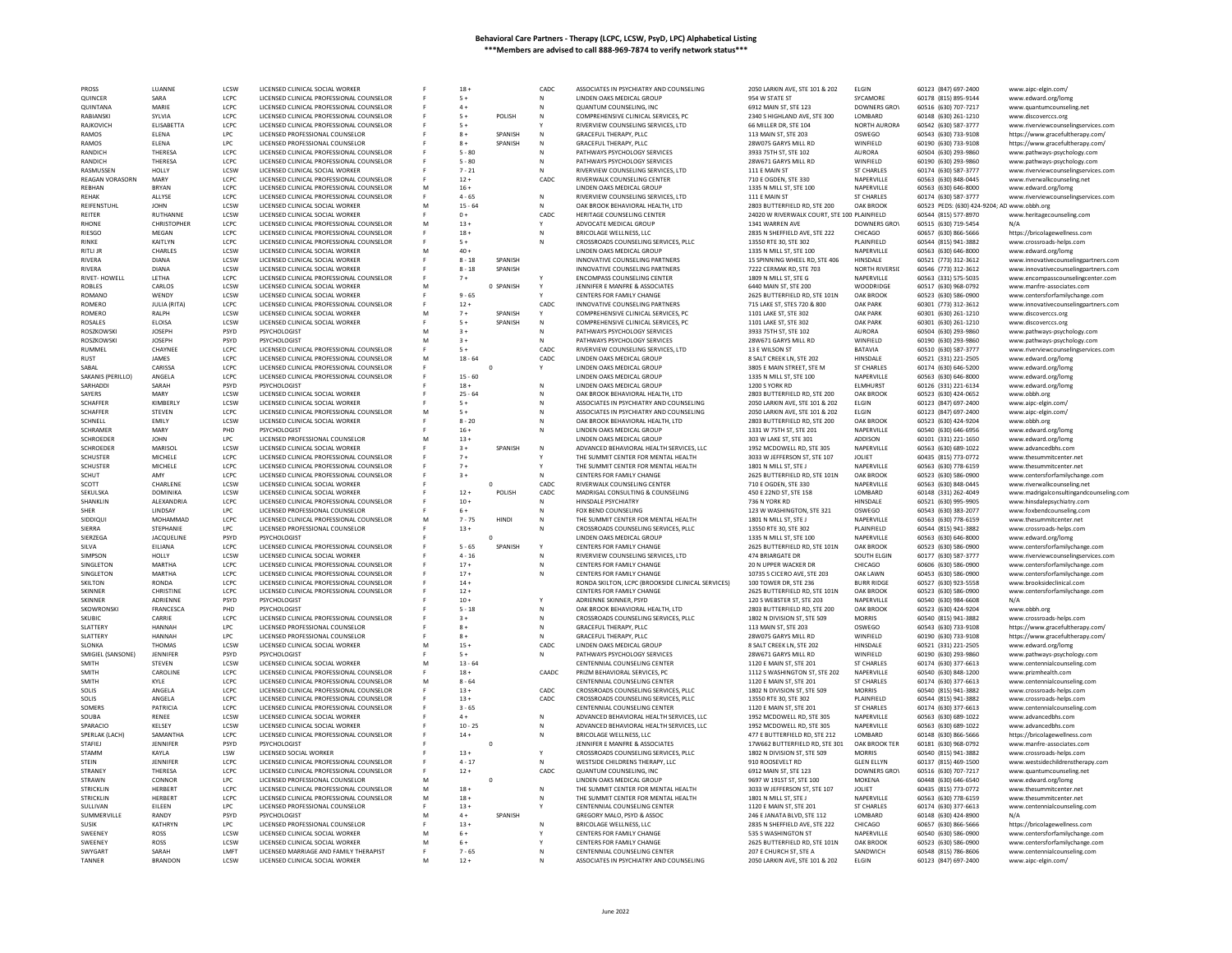| PROSS                    | LUANNE                  | LCSW                | LICENSED CLINICAL SOCIAL WORKER                                           |   | $18 +$             |           | CADC         | ASSOCIATES IN PSYCHIATRY AND COUNSELING                                 | 2050 LARKIN AVE, STE 101 & 202                           | <b>ELGIN</b>             | 60123 (847) 697-2400                         | www.aipc-elgin.com,                                 |
|--------------------------|-------------------------|---------------------|---------------------------------------------------------------------------|---|--------------------|-----------|--------------|-------------------------------------------------------------------------|----------------------------------------------------------|--------------------------|----------------------------------------------|-----------------------------------------------------|
| QUINCER                  | SARA                    | LCPC                | LICENSED CLINICAL PROFESSIONAL COUNSELOR                                  |   | $5+$               |           | N            | LINDEN OAKS MEDICAL GROUP                                               | 954 W STATE ST                                           | SYCAMORE                 | 60178 (815) 895-9144                         | www.edward.org/lomg                                 |
| QUINTANA                 | MARIF                   | LCPC                | LICENSED CLINICAL PROFESSIONAL COUNSELOR                                  |   | $4+$               |           | N            | QUANTUM COUNSELING, INC                                                 | 6912 MAIN ST, STE 123                                    | DOWNERS GROV             | 60516 (630) 707-7217                         | www.quantumcounseling.net                           |
| RABIANSKI                |                         |                     |                                                                           |   |                    |           |              |                                                                         |                                                          |                          |                                              |                                                     |
|                          | SYLVIA                  | LCPC                | LICENSED CLINICAL PROFESSIONAL COUNSELOR                                  |   | $5+$               | POLISH    | ${\sf N}$    | COMPREHENSIVE CLINICAL SERVICES, PC                                     | 2340 S HIGHLAND AVE, STE 300                             | LOMBARD                  | 60148 (630) 261-1210                         | www.discoverccs.org                                 |
| RAJKOVICH                | ELISABETTA              | LCPC                | LICENSED CLINICAL PROFESSIONAL COUNSELOR                                  |   | $5+$               |           |              | RIVERVIEW COUNSELING SERVICES, LTD                                      | 66 MILLER DR, STE 104                                    | NORTH AURORA             | 60542 (630) 587-3777                         | www.riverviewcounselingservices.com                 |
| RAMOS                    | ELENA                   | LPC                 | LICENSED PROFESSIONAL COUNSELOR                                           |   | $8+$               | SPANISH   |              | GRACEFUL THERAPY, PLLC                                                  | 113 MAIN ST, STE 203                                     | OSWEGO                   | 60543 (630) 733-9108                         | https://www.gracefultherapy.com/                    |
| <b>RAMOS</b>             | <b>FI FNA</b>           | LPC                 | LICENSED PROFESSIONAL COUNSELOR                                           |   | $8+$               | SPANISH   | N            | GRACEFUL THERAPY, PLLC                                                  | 28W075 GARYS MILL RD                                     | WINFIELD                 | 60190 (630) 733-9108                         | https://www.gracefultherapy.com/                    |
| RANDICH                  | <b>THERES</b>           | LCPC                | LICENSED CLINICAL PROFESSIONAL COUNSELOR                                  |   | $5 - 80$           |           |              | PATHWAYS PSYCHOLOGY SERVICES                                            | 3933 75TH ST, STE 102                                    | <b>AURORA</b>            | 60504 (630) 293-9860                         | www.pathways-psychology.com                         |
| RANDICH                  | THERESA                 | LCPC                | LICENSED CLINICAL PROFESSIONAL COUNSELOR                                  |   | $5 - 80$           |           | N            | PATHWAYS PSYCHOLOGY SERVICES                                            | 28W671 GARYS MILL RD                                     | WINFIELD                 | 60190 (630) 293-9860                         | www.pathways-psychology.com                         |
|                          |                         |                     |                                                                           |   |                    |           |              |                                                                         |                                                          |                          |                                              |                                                     |
| RASMUSSEN                | HOLLY                   | LCSW                | LICENSED CLINICAL SOCIAL WORKER                                           |   | $7 - 21$           |           |              | RIVERVIEW COUNSELING SERVICES, LTD                                      | 111 E MAIN ST                                            | <b>ST CHARLES</b>        | 60174 (630) 587-3777                         | www.riverviewcounselingservices.com                 |
| <b>REAGAN VORASORN</b>   | MAR)                    | LCPC                | LICENSED CLINICAL PROFESSIONAL COUNSELOR                                  |   | $12 +$             |           | CADC         | RIVERWALK COUNSELING CENTER                                             | 710 E OGDEN, STE 330                                     | NAPERVILLE               | 60563 (630) 848-0445                         | www.riverwalkcounseling.net                         |
| REBHAN                   | <b>BRYAN</b>            | LCPC                | LICENSED CLINICAL PROFESSIONAL COUNSELOR                                  | M | $16 +$             |           |              | LINDEN OAKS MEDICAL GROUP                                               | 1335 N MILL ST, STE 100                                  | NAPERVILLE               | 60563 (630) 646-8000                         | www.edward.org/lomg                                 |
| REHAK                    | ALLYSE                  | LCPC                | LICENSED CLINICAL PROFESSIONAL COUNSELOR                                  |   | $4 - 65$           |           | N            | RIVERVIEW COUNSELING SERVICES, LTD                                      | 111 E MAIN ST                                            | ST CHARLES               | 60174 (630) 587-3777                         | www.riverviewcounselingservices.com                 |
| REIFENSTUHL              | <b>JOHN</b>             | LCSW                | LICENSED CLINICAL SOCIAL WORKER                                           | M | $15 - 64$          |           | N            | OAK BROOK BEHAVIORAL HEALTH, LTD                                        | 2803 BUTTERFIELD RD. STE 200                             | <b>OAK BROOK</b>         | 60523 PEDS: (630) 424-9204; AD www.obbh.org  |                                                     |
| REITER                   | RUTHANNE                | LCSW                | LICENSED CLINICAL SOCIAL WORKER                                           |   | $0 +$              |           | CADC         | HERITAGE COUNSELING CENTER                                              | 24020 W RIVERWALK COURT, STE 100 PLAINFIELD              |                          | 60544 (815) 577-8970                         | www.heritagecounseling.com                          |
| <b>RHONE</b>             | CHRISTOPHER             | LCPC                | LICENSED CLINICAL PROFESSIONAL COUNSELOR                                  | M | $13 +$             |           |              | ADVOCATE MEDICAL GROUP                                                  | 1341 WARREN AVE                                          | <b>DOWNERS GROV</b>      | 60515 (630) 719-5454                         |                                                     |
|                          |                         |                     |                                                                           |   |                    |           |              |                                                                         |                                                          |                          |                                              |                                                     |
| RIESGC                   | MEGAN                   | LCPC                | LICENSED CLINICAL PROFESSIONAL COUNSELOF                                  |   | $18 +$             |           | N            | BRICOLAGE WELLNESS, LLC                                                 | 2835 N SHEFFIELD AVE, STE 222                            | CHICAGO                  | 60657 (630) 866-5666                         | https://bricolagewellness.com                       |
| RINKF                    | <b>KAITI YN</b>         | LCPC                | LICENSED CLINICAL PROFESSIONAL COUNSELOR                                  |   | $5 +$              |           | N            | CROSSROADS COUNSELING SERVICES. PLLC                                    | 13550 RTF 30, STF 302                                    | PLAINFIFLD               | 60544 (815) 941-3882                         | www.crossroads-helps.com                            |
| RITLI JR                 | <b>CHARLES</b>          | LCSW                | LICENSED CLINICAL SOCIAL WORKER                                           | M | $40 +$             |           |              | LINDEN OAKS MEDICAL GROUP                                               | 1335 N MILL ST, STE 100                                  | NAPERVILLE               | 60563 (630) 646-8000                         | www.edward.org/lomg                                 |
| <b>RIVERA</b>            | <b>DIANA</b>            | LCSW                | LICENSED CLINICAL SOCIAL WORKER                                           |   | $8 - 18$           | SPANISH   |              | INNOVATIVE COUNSELING PARTNERS                                          | 15 SPINNING WHEEL RD, STE 406                            | HINSDALE                 | 60521 (773) 312-3612                         | www.innovativecounselingpartners.com                |
| <b>RIVERA</b>            | DIANA                   | LCSW                | LICENSED CLINICAL SOCIAL WORKER                                           |   | $8 - 18$           | SPANISH   |              | INNOVATIVE COUNSELING PARTNERS                                          | 7222 CERMAK RD, STE 703                                  | <b>NORTH RIVERSID</b>    | 60546 (773) 312-3612                         | www.innovativecounselingpartners.com                |
| RIVET- HOWELL            | LETHA                   | LCPC                | LICENSED CLINICAL PROFESSIONAL COUNSELOR                                  |   | $7+$               |           |              | <b>ENCOMPASS COUNSELING CENTER</b>                                      | 1809 N MILL ST, STE G                                    | NAPERVILLE               | 60563 (331) 575-5035                         | www.encompasscounselingcenter.com                   |
|                          |                         |                     |                                                                           |   |                    |           |              |                                                                         |                                                          |                          |                                              |                                                     |
| <b>ROBLES</b>            | CARLOS                  | LCSW                | LICENSED CLINICAL SOCIAL WORKER                                           |   |                    | 0 SPANISH |              | JENNIFER E MANFRE & ASSOCIATES                                          | 6440 MAIN ST, STE 200                                    | WOODRIDGE                | 60517 (630) 968-0792                         | www.manfre-associates.co                            |
| ROMANO                   | WENDY                   | LCSW                | LICENSED CLINICAL SOCIAL WORKER                                           |   | $9 - 65$           |           |              | CENTERS FOR FAMILY CHANGE                                               | 2625 BUTTERFIELD RD, STE 101N                            | OAK BROOK                | 60523 (630) 586-0900                         | www.centersforfamilychange.com                      |
| <b>ROMERO</b>            | JULIA (RITA)            | LCPC                | LICENSED CLINICAL PROFESSIONAL COUNSELOR                                  |   | $12 +$             |           | CADC         | INNOVATIVE COUNSELING PARTNERS                                          | 715 LAKE ST, STES 720 & 800                              | <b>OAK PARK</b>          | 60301 (773) 312-3612                         | www.innovativecounselingpartners.com                |
| ROMERO                   | RALPH                   | LCSW                | LICENSED CLINICAL SOCIAL WORKER                                           |   | $7+$               | SPANISH   |              | COMPREHENSIVE CLINICAL SERVICES, PC                                     | 1101 LAKE ST, STE 302                                    | <b>OAK PARK</b>          | 60301 (630) 261-1210                         | www.discoverccs.org                                 |
| <b>ROSALES</b>           | <b>FLOISA</b>           | <b>ICSW</b>         | LICENSED CLINICAL SOCIAL WORKER                                           |   | $5+$               | SPANISH   | N            | COMPREHENSIVE CLINICAL SERVICES, PC                                     | 1101 LAKE ST. STE 302                                    | <b>OAK PARK</b>          | 60301 (630) 261-1210                         | www.discoverccs.org                                 |
| ROSZKOWSKI               | JOSEPH                  | PSYD                | PSYCHOLOGIST                                                              | M | $3+$               |           | N            | PATHWAYS PSYCHOLOGY SERVICES                                            | 3933 75TH ST, STE 102                                    | <b>AURORA</b>            | 60504 (630) 293-9860                         |                                                     |
|                          |                         |                     |                                                                           |   |                    |           |              |                                                                         |                                                          |                          |                                              | www.pathways-psychology.com                         |
| <b>ROSZKOWSKI</b>        | <b>IOSEPH</b>           | <b>PSYD</b>         | PSYCHOLOGIST                                                              | M | $3+$               |           | N            | PATHWAYS PSYCHOLOGY SERVICES                                            | 28W671 GARYS MILL RD                                     | WINFIFI <sub>D</sub>     | 60190 (630) 293-9860                         | www.pathways-psychology.com                         |
| <b>RUMMEL</b>            | CHAYNEE                 | LCPC                | LICENSED CLINICAL PROFESSIONAL COUNSELOR                                  |   | $5+$               |           | CADC         | RIVERVIEW COUNSELING SERVICES, LTD                                      | 13 E WILSON ST                                           | <b>BATAVIA</b>           | 60510 (630) 587-3777                         | www.riverviewcounselingservices.com                 |
| <b>RUST</b>              | JAMES                   | LCPC                | LICENSED CLINICAL PROFESSIONAL COUNSELOR                                  | M | $18 - 64$          |           | CADC         | LINDEN OAKS MEDICAL GROUP                                               | 8 SALT CREEK LN, STE 202                                 | HINSDALE                 | 60521 (331) 221-2505                         | www.edward.org/lomg                                 |
| SABAI                    | CARISSA                 | LCPC                | LICENSED CLINICAL PROFESSIONAL COUNSELOR                                  |   |                    | $\circ$   |              | LINDEN OAKS MEDICAL GROUP                                               | 3805 E MAIN STREET, STE M                                | <b>ST CHARLES</b>        | 60174 (630) 646-5200                         | www.edward.org/lomg                                 |
| SAKANIS (PERILLO)        | ANGELA                  | LCPC                | LICENSED CLINICAL PROFESSIONAL COUNSELOR                                  |   | $15 - 60$          |           |              | LINDEN OAKS MEDICAL GROUP                                               | 1335 N MILL ST, STE 100                                  | NAPERVILLE               | 60563 (630) 646-8000                         | www.edward.org/lomg                                 |
| SARHADD                  | SARAH                   | <b>PSYD</b>         | PSYCHOLOGIST                                                              |   | $18 +$             |           |              | LINDEN OAKS MEDICAL GROUP                                               | 1200 S YORK RD                                           | <b>ELMHURST</b>          | 60126 (331) 221-6134                         |                                                     |
|                          |                         |                     |                                                                           |   |                    |           | N            |                                                                         |                                                          |                          |                                              | www.edward.org/lomg                                 |
| SAYERS                   | MARY                    | LCSW                | LICENSED CLINICAL SOCIAL WORKER                                           |   | $25 - 64$          |           | N            | OAK BROOK BEHAVIORAL HEALTH, LTD                                        | 2803 BUTTERFIELD RD, STE 200                             | OAK BROOK                | 60523 (630) 424-0652                         | www.obbh.org                                        |
| <b>SCHAFFFR</b>          | KIMBERI Y               | <b>LCSW</b>         | LICENSED CLINICAL SOCIAL WORKER                                           |   | $5+$               |           | $\mathbb{N}$ | ASSOCIATES IN PSYCHIATRY AND COUNSELING                                 | 2050 LARKIN AVE, STE 101 & 202                           | <b>FIGIN</b>             | 60123 (847) 697-2400                         | www.aipc-elgin.com/                                 |
| SCHAFFER                 | <b>STEVEN</b>           | LCPC                | LICENSED CLINICAL PROFESSIONAL COUNSELOR                                  |   | $5+$               |           | N            | ASSOCIATES IN PSYCHIATRY AND COUNSELING                                 | 2050 LARKIN AVE, STE 101 & 202                           | <b>ELGIN</b>             | 60123 (847) 697-2400                         | www.aipc-elgin.com/                                 |
| SCHNELL                  | EMILY                   | LCSW                | LICENSED CLINICAL SOCIAL WORKER                                           |   | $8 - 20$           |           | N            | OAK BROOK BEHAVIORAL HEALTH. LTD                                        | 2803 BUTTERFIELD RD. STE 200                             | <b>OAK BROOK</b>         | 60523 (630) 424-9204                         | www.obbh.org                                        |
| <b>SCHRAMER</b>          | MARY                    | PHD                 | PSYCHOLOGIST                                                              |   | $16 +$             |           | N            | LINDEN OAKS MEDICAL GROUP                                               | 1331 W 75TH ST, STE 201                                  | NAPERVILLE               | 60540 (630) 646-6956                         | www.edward.org/lomg                                 |
|                          |                         |                     |                                                                           |   |                    |           |              |                                                                         |                                                          |                          |                                              |                                                     |
| <b>SCHROEDER</b>         | <b>JOHN</b>             | LPC                 | LICENSED PROFESSIONAL COUNSELOR                                           |   | $13 +$             |           |              | LINDEN OAKS MEDICAL GROUP                                               | 303 W LAKE ST, STE 301                                   | ADDISON                  | 60101 (331) 221-1650                         | www.edward.org/lomg                                 |
| <b>SCHROEDER</b>         | <b>MARISO</b>           | LCSW                | LICENSED CLINICAL SOCIAL WORKER                                           |   | $3+$               | SPANISH   | ${\sf N}$    | ADVANCED BEHAVIORAL HEALTH SERVICES, LLC                                | 1952 MCDOWELL RD, STE 305                                | NAPERVILLE               | 60563 (630) 689-1022                         | www.advancedbhs.con                                 |
| <b>SCHUSTER</b>          | MICHELE                 | LCPC                | LICENSED CLINICAL PROFESSIONAL COUNSELOR                                  |   | $7+$               |           |              | THE SUMMIT CENTER FOR MENTAL HEALTH                                     | 3033 W JEFFERSON ST. STE 107                             | JOLIET                   | 60435 (815) 773-0772                         | www.thesummitcenter.net                             |
| <b>SCHUSTER</b>          | MICHELE                 | LCPC                | LICENSED CLINICAL PROFESSIONAL COUNSELOR                                  |   | $7+$               |           |              | THE SUMMIT CENTER FOR MENTAL HEALTH                                     | 1801 N MILL ST, STE J                                    | NAPERVILLE               | 60563 (630) 778-6159                         | www.thesummitcenter.net                             |
| <b>SCHUT</b>             | AMY                     | LCPC                | LICENSED CLINICAL PROFESSIONAL COUNSELOR                                  |   | $3+$               |           | N            | CENTERS FOR FAMILY CHANGE                                               | 2625 BUTTERFIELD RD, STE 101N                            | OAK BROOK                | 60523 (630) 586-0900                         | www.centersforfamilychange.com                      |
|                          |                         | LCSW                | LICENSED CLINICAL SOCIAL WORKER                                           |   |                    | n         | CADC         | RIVERWALK COUNSELING CENTER                                             | 710 E OGDEN, STE 330                                     | NAPERVILLE               | 60563 (630) 848-0445                         |                                                     |
| SCOTT                    | CHARLENE                |                     |                                                                           |   |                    |           |              |                                                                         |                                                          |                          |                                              | www.riverwalkcounseling.net                         |
|                          |                         |                     |                                                                           |   |                    |           |              |                                                                         |                                                          |                          |                                              |                                                     |
| SEKULSKA                 | <b>DOMINIKA</b>         | LCSW                | LICENSED CLINICAL SOCIAL WORKER                                           |   | $12 +$             | POLISH    | CADC         | MADRIGAL CONSULTING & COUNSELING                                        | 450 E 22ND ST, STE 158                                   | LOMBARD                  | 60148 (331) 262-4049                         | www.madrigalconsultingandcounseling.com             |
| SHANKLIN                 | ALEXANDRIA              | LCPC                | LICENSED CLINICAL PROFESSIONAL COUNSELOR                                  |   | $10 +$             |           | N            | HINSDALE PSYCHIATRY                                                     | 736 N YORK RD                                            | HINSDALE                 | 60521 (630) 995-9905                         | www.hinsdalepsychiatry.com                          |
| <b>SHER</b>              | LINDSAY                 | <b>LPC</b>          | LICENSED PROFESSIONAL COUNSELOR                                           |   | $6+$               |           | N            | FOX BEND COUNSELING                                                     | 123 W WASHINGTON, STE 321                                | OSWEGO                   | 60543 (630) 383-2077                         | www.foxbendcounseling.com                           |
|                          |                         |                     |                                                                           |   |                    |           |              |                                                                         |                                                          |                          |                                              |                                                     |
| SIDDIQUI                 | MOHAMMAD                | LCPC                | LICENSED CLINICAL PROFESSIONAL COUNSELOR                                  | M | $7 - 75$           | HINDI     | N            | THE SUMMIT CENTER FOR MENTAL HEALTH                                     | 1801 N MILL ST, STE J                                    | NAPERVILLE               | 60563 (630) 778-6159                         | www.thesummitcenter.net                             |
| SIERRA                   | STEPHANIE               | LPC                 | LICENSED PROFESSIONAL COUNSELOR                                           |   | $13 +$             |           | N            | CROSSROADS COUNSELING SERVICES, PLLC                                    | 13550 RTE 30, STE 302                                    | PLAINFIELD               | 60544 (815) 941-3882                         | www.crossroads-helps.com                            |
| SIERZEGA                 | <b>JACQUELINE</b>       | PSYD                | PSYCHOLOGIST                                                              |   |                    |           |              | LINDEN OAKS MEDICAL GROUP                                               | 1335 N MILL ST, STE 100                                  | NAPERVILLE               | 60563 (630) 646-8000                         | www.edward.org/lomg                                 |
| SILVA                    | EILIANA                 | LCPC                | LICENSED CLINICAL PROFESSIONAL COUNSELOR                                  |   | $5 - 65$           | SPANISH   |              | CENTERS FOR FAMILY CHANGE                                               | 2625 BUTTERFIELD RD, STE 101N                            | OAK BROOK                | 60523 (630) 586-0900                         | www.centersforfamilychange.com                      |
| SIMPSON                  | HOLLY                   | LCSW                | LICENSED CLINICAL SOCIAL WORKER                                           |   | $4 - 16$           |           | N            | RIVERVIEW COUNSELING SERVICES, LTD                                      | 474 BRIARGATE DR                                         | SOUTH ELGIN              | 60177 (630) 587-3777                         | www.riverviewcounselingservices.com                 |
|                          |                         |                     |                                                                           |   |                    |           |              |                                                                         |                                                          |                          |                                              |                                                     |
| SINGLETON                | MARTHA                  | LCPC                | LICENSED CLINICAL PROFESSIONAL COUNSELOR                                  |   | $17+$              |           | N            | CENTERS FOR FAMILY CHANGE                                               | 20 N UPPER WACKER DR                                     | CHICAGO                  | 60606 (630) 586-0900                         | www.centersforfamilychange.com                      |
| <b>SINGLETON</b>         | MARTHA                  | LCPC                | LICENSED CLINICAL PROFESSIONAL COUNSELOR                                  |   | $17+$              |           | N            | CENTERS FOR FAMILY CHANGE                                               | 10735 S CICERO AVE, STE 203                              | <b>OAK LAWN</b>          | 60453 (630) 586-0900                         | www.centersforfamilychange.com                      |
| <b>SKILTON</b>           | <b>RONDA</b>            | LCPC                | LICENSED CLINICAL PROFESSIONAL COUNSELOR                                  |   | $14 +$             |           |              | RONDA SKILTON, LCPC (BROOKSIDE CLINICAL SERVICES)                       | 100 TOWER DR. STE 236                                    | <b>BURR RIDGE</b>        | 60527 (630) 923-5558                         | www.brooksideclinical.con                           |
| SKINNER                  | CHRISTINE               | LCPC                | LICENSED CLINICAL PROFESSIONAL COUNSELOR                                  |   | $12 +$             |           |              | CENTERS FOR FAMILY CHANGE                                               | 2625 BUTTERFIELD RD, STE 101N                            | OAK BROOK                | 60523 (630) 586-0900                         | www.centersforfamilychange.com                      |
| <b>SKINNER</b>           | ADRIENNE                | PSYD                | PSYCHOLOGIST                                                              |   | $10 +$             |           | Y            | ADRIENNE SKINNER, PSYD                                                  | 120 S WEBSTER ST. STE 203                                | NAPERVILLE               | 60540 (630) 984-6608                         | N/A                                                 |
| SKOWRONSK                | <b>FRANCESCA</b>        | PHD                 | PSYCHOLOGIST                                                              |   | $5 - 18$           |           | N            | OAK BROOK BEHAVIORAL HEALTH, LTD                                        | 2803 BUTTERFIELD RD, STE 200                             | <b>OAK BROOK</b>         | 60523 (630) 424-9204                         |                                                     |
| SKUBIC                   | CARRIE                  | LCPC                |                                                                           |   | $3+$               |           | N            |                                                                         | 1802 N DIVISION ST. STE 509                              | <b>MORRIS</b>            | 60540 (815) 941-3882                         | www.obbh.org<br>www.crossroads-helps.com            |
|                          |                         |                     | LICENSED CLINICAL PROFESSIONAL COUNSELOR                                  |   | $8+$               |           |              | CROSSROADS COUNSELING SERVICES, PLLC                                    |                                                          |                          |                                              |                                                     |
| SLATTERY                 | HANNAH                  | LPC                 | LICENSED PROFESSIONAL COUNSELOR                                           |   |                    |           | N            | GRACEFUL THERAPY, PLLC                                                  | 113 MAIN ST, STE 203                                     | OSWEGO                   | 60543 (630) 733-9108                         | https://www.gracefultherapy.com/                    |
| <b>SLATTERY</b>          | <b>HANNAH</b>           | LPC                 | LICENSED PROFESSIONAL COUNSELOR                                           |   | $8+$               |           | $\mathsf{N}$ | <b>GRACEFUL THERAPY, PLLC</b>                                           | 28W075 GARYS MILL RD                                     | WINFIELD                 | 60190 (630) 733-9108                         | https://www.gracefultherapy.com/                    |
| SLONKA                   | <b>THOMAS</b>           | LCSW                | LICENSED CLINICAL SOCIAL WORKER                                           | M | $15 +$             |           | CADC         | LINDEN OAKS MEDICAL GROUP                                               | 8 SALT CREEK LN, STE 202                                 | HINSDALE                 | 60521 (331) 221-2505                         | www.edward.org/lomg                                 |
| SMIGIEL (SANSONE)        | JENNIFER                | PSYD                | PSYCHOLOGIST                                                              |   | $5+$               |           | N            | PATHWAYS PSYCHOLOGY SERVICES                                            | 28W671 GARYS MILL RD                                     | WINFIELD                 | 60190 (630) 293-9860                         | www.pathways-psychology.com                         |
| SMITH                    | STEVEN                  | LCSW                | LICENSED CLINICAL SOCIAL WORKER                                           | M | $13 - 64$          |           |              | CENTENNIAL COUNSELING CENTER                                            | 1120 E MAIN ST, STE 201                                  | <b>ST CHARLES</b>        | 60174 (630) 377-6613                         |                                                     |
| SMITH                    | CAROLINE                | LCPC                | LICENSED CLINICAL PROFESSIONAL COUNSELOR                                  |   | $18 +$             |           |              | PRIZM BEHAVIORAL SERVICES, PC                                           | 1112 S WASHINGTON ST. STE 202                            | NAPERVILLE               | 60540 (630) 848-1200                         | www.centennialcounseling.com                        |
|                          |                         |                     |                                                                           |   |                    |           | CAADC        |                                                                         |                                                          |                          |                                              | www.prizmhealth.con                                 |
| SMITH                    | KYLE                    | LCPC                | LICENSED CLINICAL PROFESSIONAL COUNSELOR                                  | M | $8 - 64$           |           |              | CENTENNIAL COUNSELING CENTER                                            | 1120 E MAIN ST, STE 201                                  | <b>ST CHARLES</b>        | 60174 (630) 377-6613                         | www.centennialcounseling.com                        |
| SOLIS                    | ANGELA                  | LCPC                | LICENSED CLINICAL PROFESSIONAL COUNSELOR                                  |   | $13 +$             |           | CADC         | CROSSROADS COUNSELING SERVICES, PLLC                                    | 1802 N DIVISION ST, STE 509                              | <b>MORRIS</b>            | 60540 (815) 941-3882                         | www.crossroads-helps.com                            |
| SOLIS                    | ANGELA                  | LCPC                | LICENSED CLINICAL PROFESSIONAL COUNSELOR                                  | E | $13+$              |           | CADC         | CROSSROADS COUNSELING SERVICES, PLLC                                    | 13550 RTE 30, STE 302                                    | PLAINFIELD               | 60544 (815) 941-3882                         | www.crossroads-helps.com                            |
| SOMERS                   | <b>PATRICIA</b>         | LCPC                | LICENSED CLINICAL PROFESSIONAL COUNSELOR                                  |   | $3 - 65$           |           |              | CENTENNIAL COUNSELING CENTER                                            | 1120 E MAIN ST, STE 201                                  | <b>ST CHARLES</b>        | 60174 (630) 377-6613                         | www.centennialcounseling.com                        |
| SOUBA                    | <b>RENEE</b>            | LCSW                | LICENSED CLINICAL SOCIAL WORKER                                           |   | $4+$               |           | N            | ADVANCED BEHAVIORAL HEALTH SERVICES. LLC                                | 1952 MCDOWELL RD, STE 305                                | NAPERVILLE               | 60563 (630) 689-1022                         | www.advancedbhs.com                                 |
| SPARACIO                 | <b>KELSEY</b>           | LCSW                | LICENSED CLINICAL SOCIAL WORKER                                           |   | $10 - 25$          |           | N            |                                                                         |                                                          | NAPERVILLE               |                                              | www.advancedbhs.com                                 |
|                          |                         |                     |                                                                           |   |                    |           |              | ADVANCED BEHAVIORAL HEALTH SERVICES, LLC                                | 1952 MCDOWELL RD, STE 305                                | <b>I OMBARD</b>          | 60563 (630) 689-1022                         |                                                     |
| SPERLAK (LACH)           | SAMANTHA                | LCPC                | LICENSED CLINICAL PROFESSIONAL COUNSELOR                                  |   | $14 +$             |           | $\mathsf{N}$ | <b>BRICOLAGE WELLNESS, LLC</b>                                          | 477 E BUTTERFIELD RD. STE 212                            |                          | 60148 (630) 866-5666                         | https://bricolagewellness.com                       |
| STAFIEJ                  | JENNIFER                | PSYD                | PSYCHOLOGIST                                                              |   |                    | $\circ$   |              | JENNIFER E MANFRE & ASSOCIATES                                          | 17W662 BUTTERFIELD RD, STE 301                           | OAK BROOK TER            | 60181 (630) 968-0792                         | www.manfre-associates.com                           |
| STAMM                    | KAYLA                   | LSW                 | LICENSED SOCIAL WORKER                                                    |   | $13 +$             |           |              | CROSSROADS COUNSELING SERVICES, PLLC                                    | 1802 N DIVISION ST, STE 509                              | <b>MORRIS</b>            | 60540 (815) 941-3882                         | www.crossroads-helps.com                            |
| <b>STEIN</b>             | JENNIFER                | LCPC                | LICENSED CLINICAL PROFESSIONAL COUNSELOR                                  |   | $4 - 17$           |           | N            | WESTSIDE CHILDRENS THERAPY, LLC                                         | 910 ROOSEVELT RD                                         | <b>GLEN ELLYN</b>        | 60137 (815) 469-1500                         | www.westsidechildrenstherapy.com                    |
| <b>STRANEY</b>           | THERESA                 | LCPC                | LICENSED CLINICAL PROFESSIONAL COUNSELOR                                  |   | $12 +$             |           | CADC         | QUANTUM COUNSELING, INC                                                 | 6912 MAIN ST, STE 123                                    | DOWNERS GROV             | 60516 (630) 707-7217                         | www.quantumcounseling.net                           |
| <b>STRAWN</b>            | CONNOR                  | LPC.                | LICENSED PROFESSIONAL COUNSELOR                                           | M |                    | $\Omega$  |              | <b>IINDEN OAKS MEDICAL GROUP</b>                                        | 9697 W 191ST ST, STE 100                                 | MOKENA                   | 60448 (630) 646-6540                         |                                                     |
|                          |                         |                     |                                                                           |   |                    |           |              |                                                                         |                                                          |                          |                                              | www.edward.org/lomg                                 |
| STRICKLIN                | <b>HERBERT</b>          | LCPC                | LICENSED CLINICAL PROFESSIONAL COUNSELOR                                  | M | $18 +$             |           | N            | THE SUMMIT CENTER FOR MENTAL HEALTH                                     | 3033 W JEFFERSON ST, STE 107                             | JOLIET                   | 60435 (815) 773-0772                         | www.thesummitcenter.net                             |
| <b>STRICKLIN</b>         | <b>HERBER</b>           | LCPC                | LICENSED CLINICAL PROFESSIONAL COUNSELOR                                  | M | $18 +$             |           | N            | THE SUMMIT CENTER FOR MENTAL HEALTH                                     | 1801 N MILL ST, STE J                                    | NAPERVILLE               | 60563 (630) 778-6159                         | www.thesummitcenter.net                             |
| SULLIVAN                 | EILEEN                  | LPC                 | LICENSED PROFESSIONAL COUNSELOR                                           |   | $13 +$             |           |              | CENTENNIAL COUNSELING CENTER                                            | 1120 E MAIN ST, STE 201                                  | <b>ST CHARLES</b>        | 60174 (630) 377-6613                         | www.centennialcounseling.com                        |
| SUMMERVILLE              | RANDY                   | PSYD                | PSYCHOLOGIST                                                              |   | $4+$               | SPANISH   |              | GREGORY MALO, PSYD & ASSOC                                              | 246 E JANATA BLVD, STE 112                               | LOMBARD                  | 60148 (630) 424-8900                         | N/A                                                 |
| <b>SUSIK</b>             | <b>KATHRYN</b>          | LPC.                | LICENSED PROFESSIONAL COUNSELOR                                           |   | $13 +$             |           | N            | BRICOLAGE WELLNESS, LLC                                                 | 2835 N SHEFFIELD AVE, STE 222                            | CHICAGO                  | 60657 (630) 866-5666                         |                                                     |
|                          |                         |                     |                                                                           |   |                    |           |              |                                                                         |                                                          |                          |                                              | https://bricolagewellness.com                       |
| SWEENEY                  | <b>ROSS</b>             | LCSW                | LICENSED CLINICAL SOCIAL WORKER                                           |   | $6+$               |           |              | CENTERS FOR FAMILY CHANGE                                               | 535 S WASHINGTON ST                                      | NAPERVILLE               | 60540 (630) 586-0900                         | www.centersforfamilychange.com                      |
| SWEENEY                  | <b>ROSS</b>             | LCSW                | LICENSED CLINICAL SOCIAL WORKER                                           | M | $6+$               |           |              | CENTERS FOR FAMILY CHANGE                                               | 2625 BUTTERFIELD RD. STE 101N                            | OAK BROOK                | 60523 (630) 586-0900                         | www.centersforfamilychange.com                      |
| SWYGART<br><b>TANNER</b> | SARAH<br><b>BRANDON</b> | LMFT<br><b>ICSW</b> | LICENSED MARRIAGE AND FAMILY THERAPIST<br>LICENSED CLINICAL SOCIAL WORKER |   | $7 - 65$<br>$12 +$ |           |              | CENTENNIAL COUNSELING CENTER<br>ASSOCIATES IN PSYCHIATRY AND COUNSELING | 207 E CHURCH ST, STE A<br>2050 LARKIN AVE, STE 101 & 202 | SANDWICH<br><b>FIGIN</b> | 60548 (815) 786-8606<br>60123 (847) 697-2400 | www.centennialcounseling.com<br>www.aipc-elgin.com/ |